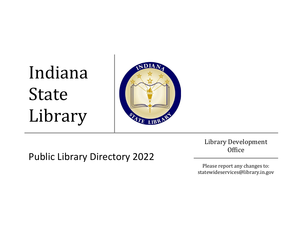# Indiana State Library



Public Library Directory 2022

Library Development **Office** 

Please report any changes to: statewideservices@library.in.gov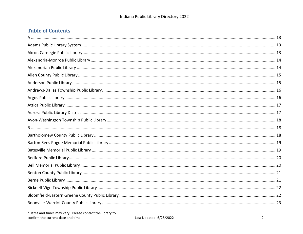#### **Table of Contents**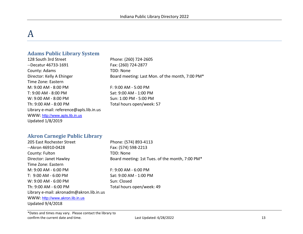# <span id="page-12-0"></span>A

#### <span id="page-12-1"></span>**Adams Public Library System**

128 South 3rd Street Phone: (260) 724-2605 --Decatur 46733-1691 Fax: (260) 724-2877 County: Adams TDD: None Time Zone: Eastern M: 9:00 AM - 8:00 PM F: 9:00 AM - 5:00 PM T: 9:00 AM - 8:00 PM Sat: 9:00 AM - 1:00 PM W: 9:00 AM - 8:00 PM Sun: 1:00 PM - 5:00 PM Th: 9:00 AM - 8:00 PM Total hours open/week: 57 Library e-mail: reference@apls.lib.in.us WWW: [http://www.apls.lib.in.us](http://www.apls.lib.in.us/) Updated 1/8/2019

Director: Kelly A Ehinger Board meeting: Last Mon. of the month, 7:00 PM\*

#### <span id="page-12-2"></span>**Akron Carnegie Public Library**

| 205 East Rochester Street                | Phone: (574) 893-4113                           |
|------------------------------------------|-------------------------------------------------|
| --Akron 46910-0428                       | Fax: (574) 598-2213                             |
| County: Fulton                           | TDD: None                                       |
| Director: Janet Hawley                   | Board meeting: 1st Tues. of the month, 7:00 PM* |
| Time Zone: Eastern                       |                                                 |
| M: 9:00 AM - 6:00 PM                     | $F: 9:00 AM - 6:00 PM$                          |
| T: 9:00 AM - 6:00 PM                     | Sat: 9:00 AM - 1:00 PM                          |
| W: 9:00 AM - 6:00 PM                     | Sun: Closed                                     |
| Th: 9:00 AM - 6:00 PM                    | Total hours open/week: 49                       |
| Library e-mail: akronadm@akron.lib.in.us |                                                 |
| WWW: http://www.akron.lib.in.us          |                                                 |
| <b>Updated 9/4/2018</b>                  |                                                 |
|                                          |                                                 |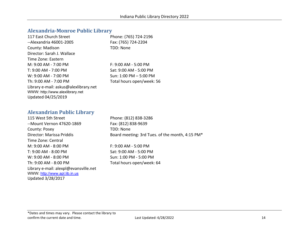#### <span id="page-13-0"></span>**Alexandria-Monroe Public Library**

| 117 East Church Street                | Phone: (765) 724-2196     |
|---------------------------------------|---------------------------|
| --Alexandria 46001-2005               | Fax: (765) 724-2204       |
| County: Madison                       | TDD: None                 |
| Director: Sarah J. Wallace            |                           |
| Time Zone: Eastern                    |                           |
| M: 9:00 AM - 7:00 PM                  | $F: 9:00 AM - 5:00 PM$    |
| T: 9:00 AM - 7:00 PM                  | Sat: 9:00 AM - 5:00 PM    |
| $W: 9:00 AM - 7:00 PM$                | Sun: 1:00 PM $-$ 5:00 PM  |
| Th: 9:00 AM - 7:00 PM                 | Total hours open/week: 56 |
| Library e-mail: askus@alexlibrary.net |                           |
| WWW: http://www.alexlibrary.net       |                           |
| Updated 04/25/2019                    |                           |

#### <span id="page-13-1"></span>**Alexandrian Public Library**

115 West 5th Street Phone: (812) 838-3286 --Mount Vernon 47620-1869 Fax: (812) 838-9639 County: Posey TDD: None Time Zone: Central M: 9:00 AM - 8:00 PM F: 9:00 AM - 5:00 PM T: 9:00 AM - 8:00 PM Sat: 9:00 AM - 5:00 PM W: 9:00 AM - 8:00 PM Sun: 1:00 PM - 5:00 PM Th: 9:00 AM - 8:00 PM Total hours open/week: 64 Library e-mail: alexpl@evansville.net WWW: [http://www.apl.lib.in.us](http://www.apl.lib.in.us/) Updated 3/28/2017

Director: Marissa Priddis Board meeting: 3rd Tues. of the month, 4:15 PM\*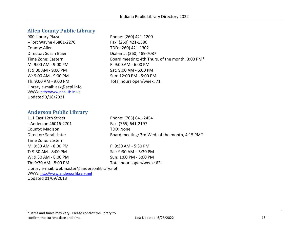#### <span id="page-14-0"></span>**Allen County Public Library**

900 Library Plaza Phone: (260) 421-1200 --Fort Wayne 46801-2270 Fax: (260) 421-1386 County: Allen TDD: (260) 421-1302 Director: Susan Baier Dial-in #: (260) 489-7087 M: 9:00 AM - 9:00 PM F: 9:00 AM - 6:00 PM T: 9:00 AM - 9:00 PM Sat: 9:00 AM - 6:00 PM W: 9:00 AM - 9:00 PM Sun: 12:00 PM - 5:00 PM Th: 9:00 AM - 9:00 PM Total hours open/week: 71 Library e-mail: ask@acpl.info WWW: [http://www.acpl.lib.in.us](http://www.acpl.lib.in.us/) Updated 3/18/2021

Time Zone: Eastern **Board meeting: 4th Thurs. of the month, 3:00 PM\*** 

#### <span id="page-14-1"></span>**Anderson Public Library**

111 East 12th Street Phone: (765) 641-2454 --Anderson 46016-2701 Fax: (765) 641-2197 County: Madison TDD: None Director: Sarah Later Board meeting: 3rd Wed. of the month, 4:15 PM\* Time Zone: Eastern M: 9:30 AM - 8:00 PM F: 9:30 AM - 5:30 PM T: 9:30 AM - 8:00 PM Sat: 9:30 AM – 5:30 PM W: 9:30 AM - 8:00 PM Sun: 1:00 PM - 5:00 PM Th: 9:30 AM - 8:00 PM Total hours open/week: 62

Library e-mail: webmaster@andersonlibrary.net WWW: [http://www.andersonlibrary.net](http://www.andersonlibrary.net/) Updated 01/09/2013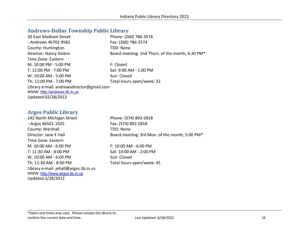#### <span id="page-15-0"></span>**Andrews-Dallas Township Public Library**

| 30 East Madison Street                    | Phone: (260) 786-3574                            |
|-------------------------------------------|--------------------------------------------------|
| --Andrews 46702-9582                      | Fax: (260) 786-3574                              |
| County: Huntington                        | TDD: None                                        |
| Director: Nancy Disbro                    | Board meeting: 2nd Thurs. of the month, 6:30 PM* |
| Time Zone: Eastern                        |                                                  |
| M: 10:00 PM - 5:00 PM                     | F: Closed                                        |
| T: 12:00 PM - 7:00 PM                     | Sat: 9:00 AM - 1:00 PM                           |
| W: 10:00 AM - 5:00 PM                     | Sun: Closed                                      |
| Th: 12:00 PM - 7:00 PM                    | Total hours open/week: 32                        |
| Library e-mail: andrewsdirector@gmail.com |                                                  |
| WWW: http://andrews.lib.in.us             |                                                  |
| Updated 02/28/2012                        |                                                  |

#### <span id="page-15-1"></span>**Argos Public Library**

142 North Michigan Street Phone: (574) 892-5818 --Argos 46501-1025 Fax: (574) 892-5818 County: Marshall TDD: None Time Zone: Eastern M: 10:00 AM - 6:00 PM F: 10:00 AM - 6:00 PM T: 11:30 AM - 8:00 PM Sat: 10:00 AM - 2:00 PM W: 10:00 AM - 6:00 PM Sun: Closed Th: 11:30 AM - 8:00 PM Total hours open/week: 45 Library e-mail: jehall@argos.lib.in.us WWW: [http://www.argos.lib.in.us](http://www.argos.lib.in.us/) Updated 2/28/2012

Director: Jane E Hall Board meeting: 3rd Mon. of the month, 5:00 PM\*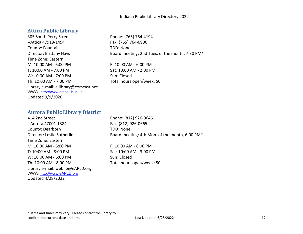#### <span id="page-16-0"></span>**Attica Public Library**

305 South Perry Street Phone: (765) 764-4194 --Attica 47918-1494 Fax: (765) 764-0906 County: Fountain TDD: None Time Zone: Eastern M: 10:00 AM - 6:00 PM F: 10:00 AM - 6:00 PM T: 10:00 AM - 7:00 PM Sat: 10:00 AM - 2:00 PM W: 10:00 AM - 7:00 PM Sun: Closed Th: 10:00 AM - 7:00 PM Total hours open/week: 50 Library e-mail: a.library@comcast.net WWW: [http://www.attica.lib.in.us](http://www.attica.lib.in.us/) Updated 9/9/2020

Director: Brittany Hays Board meeting: 2nd Tues. of the month, 7:30 PM\*

#### <span id="page-16-1"></span>**Aurora Public Library District**

414 2nd Street Phone: (812) 926-0646 --Aurora 47001-1384 Fax: (812) 926-0665 County: Dearborn TDD: None Time Zone: Eastern M: 10:00 AM - 6:00 PM F: 10:00 AM - 6:00 PM T: 10:00 AM - 8:00 PM Sat: 10:00 AM - 3:00 PM W: 10:00 AM - 6:00 PM Sun: Closed Th: 10:00 AM - 8:00 PM Total hours open/week: 50 Library e-mail: weblib@eAPLD.org WWW: [http://www.eAPLD.org](http://www.eapld.org/) Updated 4/28/2022

Director: Leslie Sutherlin Board meeting: 4th Mon. of the month, 6:00 PM\*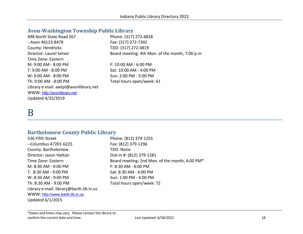#### <span id="page-17-0"></span>**Avon-Washington Township Public Library**

| 498 North State Road 267              | Phone: (317) 272-4818                          |
|---------------------------------------|------------------------------------------------|
| --Avon 46123-8478                     | Fax: (317) 272-7302                            |
| County: Hendricks                     | TDD: (317) 272-4819                            |
| Director: Laurel Setser               | Board meeting: 4th Mon. of the month, 7:00 p.m |
| Time Zone: Eastern                    |                                                |
| M: 9:00 AM - 8:00 PM                  | F: 10:00 AM - 6:00 PM                          |
| T: 9:00 AM - 8:00 PM                  | Sat: 10:00 AM - 4:00 PM                        |
| W: 9:00 AM - 8:00 PM                  | Sun: 2:00 PM - 5:00 PM                         |
| Th: 9:00 AM - 8:00 PM                 | Total hours open/week: 61                      |
| Library e-mail: awtpl@avonlibrary.net |                                                |
| WWW: http://avonlibrary.net           |                                                |
| Updated 4/25/2019                     |                                                |

## <span id="page-17-1"></span>B

#### <span id="page-17-2"></span>**Bartholomew County Public Library**

536 Fifth Street Phone: (812) 379-1255 --Columbus 47201-6225 Fax: (812) 379-1296 County: Bartholomew TDD: None Director: Jason Hatton Dial-in #: (812) 379-1281 M: 8:30 AM - 9:00 PM F: 8:30 AM - 6:00 PM T: 8:30 AM - 9:00 PM Sat: 8:30 AM - 6:00 PM W: 8:30 AM - 9:00 PM Sun: 1:00 PM - 4:00 PM Th: 8:30 AM - 9:00 PM Total hours open/week: 72 Library e-mail: library@barth.lib.in.us WWW: [http://www.barth.lib.in.us](http://www.barth.lib.in.us/) Updated 6/1/2015

Time Zone: Eastern **Board meeting: 2nd Mon. of the month, 4:00 PM\*** 

\*Dates and times may vary. Please contact the library to confirm the current date and time. The confirm the current date and time. The confirm the current date and time.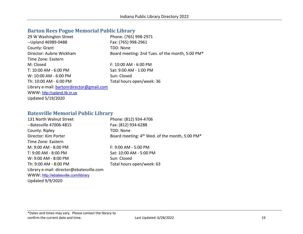#### <span id="page-18-0"></span>**Barton Rees Pogue Memorial Public Library**

| 29 W Washington Street                    | Phone: (765) 998-2971                           |
|-------------------------------------------|-------------------------------------------------|
| -- Upland 46989-0488                      | Fax: (765) 998-2961                             |
| County: Grant                             | TDD: None                                       |
| Director: Aubrie Wickham                  | Board meeting: 2nd Tues. of the month, 5:00 PM* |
| Time Zone: Eastern                        |                                                 |
| M: Closed                                 | F: 10:00 AM - 6:00 PM                           |
| T: 10:00 AM - 6:00 PM                     | Sat: 9:00 AM - 1:00 PM                          |
| W: 10:00 AM - 6:00 PM                     | Sun: Closed                                     |
| Th: 10:00 AM - 6:00 PM                    | Total hours open/week: 36                       |
| Library e-mail: bartonrdirector@gmail.com |                                                 |
| WWW: http://upland.lib.in.us              |                                                 |
| Updated 5/19/2020                         |                                                 |

#### <span id="page-18-1"></span>**Batesville Memorial Public Library**

| 131 North Walnut Street                  | Phone: (812) 934-4706                                      |
|------------------------------------------|------------------------------------------------------------|
| --Batesville 47006-4815                  | Fax: (812) 934-6288                                        |
| County: Ripley                           | TDD: None                                                  |
| Director: Kim Porter                     | Board meeting: 4 <sup>th</sup> Wed. of the month, 5:00 PM* |
| Time Zone: Eastern                       |                                                            |
| M: 9:00 AM - 8:00 PM                     | $F: 9:00$ AM - 5:00 PM                                     |
| T: 9:00 AM - 8:00 PM                     | Sat: 10:00 AM - 5:00 PM                                    |
| W: 9:00 AM - 8:00 PM                     | Sun: Closed                                                |
| Th: 9:00 AM - 8:00 PM                    | Total hours open/week: 63                                  |
| Library e-mail: director@ebatesville.com |                                                            |
| WWW: http://ebatesville.com/library      |                                                            |
| <b>Updated 9/9/2020</b>                  |                                                            |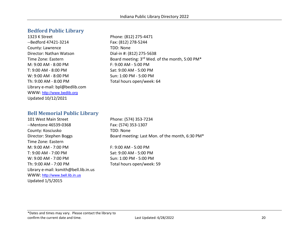#### <span id="page-19-0"></span>**Bedford Public Library**

1323 K Street Phone: (812) 275-4471 --Bedford 47421-3214 Fax: (812) 278-5244 County: Lawrence TDD: None Director: Nathan Watson Dial-in #: (812) 275-5638 M: 9:00 AM - 8:00 PM F: 9:00 AM - 5:00 PM T: 9:00 AM - 8:00 PM Sat: 9:00 AM - 5:00 PM W: 9:00 AM - 8:00 PM Sun: 1:00 PM - 5:00 PM Th: 9:00 AM - 8:00 PM Total hours open/week: 64 Library e-mail: bpl@bedlib.com WWW: [http://www.bedlib.org](http://www.bedlib.org/) Updated 10/12/2021

Time Zone: Eastern **Board meeting: 3<sup>rd</sup> Wed. of the month, 5:00 PM**\*

#### <span id="page-19-1"></span>**Bell Memorial Public Library**

101 West Main Street Phone: (574) 353-7234 -- Mentone 46539-0368 Fax: (574) 353-1307 County: Kosciusko TDD: None Time Zone: Eastern M: 9:00 AM - 7:00 PM F: 9:00 AM - 5:00 PM T: 9:00 AM - 7:00 PM Sat: 9:00 AM - 5:00 PM W: 9:00 AM - 7:00 PM  $\leq$  Sun: 1:00 PM - 5:00 PM Th: 9:00 AM - 7:00 PM Total hours open/week: 59 Library e-mail: ksmith@bell.lib.in.us WWW: [http://www.bell.lib.in.us](http://www.bell.lib.in.us/) Updated 1/5/2015

Director: Stephen Boggs Board meeting: Last Mon. of the month, 6:30 PM\*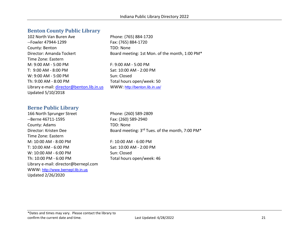#### <span id="page-20-0"></span>**Benton County Public Library**

102 North Van Buren Ave Phone: (765) 884-1720 --Fowler 47944-1299 Fax: (765) 884-1720 County: Benton TDD: None Director: Amanda Tockert Board meeting: 1st Mon. of the month, 1:00 PM\* Time Zone: Eastern M: 9:00 AM - 5:00 PM F: 9:00 AM - 5:00 PM T: 9:00 AM - 8:00 PM Sat: 10:00 AM - 2:00 PM W: 9:00 AM - 5:00 PM Sun: Closed Th: 9:00 AM - 8:00 PM Total hours open/week: 50 Library e-mail: [director@benton.lib.in.us](mailto:director@benton.lib.in.us) WWW: <http://benton.lib.in.us/> Updated 5/10/2018

# <span id="page-20-1"></span>**Berne Public Library**

166 North Sprunger Street Phone: (260) 589-2809 --Berne 46711-1595 Fax: (260) 589-2940 County: Adams TDD: None Time Zone: Eastern M: 10:00 AM - 8:00 PM F: 10:00 AM - 6:00 PM T: 10:00 AM - 6:00 PM Sat: 10:00 AM - 2:00 PM W: 10:00 AM - 6:00 PM Sun: Closed Th: 10:00 PM - 6:00 PM TOtal hours open/week: 46 Library e-mail: director@bernepl.com WWW: [http://www.bernepl.lib.in.us](http://www.bernepl.lib.in.us/) Updated 2/26/2020

Director: Kristen Dee Board meeting: 3<sup>rd</sup> Tues. of the month, 7:00 PM<sup>\*</sup>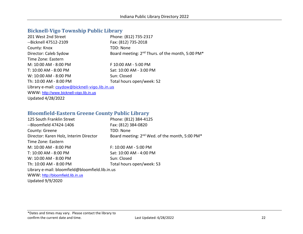#### <span id="page-21-0"></span>**Bicknell-Vigo Township Public Library**

| 201 West 2nd Street                            | Phone: (812) 735-2317                                                    |
|------------------------------------------------|--------------------------------------------------------------------------|
| --Bicknell 47512-2109                          | Fax: (812) 735-2018                                                      |
| County: Knox                                   | TDD: None                                                                |
| Director: Caleb Sydow                          | Board meeting: 2 <sup>nd</sup> Thurs. of the month, 5:00 PM <sup>*</sup> |
| Time Zone: Eastern                             |                                                                          |
| M: 10:00 AM - 8:00 PM                          | F 10:00 AM - 5:00 PM                                                     |
| T: 10:00 AM - 8:00 PM                          | Sat: 10:00 AM - 3:00 PM                                                  |
| W: 10:00 AM - 8:00 PM                          | Sun: Closed                                                              |
| Th: 10:00 AM - 8:00 PM                         | Total hours open/week: 52                                                |
| Library e-mail: csydow@bicknell-vigo.lib.in.us |                                                                          |
| WWW: http://www.bicknell-vigo.lib.in.us        |                                                                          |
| <b>Updated 4/28/2022</b>                       |                                                                          |

#### <span id="page-21-1"></span>**Bloomfield-Eastern Greene County Public Library**

| 125 South Franklin Street                       | Phone: (812) 384-4125                                                  |
|-------------------------------------------------|------------------------------------------------------------------------|
| --Bloomfield 47424-1406                         | Fax: (812) 384-0820                                                    |
| County: Greene                                  | TDD: None                                                              |
| Director: Karen Holz, Interim Director          | Board meeting: 2 <sup>nd</sup> Wed. of the month, 5:00 PM <sup>*</sup> |
| Time Zone: Eastern                              |                                                                        |
| M: 10:00 AM - 8:00 PM                           | F: 10:00 AM - 5:00 PM                                                  |
| T: 10:00 AM - 8:00 PM                           | Sat: 10:00 AM - 4:00 PM                                                |
| W: 10:00 AM - 8:00 PM                           | Sun: Closed                                                            |
| Th: 10:00 AM - 8:00 PM                          | Total hours open/week: 53                                              |
| Library e-mail: bloomfield@bloomfield.lib.in.us |                                                                        |
| WWW: http://bloomfield.lib.in.us                |                                                                        |
| <b>Updated 9/9/2020</b>                         |                                                                        |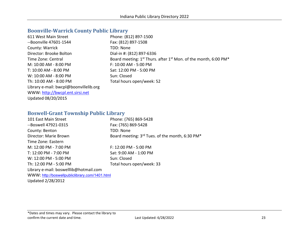### <span id="page-22-0"></span>**Boonville-Warrick County Public Library**

| 611 West Main Street                   | Phone: (812) 897-1500                                                                               |
|----------------------------------------|-----------------------------------------------------------------------------------------------------|
| --Boonville 47601-1544                 | Fax: (812) 897-1508                                                                                 |
| County: Warrick                        | TDD: None                                                                                           |
| Director: Brooke Bolton                | Dial-in #: (812) 897-6336                                                                           |
| Time Zone: Central                     | Board meeting: 1 <sup>st</sup> Thurs. after 1 <sup>st</sup> Mon. of the month, 6:00 PM <sup>*</sup> |
| M: 10:00 AM - 8:00 PM                  | $F: 10:00$ AM - 5:00 PM                                                                             |
| T: 10:00 AM - 8:00 PM                  | Sat: 12:00 PM - 5:00 PM                                                                             |
| W: 10:00 AM - 8:00 PM                  | Sun: Closed                                                                                         |
| Th: 10:00 AM - 8:00 PM                 | Total hours open/week: 52                                                                           |
| Library e-mail: bwcpl@boonvillelib.org |                                                                                                     |
| WWW: http://bwcpl.ent.sirsi.net        |                                                                                                     |
| Updated 08/20/2015                     |                                                                                                     |

#### <span id="page-22-1"></span>**Boswell-Grant Township Public Library**

| 101 East Main Street                           | Phone: (765) 869-5428                                                   |
|------------------------------------------------|-------------------------------------------------------------------------|
| --Boswell 47921-0315                           | Fax: (765) 869-5428                                                     |
| County: Benton                                 | TDD: None                                                               |
| Director: Marie Brown                          | Board meeting: 3 <sup>rd</sup> Tues. of the month, 6:30 PM <sup>*</sup> |
| Time Zone: Eastern                             |                                                                         |
| M: 12:00 PM - 7:00 PM                          | F: 12:00 PM - 5:00 PM                                                   |
| T: 12:00 PM - 7:00 PM                          | Sat: 9:00 AM - 1:00 PM                                                  |
| W: 12:00 PM - 5:00 PM                          | Sun: Closed                                                             |
| Th: 12:00 PM - 5:00 PM                         | Total hours open/week: 33                                               |
| Library e-mail: boswelllib@hotmail.com         |                                                                         |
| WWW: http://boswellpubliclibrary.com/1401.html |                                                                         |
| <b>Updated 2/28/2012</b>                       |                                                                         |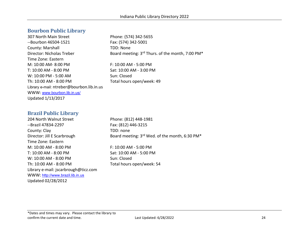#### <span id="page-23-0"></span>**Bourbon Public Library**

307 North Main Street Phone: (574) 342-5655 --Bourbon 46504-1521 Fax: (574) 342-5001 County: Marshall TDD: None Director: Nicholas Treber Board meeting: 3<sup>rd</sup> Thurs. of the month, 7:00 PM<sup>\*</sup> Time Zone: Eastern M: 10:00 AM- 8:00 PM F: 10:00 AM - 5:00 PM T: 10:00 AM - 8:00 PM Sat: 10:00 AM - 3:00 PM W: 10:00 PM - 5:00 AM Sun: Closed Th: 10:00 AM - 8:00 PM Total hours open/week: 49 Library e-mail: ntreber@bourbon.lib.in.us WWW: [www.bourbon.lib.in.us/](file://iotnasp01pw.shared.state.in.us/ISL/shared/LDO/Indiana%20Library%20Information/Directory/www.bourbon.lib.in.us/) Updated 1/13/2017

#### <span id="page-23-1"></span>**Brazil Public Library**

204 North Walnut Street Phone: (812) 448-1981 --Brazil 47834-2297 Fax: (812) 446-3215 County: Clay TDD: none Time Zone: Eastern M: 10:00 AM - 8:00 PM F: 10:00 AM - 5:00 PM T: 10:00 AM - 8:00 PM Sat: 10:00 AM - 5:00 PM W: 10:00 AM - 8:00 PM Sun: Closed Th: 10:00 AM - 8:00 PM Total hours open/week: 54 Library e-mail: jscarbrough@ticz.com WWW: [http://www.brazil.lib.in.us](http://www.brazil.lib.in.us/) Updated 02/28/2012

Director: Jill E Scarbrough Board meeting: 3<sup>rd</sup> Wed. of the month, 6:30 PM<sup>\*</sup>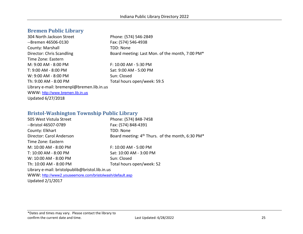#### <span id="page-24-0"></span>**Bremen Public Library**

304 North Jackson Street Phone: (574) 546-2849 --Bremen 46506-0130 Fax: (574) 546-4938 County: Marshall TDD: None Director: Chris Scandling Board meeting: Last Mon. of the month, 7:00 PM\* Time Zone: Eastern M: 9:00 AM - 8:00 PM F: 10:00 AM - 5:30 PM T: 9:00 AM - 8:00 PM Sat: 9:00 AM - 5:00 PM W: 9:00 AM - 8:00 PM Sun: Closed Th: 9:00 AM - 8:00 PM Total hours open/week: 59.5 Library e-mail: bremenpl@bremen.lib.in.us WWW: [http://www.bremen.lib.in.us](http://www.bremen.lib.in.us/) Updated 6/27/2018

#### <span id="page-24-1"></span>**Bristol-Washington Township Public Library**

| 505 West Vistula Street                         | Phone: (574) 848-7458                                                    |
|-------------------------------------------------|--------------------------------------------------------------------------|
| --Bristol 46507-0789                            | Fax: (574) 848-4391                                                      |
| County: Elkhart                                 | TDD: None                                                                |
| Director: Carol Anderson                        | Board meeting: 4 <sup>th</sup> Thurs. of the month, 6:30 PM <sup>*</sup> |
| Time Zone: Eastern                              |                                                                          |
| M: 10:00 AM - 8:00 PM                           | $F: 10:00$ AM - 5:00 PM                                                  |
| T: 10:00 AM - 8:00 PM                           | Sat: 10:00 AM - 3:00 PM                                                  |
| W: 10:00 AM - 8:00 PM                           | Sun: Closed                                                              |
| Th: 10:00 AM - 8:00 PM                          | Total hours open/week: 52                                                |
| Library e-mail: bristolpublib@bristol.lib.in.us |                                                                          |

WWW: <http://www2.youseemore.com/bristolwash/default.asp> Updated 2/1/2017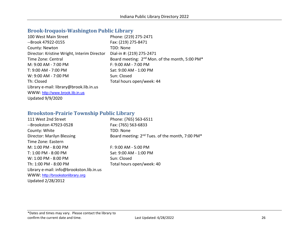#### <span id="page-25-0"></span>**Brook-Iroquois-Washington Public Library**

| 100 West Main Street                        | Phone: (219) 275-2471                                                  |
|---------------------------------------------|------------------------------------------------------------------------|
| --Brook 47922-0155                          | Fax: (219) 275-8471                                                    |
| County: Newton                              | TDD: None                                                              |
| Director: Kristine Wright, Interim Director | Dial-in #: (219) 275-2471                                              |
| Time Zone: Central                          | Board meeting: 2 <sup>nd</sup> Mon. of the month, 5:00 PM <sup>*</sup> |
| M: 9:00 AM - 7:00 PM                        | $F: 9:00$ AM - 7:00 PM                                                 |
| T: 9:00 AM - 7:00 PM                        | Sat: 9:00 AM - 1:00 PM                                                 |
| W: 9:00 AM - 7:00 PM                        | Sun: Closed                                                            |
| Th: Closed                                  | Total hours open/week: 44                                              |
| Library e-mail: library@brook.lib.in.us     |                                                                        |
| WWW: http://www.brook.lib.in.us             |                                                                        |
| <b>Updated 9/9/2020</b>                     |                                                                        |

#### <span id="page-25-1"></span>**Brookston-Prairie Township Public Library**

| 111 West 2nd Street                      | Phone: (765) 563-6511                                                   |
|------------------------------------------|-------------------------------------------------------------------------|
| --Brookston 47923-0528                   | Fax: (765) 563-6833                                                     |
| County: White                            | TDD: None                                                               |
| <b>Director: Marilyn Blessing</b>        | Board meeting: 2 <sup>nd</sup> Tues. of the month, 7:00 PM <sup>*</sup> |
| Time Zone: Eastern                       |                                                                         |
| M: 1:00 PM - 8:00 PM                     | $F: 9:00$ AM - 5:00 PM                                                  |
| T: 1:00 PM - 8:00 PM                     | Sat: 9:00 AM - 1:00 PM                                                  |
| W: 1:00 PM - 8:00 PM                     | Sun: Closed                                                             |
| Th: 1:00 PM - 8:00 PM                    | Total hours open/week: 40                                               |
| Library e-mail: info@brookston.lib.in.us |                                                                         |
| WWW: http://brookstonlibrary.org         |                                                                         |
| <b>Updated 2/28/2012</b>                 |                                                                         |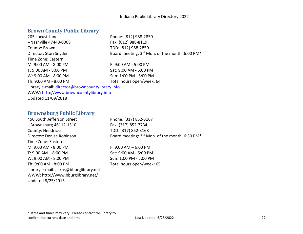#### <span id="page-26-0"></span>**Brown County Public Library**

| 205 Locust Lane                                  | Phone: (812) 988-2850                          |
|--------------------------------------------------|------------------------------------------------|
| --Nashville 47448-0008                           | Fax: (812) 988-8119                            |
| County: Brown                                    | TDD: (812) 988-2850                            |
| Director: Stori Snyder                           | Board meeting: 3rd Mon. of the month, 6:00 PM* |
| Time Zone: Eastern                               |                                                |
| M: 9:00 AM - 8:00 PM                             | F: 9:00 AM - 5:00 PM                           |
| T: 9:00 AM - 8:00 PM                             | Sat: 9:00 AM - 5:00 PM                         |
| W: 9:00 AM - 8:00 PM                             | Sun: 1:00 PM - 5:00 PM                         |
| Th: 9:00 AM - 8:00 PM                            | Total hours open/week: 64                      |
| Library e-mail: director@browncountylibrary.info |                                                |
| WWW: http://www.browncountylibrary.info          |                                                |
| Updated 11/09/2018                               |                                                |

# <span id="page-26-1"></span>**Brownsburg Public Library**<br>450 South Jefferson Street

--Brownsburg 46112-1310 Fax: (317) 852-7734 County: Hendricks TDD: (317) 852-3168 Time Zone: Eastern M: 9:00 AM - 8:00 PM F: 9:00 AM – 6:00 PM T: 9:00 AM – 8:00 PM Sat: 9:00 AM - 5:00 PM W: 9:00 AM - 8:00 PM Sun: 1:00 PM - 5:00 PM Th: 9:00 AM - 8:00 PM Total hours open/week: 65 Library e-mail: askus@bburglibrary.net WWW: http://www.bburglibrary.net/ Updated 8/25/2015

Phone: (317) 852-3167 Director: Denise Robinson Board meeting: 3<sup>rd</sup> Mon. of the month, 6:30 PM<sup>\*</sup>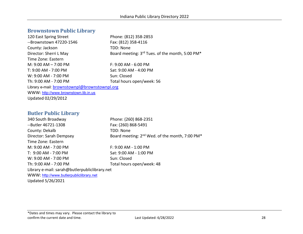#### <span id="page-27-0"></span>**Brownstown Public Library**

| 120 East Spring Street                        | Phone: (812) 358-2853                           |
|-----------------------------------------------|-------------------------------------------------|
| --Brownstown 47220-1546                       | Fax: (812) 358-4116                             |
| County: Jackson                               | TDD: None                                       |
| Director: Sherri L May                        | Board meeting: 3rd Tues. of the month, 5:00 PM* |
| Time Zone: Eastern                            |                                                 |
| M: $9:00$ AM $-$ 7:00 PM                      | $F: 9:00$ AM - 6:00 PM                          |
| T: 9:00 AM - 7:00 PM                          | Sat: 9:00 AM - 4:00 PM                          |
| W: 9:00 AM - 7:00 PM                          | Sun: Closed                                     |
| Th: 9:00 AM - 7:00 PM                         | Total hours open/week: 56                       |
| Library e-mail: brownstownpl@brownstownpl.org |                                                 |
| WWW: http://www.brownstown.lib.in.us          |                                                 |
| Updated 02/29/2012                            |                                                 |

#### <span id="page-27-1"></span>**Butler Public Library**

340 South Broadway Phone: (260) 868-2351 --Butler 46721-1308 Fax: (260) 868-5491 County: Dekalb TDD: None Director: Sarah Dempsey Board meeting: 2<sup>nd</sup> Wed. of the month, 7:00 PM<sup>\*</sup> Time Zone: Eastern M: 9:00 AM - 7:00 PM F: 9:00 AM - 1:00 PM T: 9:00 AM - 7:00 PM Sat: 9:00 AM - 1:00 PM W: 9:00 AM - 7:00 PM Sun: Closed Th: 9:00 AM - 7:00 PM Total hours open/week: 48 Library e-mail: sarah@butlerpubliclibrary.net WWW: [http://www.butlerpubliclibrary.net](http://www.butlerpubliclibrary.net/)

Updated 5/26/2021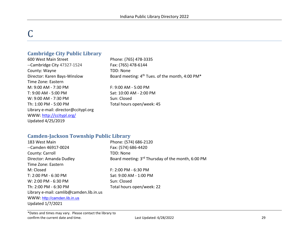# <span id="page-28-0"></span>C

#### <span id="page-28-1"></span>**Cambridge City Public Library**

600 West Main Street Phone: (765) 478-3335 --Cambridge City 47327-1524 Fax: (765) 478-6144 County: Wayne TDD: None Time Zone: Eastern M: 9:00 AM - 7:30 PM F: 9:00 AM - 5:00 PM T: 9:00 AM - 5:00 PM Sat: 10:00 AM - 2:00 PM W: 9:00 AM - 7:30 PM Sun: Closed Th: 1:00 PM - 5:00 PM TOTAL Total hours open/week: 45 Library e-mail: director@ccitypl.org WWW:<http://ccitypl.org/> Updated 4/25/2019

Director: Karen Bays-Winslow Board meeting: 4<sup>th</sup> Tues. of the month, 4:00 PM<sup>\*</sup>

#### <span id="page-28-2"></span>**Camden-Jackson Township Public Library**

| 183 West Main                           | Phone: (574) 686-2120                             |
|-----------------------------------------|---------------------------------------------------|
| --Camden 46917-0024                     | Fax: (574) 686-4420                               |
| County: Carroll                         | TDD: None                                         |
| Director: Amanda Dudley                 | Board meeting: 3rd Thursday of the month, 6:00 PM |
| Time Zone: Eastern                      |                                                   |
| M: Closed                               | $F: 2:00$ PM - 6:30 PM                            |
| T: 2:00 PM - 6:30 PM                    | Sat: 9:00 AM - 1:00 PM                            |
| W: 2:00 PM - 6:30 PM                    | Sun: Closed                                       |
| Th: 2:00 PM - 6:30 PM                   | Total hours open/week: 22                         |
| Library e-mail: camlib@camden.lib.in.us |                                                   |
| WWW: http://camden.lib.in.us            |                                                   |
| Updated 1/7/2021                        |                                                   |
|                                         |                                                   |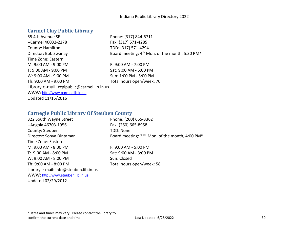#### <span id="page-29-0"></span>**Carmel Clay Public Library**

55 4th Avenue SE Phone: (317) 844-6711 --Carmel 46032-2278 Fax: (317) 571-4285 County: Hamilton TDD: (317) 571-4294 Director: Bob Swanay Board meeting: 4<sup>th</sup> Mon. of the month, 5:30 PM<sup>\*</sup> Time Zone: Eastern M: 9:00 AM - 9:00 PM F: 9:00 AM - 7:00 PM T: 9:00 AM - 9:00 PM Sat: 9:00 AM - 5:00 PM W: 9:00 AM - 9:00 PM Sun: 1:00 PM - 5:00 PM Th: 9:00 AM - 9:00 PM Total hours open/week: 70 Library e-mail: ccplpublic@carmel.lib.in.us WWW: [http://www.carmel.lib.in.us](http://www.carmel.lib.in.us/) Updated 11/15/2016

#### <span id="page-29-1"></span>**Carnegie Public Library Of Steuben County**

322 South Wayne Street Phone: (260) 665-3362 --Angola 46703-1956 Fax: (260) 665-8958 County: Steuben TDD: None Director: Sonya Dintaman Board meeting: 2<sup>nd</sup> Mon. of the month, 4:00 PM<sup>\*</sup> Time Zone: Eastern M: 9:00 AM - 8:00 PM F: 9:00 AM - 5:00 PM T: 9:00 AM - 8:00 PM Sat: 9:00 AM - 3:00 PM W: 9:00 AM - 8:00 PM Sun: Closed Th: 9:00 AM - 8:00 PM Total hours open/week: 58 Library e-mail: info@steuben.lib.in.us WWW: [http://www.steuben.lib.in.us](http://www.steuben.lib.in.us/) Updated 02/29/2012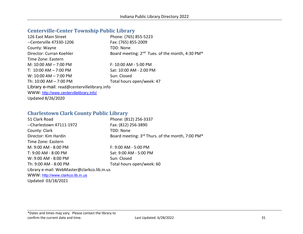#### <span id="page-30-0"></span>**Centerville-Center Township Public Library**

| 126 East Main Street                         | Phone: (765) 855-5223                                       |
|----------------------------------------------|-------------------------------------------------------------|
| --Centerville 47330-1206                     | Fax: (765) 855-2009                                         |
| County: Wayne                                | TDD: None                                                   |
| Director: Curran Koehler                     | Board meeting: 2 <sup>nd</sup> Tues. of the month, 4:30 PM* |
| Time Zone: Eastern                           |                                                             |
| M: $10:00$ AM $-$ 7:00 PM                    | $F: 10:00$ AM - 5:00 PM                                     |
| T: $10:00$ AM $- 7:00$ PM                    | Sat: 10:00 AM - 2:00 PM                                     |
| W: $10:00$ AM $- 7:00$ PM                    | Sun: Closed                                                 |
| Th: 10:00 AM - 7:00 PM                       | Total hours open/week: 47                                   |
| Library e-mail: read@centervillelibrary.info |                                                             |
| WWW: http://www.centervillelibrary.info/     |                                                             |
| <b>Updated 8/26/2020</b>                     |                                                             |

#### <span id="page-30-1"></span>**Charlestown Clark County Public Library**

| 51 Clark Road                               | Phone: (812) 256-3337                                                    |
|---------------------------------------------|--------------------------------------------------------------------------|
| --Charlestown 47111-1972                    | Fax: (812) 256-3890                                                      |
| County: Clark                               | TDD: None                                                                |
| Director: Kim Hardin                        | Board meeting: 3 <sup>rd</sup> Thurs. of the month, 7:00 PM <sup>*</sup> |
| Time Zone: Eastern                          |                                                                          |
| M: 9:00 AM - 8:00 PM                        | $F: 9:00$ AM - 5:00 PM                                                   |
| T: 9:00 AM - 8:00 PM                        | Sat: 9:00 AM - 5:00 PM                                                   |
| W: 9:00 AM - 8:00 PM                        | Sun: Closed                                                              |
| Th: 9:00 AM - 8:00 PM                       | Total hours open/week: 60                                                |
| Library e-mail: WebMaster@clarkco.lib.in.us |                                                                          |
| WWW: http://www.clarkco.lib.in.us           |                                                                          |
| Updated 03/18/2021                          |                                                                          |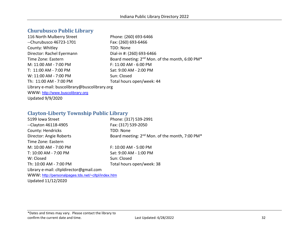#### <span id="page-31-0"></span>**Churubusco Public Library**

| Phone: (260) 693-6466                                                  |
|------------------------------------------------------------------------|
| Fax: (260) 693-6466                                                    |
| TDD: None                                                              |
| Dial-in #: (260) 693-6466                                              |
| Board meeting: 2 <sup>nd</sup> Mon. of the month, 6:00 PM <sup>*</sup> |
| F: 11:00 AM - 6:00 PM                                                  |
| Sat: 9:00 AM - 2:00 PM                                                 |
| Sun: Closed                                                            |
| Total hours open/week: 44                                              |
| Library e-mail: buscolibrary@buscolibrary.org                          |
|                                                                        |
|                                                                        |
|                                                                        |

#### <span id="page-31-1"></span>**Clayton-Liberty Township Public Library**

| 5199 Iowa Street                                   | Phone: (317) 539-2991                                      |
|----------------------------------------------------|------------------------------------------------------------|
| $-$ Clayton 46118-4905                             | Fax: (317) 539-2050                                        |
| County: Hendricks                                  | TDD: None                                                  |
| Director: Angie Roberts                            | Board meeting: 2 <sup>nd</sup> Mon. of the month, 7:00 PM* |
| Time Zone: Eastern                                 |                                                            |
| M: 10:00 AM - 7:00 PM                              | F: 10:00 AM - 5:00 PM                                      |
| T: 10:00 AM - 7:00 PM                              | Sat: 9:00 AM - 1:00 PM                                     |
| W: Closed                                          | Sun: Closed                                                |
| Th: 10:00 AM - 7:00 PM                             | Total hours open/week: 38                                  |
| Library e-mail: cltpldirector@gmail.com            |                                                            |
| WWW: http://personalpages.tds.net/~cltpl/index.htm |                                                            |
| Updated 11/12/2020                                 |                                                            |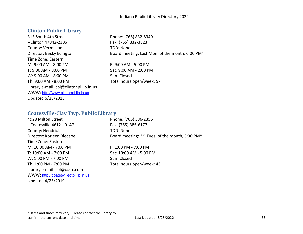#### <span id="page-32-0"></span>**Clinton Public Library**

313 South 4th Street Phone: (765) 832-8349 --Clinton 47842-2306 Fax: (765) 832-3823 County: Vermillion TDD: None Time Zone: Eastern M: 9:00 AM - 8:00 PM F: 9:00 AM - 5:00 PM T: 9:00 AM - 8:00 PM Sat: 9:00 AM - 2:00 PM W: 9:00 AM - 8:00 PM Sun: Closed Th: 9:00 AM - 8:00 PM Total hours open/week: 57 Library e-mail: cpl@clintonpl.lib.in.us WWW: [http://www.clintonpl.lib.in.us](http://www.clintonpl.lib.in.us/) Updated 6/28/2013

Director: Becky Edington Board meeting: Last Mon. of the month, 6:00 PM\*

#### <span id="page-32-1"></span>**Coatesville-Clay Twp. Public Library**

| 4928 Milton Street                    | Phone: (765) 386-2355                                       |
|---------------------------------------|-------------------------------------------------------------|
| --Coatesville 46121-0147              | Fax: (765) 386-6177                                         |
| County: Hendricks                     | TDD: None                                                   |
| Director: Korleen Bledsoe             | Board meeting: 2 <sup>nd</sup> Tues. of the month, 5:30 PM* |
| Time Zone: Eastern                    |                                                             |
| M: 10:00 AM - 7:00 PM                 | F: 1:00 PM - 7:00 PM                                        |
| T: 10:00 AM - 7:00 PM                 | Sat: 10:00 AM - 5:00 PM                                     |
| W: 1:00 PM - 7:00 PM                  | Sun: Closed                                                 |
| Th: 1:00 PM - 7:00 PM                 | Total hours open/week: 43                                   |
| Library e-mail: cpl@ccrtc.com         |                                                             |
| WWW: http://coatesvillectpl.lib.in.us |                                                             |
| Updated 4/25/2019                     |                                                             |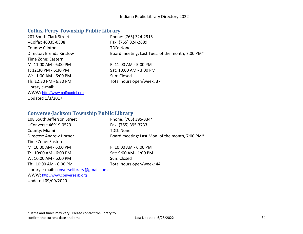#### <span id="page-33-0"></span>**Colfax-Perry Township Public Library**

| 207 South Clark Street         | Phone: (765) 324-2915                            |
|--------------------------------|--------------------------------------------------|
| --Colfax 46035-0308            | Fax: (765) 324-2689                              |
| County: Clinton                | TDD: None                                        |
| Director: Brenda Kinslow       | Board meeting: Last Tues. of the month, 7:00 PM* |
| Time Zone: Eastern             |                                                  |
| M: 11:00 AM - 6:00 PM          | F: 11:00 AM - 5:00 PM                            |
| T: 12:30 PM - 6:30 PM          | Sat: 10:00 AM - 3:00 PM                          |
| W: 11:00 AM - 6:00 PM          | Sun: Closed                                      |
| Th: 12:30 PM - 6:30 PM         | Total hours open/week: 37                        |
| Library e-mail:                |                                                  |
| WWW: http://www.colfaxptpl.org |                                                  |
| <b>Updated 1/3/2017</b>        |                                                  |

#### <span id="page-33-1"></span>**Converse-Jackson Township Public Library**

| 108 South Jefferson Street                | Phone: (765) 395-3344                           |
|-------------------------------------------|-------------------------------------------------|
| --Converse 46919-0529                     | Fax: (765) 395-3733                             |
| County: Miami                             | TDD: None                                       |
| Director: Andrew Horner                   | Board meeting: Last Mon. of the month, 7:00 PM* |
| Time Zone: Eastern                        |                                                 |
| M: 10:00 AM - 6:00 PM                     | F: 10:00 AM - 6:00 PM                           |
| T: 10:00 AM - 6:00 PM                     | Sat: 9:00 AM - 1:00 PM                          |
| W: 10:00 AM - 6:00 PM                     | Sun: Closed                                     |
| Th: 10:00 AM - 6:00 PM                    | Total hours open/week: 44                       |
| Library e-mail: converselibrary@gmail.com |                                                 |
| WWW: http://www.converselib.org           |                                                 |
|                                           |                                                 |

Updated 09/09/2020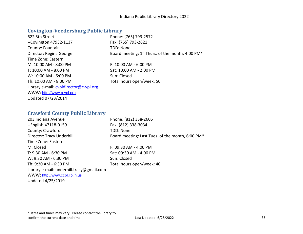#### <span id="page-34-0"></span>**Covington-Veedersburg Public Library**

| 622 5th Street                         | Phone: (765) 793-2572                                        |
|----------------------------------------|--------------------------------------------------------------|
| --Covington 47932-1137                 | Fax: (765) 793-2621                                          |
| County: Fountain                       | TDD: None                                                    |
| Director: Regina George                | Board meeting: 1 <sup>st</sup> Thurs. of the month, 4:00 PM* |
| Time Zone: Eastern                     |                                                              |
| M: 10:00 AM - 8:00 PM                  | F: 10:00 AM - 6:00 PM                                        |
| T: 10:00 AM - 8:00 PM                  | Sat: 10:00 AM - 2:00 PM                                      |
| W: 10:00 AM - 6:00 PM                  | Sun: Closed                                                  |
| Th: 10:00 AM - 8:00 PM                 | Total hours open/week: 50                                    |
| Library e-mail: cypidirector@c-vpl.org |                                                              |
| WWW: http://www.c-vpl.org              |                                                              |
| Updated 07/23/2014                     |                                                              |

#### <span id="page-34-1"></span>**Crawford County Public Library**

| 203 Indiana Avenue                        | Phone: (812) 338-2606                            |
|-------------------------------------------|--------------------------------------------------|
| --English 47118-0159                      | Fax: (812) 338-3034                              |
| County: Crawford                          | TDD: None                                        |
| Director: Tracy Underhill                 | Board meeting: Last Tues. of the month, 6:00 PM* |
| Time Zone: Eastern                        |                                                  |
| M: Closed                                 | $F: 09:30$ AM - 4:00 PM                          |
| T: 9:30 AM - 6:30 PM                      | Sat: 09:30 AM - 4:00 PM                          |
| W: 9:30 AM - 6:30 PM                      | Sun: Closed                                      |
| Th: 9:30 AM - 6:30 PM                     | Total hours open/week: 40                        |
| Library e-mail: underhill.tracy@gmail.com |                                                  |
| WWW: http://www.ccpl.lib.in.us            |                                                  |
| Updated 4/25/2019                         |                                                  |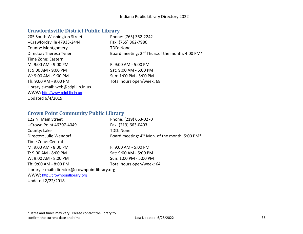#### <span id="page-35-0"></span>**Crawfordsville District Public Library**

| 205 South Washington Street        | Phone: (765) 362-2242                                                   |
|------------------------------------|-------------------------------------------------------------------------|
| --Crawfordsville 47933-2444        | Fax: (765) 362-7986                                                     |
| County: Montgomery                 | TDD: None                                                               |
| Director: Theresa Tyner            | Board meeting: 2 <sup>nd</sup> Thurs.of the month, 4:00 PM <sup>*</sup> |
| Time Zone: Eastern                 |                                                                         |
| M: 9:00 AM - 9:00 PM               | $F: 9:00$ AM - 5:00 PM                                                  |
| T: 9:00 AM - 9:00 PM               | Sat: 9:00 AM - 5:00 PM                                                  |
| W: 9:00 AM - 9:00 PM               | Sun: 1:00 PM - 5:00 PM                                                  |
| Th: 9:00 AM - 9:00 PM              | Total hours open/week: 68                                               |
| Library e-mail: web@cdpl.lib.in.us |                                                                         |
| WWW: http://www.cdpl.lib.in.us     |                                                                         |
| <b>Updated 6/4/2019</b>            |                                                                         |

#### <span id="page-35-1"></span>**Crown Point Community Public Library**

| 122 N. Main Street                             | Phone: (219) 663-0270                                                  |
|------------------------------------------------|------------------------------------------------------------------------|
| --Crown Point 46307-4049                       | Fax: (219) 663-0403                                                    |
| County: Lake                                   | TDD: None                                                              |
| Director: Julie Wendorf                        | Board meeting: 4 <sup>th</sup> Mon. of the month, 5:00 PM <sup>*</sup> |
| Time Zone: Central                             |                                                                        |
| M: 9:00 AM - 8:00 PM                           | $F: 9:00$ AM - 5:00 PM                                                 |
| T: 9:00 AM - 8:00 PM                           | Sat: 9:00 AM - 5:00 PM                                                 |
| W: 9:00 AM - 8:00 PM                           | Sun: 1:00 PM - 5:00 PM                                                 |
| Th: 9:00 AM - 8:00 PM                          | Total hours open/week: 64                                              |
| Library e-mail: director@crownpointlibrary.org |                                                                        |
| WWW: http://crownpointlibrary.org              |                                                                        |
| Updated 2/22/2018                              |                                                                        |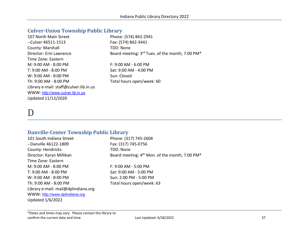# **Culver-Union Township Public Library**

| 107 North Main Street                  | Phone: (574) 842-2941                           |
|----------------------------------------|-------------------------------------------------|
| --Culver 46511-1513                    | Fax: (574) 842-3441                             |
| County: Marshall                       | TDD: None                                       |
| Director: Erin Lawrence                | Board meeting: 3rd Tues. of the month, 7:00 PM* |
| Time Zone: Eastern                     |                                                 |
| M: 9:00 AM - 8:00 PM                   | $F: 9:00 AM - 6:00 PM$                          |
| T: 9:00 AM - 8:00 PM                   | Sat: 9:00 AM - 4:00 PM                          |
| W: 9:00 AM - 8:00 PM                   | Sun: Closed                                     |
| Th: 9:00 AM - 8:00 PM                  | Total hours open/week: 60                       |
| Library e-mail: staff@culver.lib.in.us |                                                 |
| WWW: http://www.culver.lib.in.us       |                                                 |
| Updated 11/12/2020                     |                                                 |

# D

# **Danville-Center Township Public Library**

| 101 South Indiana Street            | Phone: (317) 745-2604                            |
|-------------------------------------|--------------------------------------------------|
| --Danville 46122-1809               | Fax: (317) 745-0756                              |
| County: Hendricks                   | TDD: None                                        |
| Director: Karyn Millikan            | Board meeting: $4th$ Mon. of the month, 7:00 PM* |
| Time Zone: Eastern                  |                                                  |
| M: 9:00 AM - 8:00 PM                | F: 9:00 AM - 5:00 PM                             |
| T: 9:00 AM - 8:00 PM                | Sat: 9:00 AM - 5:00 PM                           |
| W: 9:00 AM - 8:00 PM                | Sun: 2:00 PM - 5:00 PM                           |
| Th: 9:00 AM - 8:00 PM               | Total hours open/week: 63                        |
| Library e-mail: mail@dplindiana.org |                                                  |
| WWW: http://www.dplindiana.org      |                                                  |
| Updated 1/6/2022                    |                                                  |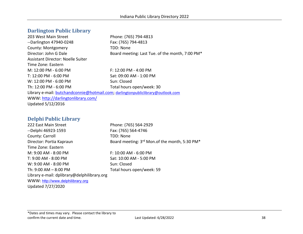# **Darlington Public Library**

| 203 West Main Street                                                            | Phone: (765) 794-4813                           |
|---------------------------------------------------------------------------------|-------------------------------------------------|
| --Darlington 47940-0248                                                         | Fax: (765) 794-4813                             |
| County: Montgomery                                                              | TDD: None                                       |
| Director: John G Dale                                                           | Board meeting: Last Tue. of the month, 7:00 PM* |
| <b>Assistant Director: Noelle Suiter</b>                                        |                                                 |
| Time Zone: Eastern                                                              |                                                 |
| M: 12:00 PM - 6:00 PM                                                           | $F: 12:00$ PM - 4:00 PM                         |
| T: 12:00 PM - 6:00 PM                                                           | Sat: 09:00 AM - 1:00 PM                         |
| W: 12:00 PM - 6:00 PM                                                           | Sun: Closed                                     |
| Th: 12:00 PM - 6:00 PM                                                          | Total hours open/week: 30                       |
| Library e-mail: butchandconnie@hotmail.com; darlingtonpubliclibrary@outlook.com |                                                 |
| WWW: http://darlingtonlibrary.com/                                              |                                                 |
| Updated 5/12/2016                                                               |                                                 |

# **Delphi Public Library**

222 East Main Street Phone: (765) 564-2929 --Delphi 46923-1593 Fax: (765) 564-4746 County: Carroll **TDD: None** Director: Portia Kapraun Board meeting: 3<sup>rd</sup> Mon.of the month, 5:30 PM<sup>\*</sup> Time Zone: Eastern M: 9:00 AM - 8:00 PM F: 10:00 AM - 6:00 PM T: 9:00 AM - 8:00 PM Sat: 10:00 AM - 5:00 PM W: 9:00 AM - 8:00 PM Sun: Closed Th:  $9:00$  AM –  $8:00$  PM Total hours open/week: 59 Library e-mail: dplibrary@delphilibrary.org WWW: [http://www.delphilibrary.org](http://www.delphilibrary.org/) Updated 7/27/2020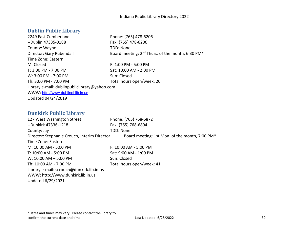# **Dublin Public Library**

2249 East Cumberland Phone: (765) 478-6206 --Dublin 47335-0188 Fax: (765) 478-6206 County: Wayne TDD: None Director: Gary Rubendall Board meeting: 2<sup>nd</sup> Thurs. of the month, 6:30 PM<sup>\*</sup> Time Zone: Eastern M: Closed **F: 1:00 PM - 5:00 PM** T: 3:00 PM - 7:00 PM Sat: 10:00 AM - 2:00 PM W: 3:00 PM - 7:00 PM Sun: Closed Th: 3:00 PM - 7:00 PM TOTAL Total hours open/week: 20 Library e-mail: dublinpubliclibrary@yahoo.com WWW: [http://www.dublinpl.lib.in.us](http://www.dublinpl.lib.in.us/) Updated 04/24/2019

# **Dunkirk Public Library**

| 127 West Washington Street                   | Phone: (765) 768-6872                          |
|----------------------------------------------|------------------------------------------------|
| --Dunkirk 47336-1218                         | Fax: (765) 768-6894                            |
| County: Jay                                  | TDD: None                                      |
| Director: Stephanie Crouch, Interim Director | Board meeting: 1st Mon. of the month, 7:00 PM* |
| Time Zone: Eastern                           |                                                |
| M: 10:00 AM - 5:00 PM                        | F: 10:00 AM - 5:00 PM                          |
| T: 10:00 AM - 5:00 PM                        | Sat: 9:00 AM - 1:00 PM                         |
| $W: 10:00$ AM $- 5:00$ PM                    | Sun: Closed                                    |
| Th: 10:00 AM - 7:00 PM                       | Total hours open/week: 41                      |
| Library e-mail: scrouch@dunkirk.lib.in.us    |                                                |
| WWW: http://www.dunkirk.lib.in.us            |                                                |
| Updated 6/29/2021                            |                                                |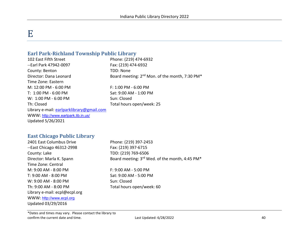# E

# **Earl Park-Richland Township Public Library**

102 East Fifth Street Phone: (219) 474-6932 --Earl Park 47942-0097 Fax: (219) 474-6932 County: Benton TDD: None Director: Dana Leonard Board meeting: 2<sup>nd</sup> Mon. of the month, 7:30 PM<sup>\*</sup> Time Zone: Eastern M: 12:00 PM - 6:00 PM  $-$  F: 1:00 PM - 6:00 PM T: 1:00 PM - 6:00 PM Sat: 9:00 AM - 1:00 PM W: 1:00 PM - 6:00 PM Sun: Closed Th: Closed Total hours open/week: 25 Library e-mail: [earlparklibrary@gmail.com](mailto:earlparklibrary@gmail.com) WWW: <http://www.earlpark.lib.in.us/> Updated 5/26/2021

#### **East Chicago Public Library**

2401 East Columbus Drive Phone: (219) 397-2453 --East Chicago 46312-2998 Fax: (219) 397-6715 County: Lake TDD: (219) 769-6506 Director: Marla K. Spann Board meeting: 3rd Wed. of the month, 4:45 PM\* Time Zone: Central M: 9:00 AM - 8:00 PM F: 9:00 AM - 5:00 PM T: 9:00 AM - 8:00 PM Sat: 9:00 AM - 5:00 PM W: 9:00 AM - 8:00 PM Sun: Closed Th: 9:00 AM - 8:00 PM Total hours open/week: 60 Library e-mail: ecpl@ecpl.org WWW: [http://www.ecpl.org](http://www.ecpl.org/) Updated 03/29/2016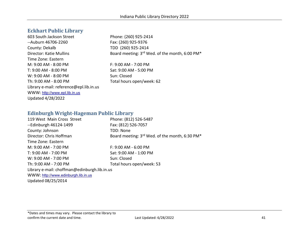# **Eckhart Public Library**

603 South Jackson Street Phone: (260) 925-2414 --Auburn 46706-2260 Fax: (260) 925-9376 County: Dekalb TDD (260) 925-2414 Time Zone: Eastern M: 9:00 AM - 8:00 PM F: 9:00 AM - 7:00 PM T: 9:00 AM - 8:00 PM Sat: 9:00 AM - 5:00 PM W: 9:00 AM - 8:00 PM Sun: Closed Th: 9:00 AM - 8:00 PM Total hours open/week: 62 Library e-mail: reference@epl.lib.in.us WWW: [http://www.epl.lib.in.us](http://www.epl.lib.in.us/) Updated 4/28/2022

Director: Katie Mullins Board meeting: 3rd Wed. of the month, 6:00 PM\*

# **Edinburgh Wright-Hageman Public Library**

| 119 West Main Cross Street                   | Phone: (812) 526-5487                                                  |
|----------------------------------------------|------------------------------------------------------------------------|
|                                              |                                                                        |
| --Edinburgh 46124-1499                       | Fax: (812) 526-7057                                                    |
| County: Johnson                              | TDD: None                                                              |
| Director: Chris Hoffman                      | Board meeting: 3 <sup>rd</sup> Wed. of the month, 6:30 PM <sup>*</sup> |
| Time Zone: Eastern                           |                                                                        |
| M: 9:00 AM - 7:00 PM                         | F: 9:00 AM - 6:00 PM                                                   |
| T: 9:00 AM - 7:00 PM                         | Sat: 9:00 AM - 1:00 PM                                                 |
| W: 9:00 AM - 7:00 PM                         | Sun: Closed                                                            |
| Th: 9:00 AM - 7:00 PM                        | Total hours open/week: 53                                              |
| Library e-mail: choffman@edinburgh.lib.in.us |                                                                        |
| WWW: http://www.edinburgh.lib.in.us          |                                                                        |
| Updated 08/25/2014                           |                                                                        |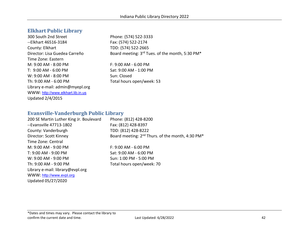# **Elkhart Public Library**

300 South 2nd Street Phone: (574) 522-3333 --Elkhart 46516-3184 Fax: (574) 522-2174 County: Elkhart TDD: (574) 522-2665 Time Zone: Eastern M: 9:00 AM - 8:00 PM F: 9:00 AM - 6:00 PM T: 9:00 AM - 6:00 PM Sat: 9:00 AM - 1:00 PM W: 9:00 AM - 8:00 PM Sun: Closed Th: 9:00 AM - 6:00 PM Total hours open/week: 53 Library e-mail: admin@myepl.org WWW: [http://www.elkhart.lib.in.us](http://www.elkhart.lib.in.us/) Updated 2/4/2015

Director: Lisa Guedea Carreño Board meeting: 3rd Tues. of the month, 5:30 PM\*

# **Evansville-Vanderburgh Public Library**

| 200 SE Martin Luther King Jr. Boulevard | Phone: (812) 428-8200                                                    |
|-----------------------------------------|--------------------------------------------------------------------------|
| --Evansville 47713-1802                 | Fax: (812) 428-8397                                                      |
| County: Vanderburgh                     | TDD: (812) 428-8222                                                      |
| Director: Scott Kinney                  | Board meeting: 2 <sup>nd</sup> Thurs. of the month, 4:30 PM <sup>*</sup> |
| Time Zone: Central                      |                                                                          |
| M: 9:00 AM - 9:00 PM                    | $F: 9:00$ AM - 6:00 PM                                                   |
| T: 9:00 AM - 9:00 PM                    | Sat: 9:00 AM - 6:00 PM                                                   |
| W: 9:00 AM - 9:00 PM                    | Sun: 1:00 PM - 5:00 PM                                                   |
| Th: 9:00 AM - 9:00 PM                   | Total hours open/week: 70                                                |
| Library e-mail: library@evpl.org        |                                                                          |
| WWW: http://www.evpl.org                |                                                                          |
| Updated 05/27/2020                      |                                                                          |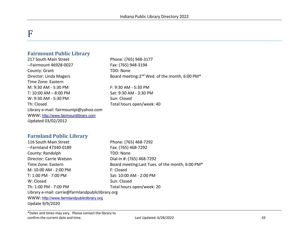# F

# **Fairmount Public Library**

217 South Main Street Phone: (765) 948-3177 --Fairmount 46928-0027 Fax: (765) 948-3194 County: Grant TDD: None Time Zone: Eastern M: 9:30 AM - 5:30 PM F: 9:30 AM - 5:30 PM T: 10:00 AM – 8:00 PM Sat: 9:30 AM - 3:30 PM W: 9:30 AM - 5:30 PM Sun: Closed Th: Closed Th: Closed The Total hours open/week: 40 Library e-mail: fairmountpl@yahoo.com WWW: [http://www.fairmountlibrary.com](http://www.fairmountlibrary.com/) Updated 03/02/2012

Director: Linda Magers Board meeting:2<sup>nd</sup> Wed. of the month, 6:00 PM<sup>\*</sup>

#### **Farmland Public Library**

| 116 South Main Street                            | Phone: (765) 468-7292                            |
|--------------------------------------------------|--------------------------------------------------|
| --Farmland 47340-0189                            | Fax: (765) 468-7292                              |
| County: Randolph                                 | <b>TDD: None</b>                                 |
| Director: Carrie Watson                          | Dial-in #: (765) 468-7292                        |
| Time Zone: Eastern                               | Board meeting: Last Tues. of the month, 6:00 PM* |
| M: 10:00 AM - 2:00 PM                            | F: Closed                                        |
| T: 1:00 PM - 7:00 PM                             | Sat: 10:00 AM - 2:00 PM                          |
| W: Closed                                        | Sun: Closed                                      |
| Th: 1:00 PM - 7:00 PM                            | Total hours open/week: 20                        |
| Library e-mail: carrie@farmlandpubliclibrary.org |                                                  |
| WWW: http://www.farmlandpubliclibrary.org        |                                                  |
| Update 9/9/2020                                  |                                                  |
|                                                  |                                                  |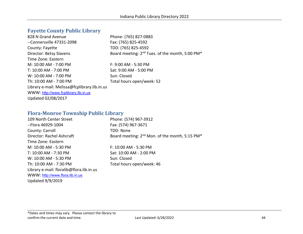# **Fayette County Public Library**

| 828 N Grand Avenue                           | Phone: (765) 827-0883                                                   |
|----------------------------------------------|-------------------------------------------------------------------------|
| --Connersville 47331-2098                    | Fax: (765) 825-4592                                                     |
| County: Fayette                              | TDD: (765) 825-4592                                                     |
| Director: Betsy Slavens                      | Board meeting: 2 <sup>nd</sup> Tues. of the month, 5:00 PM <sup>*</sup> |
| Time Zone: Eastern                           |                                                                         |
| M: 10:00 AM - 7:00 PM                        | F: 9:00 AM - 5:30 PM                                                    |
| T: 10:00 AM - 7:00 PM                        | Sat: 9:00 AM - 5:00 PM                                                  |
| W: 10:00 AM - 7:00 PM                        | Sun: Closed                                                             |
| Th: 10:00 AM - 7:00 PM                       | Total hours open/week: 52                                               |
| Library e-mail: Melissa@fcplibrary.lib.in.us |                                                                         |
| WWW: http://www.fcplibrary.lib.in.us         |                                                                         |
| Updated 02/08/2017                           |                                                                         |

# **Flora-Monroe Township Public Library**

| 109 North Center Street                  | Phone: (574) 967-3912                                                  |
|------------------------------------------|------------------------------------------------------------------------|
| --Flora 46929-1004                       | Fax: (574) 967-3671                                                    |
| County: Carroll                          | TDD: None                                                              |
| Director: Rachel Ashcraft                | Board meeting: 2 <sup>nd</sup> Mon. of the month, 5:15 PM <sup>*</sup> |
| Time Zone: Eastern                       |                                                                        |
| M: 10:00 AM - 5:30 PM                    | F: 10:00 AM - 5:30 PM                                                  |
| T: 10:00 AM - 7:30 PM                    | Sat: 10:00 AM - 2:00 PM                                                |
| W: 10:00 AM - 5:30 PM                    | Sun: Closed                                                            |
| Th: 10:00 AM - 7:30 PM                   | Total hours open/week: 46                                              |
| Library e-mail: floralib@flora.lib.in.us |                                                                        |
| WWW: http://www.flora.lib.in.us          |                                                                        |
| <b>Updated 9/9/2019</b>                  |                                                                        |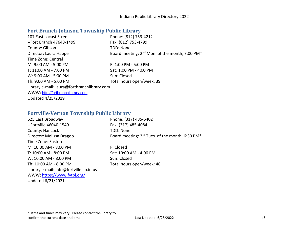# **Fort Branch-Johnson Township Public Library**

| Phone: (812) 753-4212                                                  |
|------------------------------------------------------------------------|
| Fax: (812) 753-4799                                                    |
| TDD: None                                                              |
| Board meeting: 2 <sup>nd</sup> Mon. of the month, 7:00 PM <sup>*</sup> |
|                                                                        |
| F: 1:00 PM - 5:00 PM                                                   |
| Sat: 1:00 PM - 4:00 PM                                                 |
| Sun: Closed                                                            |
| Total hours open/week: 39                                              |
| Library e-mail: laura@fortbranchlibrary.com                            |
|                                                                        |
|                                                                        |
|                                                                        |

# **Fortville-Vernon Township Public Library**

| 625 East Broadway                        | Phone: (317) 485-6402                                                   |
|------------------------------------------|-------------------------------------------------------------------------|
| --Fortville 46040-1549                   | Fax: (317) 485-4084                                                     |
| County: Hancock                          | TDD: None                                                               |
| Director: Melissa Dragoo                 | Board meeting: 3 <sup>rd</sup> Tues. of the month, 6:30 PM <sup>*</sup> |
| Time Zone: Eastern                       |                                                                         |
| M: 10:00 AM - 8:00 PM                    | F: Closed                                                               |
| T: 10:00 AM - 8:00 PM                    | Sat: 10:00 AM - 4:00 PM                                                 |
| W: 10:00 AM - 8:00 PM                    | Sun: Closed                                                             |
| Th: 10:00 AM - 8:00 PM                   | Total hours open/week: 46                                               |
| Library e-mail: info@fortville.lib.in.us |                                                                         |
| WWW: https://www.fvtpl.org/              |                                                                         |
| Updated 6/21/2021                        |                                                                         |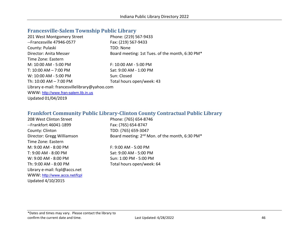# **Francesville-Salem Township Public Library**

| 201 West Montgomery Street                    | Phone: (219) 567-9433                           |
|-----------------------------------------------|-------------------------------------------------|
| --Francesville 47946-0577                     | Fax: (219) 567-9433                             |
| County: Pulaski                               | TDD: None                                       |
| Director: Anita Messer                        | Board meeting: 1st Tues. of the month, 6:30 PM* |
| Time Zone: Eastern                            |                                                 |
| M: 10:00 AM - 5:00 PM                         | F: 10:00 AM - 5:00 PM                           |
| T: $10:00$ AM $- 7:00$ PM                     | Sat: 9:00 AM - 1:00 PM                          |
| W: 10:00 AM - 5:00 PM                         | Sun: Closed                                     |
| Th: $10:00$ AM $- 7:00$ PM                    | Total hours open/week: 43                       |
| Library e-mail: francesvillelibrary@yahoo.com |                                                 |
| WWW: http://www.fran-salem.lib.in.us          |                                                 |
| Updated 01/04/2019                            |                                                 |

# **Frankfort Community Public Library-Clinton County Contractual Public Library**

| 208 West Clinton Street       | Phone: (765) 654-8746                                                  |
|-------------------------------|------------------------------------------------------------------------|
| --Frankfort 46041-1899        | Fax: (765) 654-8747                                                    |
| County: Clinton               | TDD: (765) 659-3047                                                    |
| Director: Gregg Williamson    | Board meeting: 2 <sup>nd</sup> Mon. of the month, 6:30 PM <sup>*</sup> |
| Time Zone: Eastern            |                                                                        |
| M: 9:00 AM - 8:00 PM          | $F: 9:00$ AM - 5:00 PM                                                 |
| T: 9:00 AM - 8:00 PM          | Sat: 9:00 AM - 5:00 PM                                                 |
| W: 9:00 AM - 8:00 PM          | Sun: 1:00 PM - 5:00 PM                                                 |
| Th: 9:00 AM - 8:00 PM         | Total hours open/week: 64                                              |
| Library e-mail: fcpl@accs.net |                                                                        |
| WWW: http://www.accs.net/fcpl |                                                                        |
| Updated 4/10/2015             |                                                                        |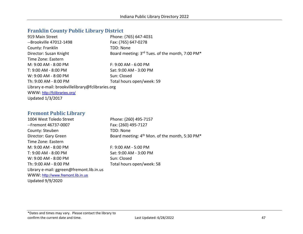## **Franklin County Public Library District**

| 919 Main Street                                   | Phone: (765) 647-4031                           |
|---------------------------------------------------|-------------------------------------------------|
| --Brookville 47012-1498                           | Fax: (765) 647-0278                             |
| County: Franklin                                  | TDD: None                                       |
| Director: Susan Knight                            | Board meeting: 3rd Tues. of the month, 7:00 PM* |
| Time Zone: Eastern                                |                                                 |
| M: 9:00 AM - 8:00 PM                              | $F: 9:00$ AM - 6:00 PM                          |
| T: 9:00 AM - 8:00 PM                              | Sat: 9:00 AM - 3:00 PM                          |
| W: 9:00 AM - 8:00 PM                              | Sun: Closed                                     |
| Th: 9:00 AM - 8:00 PM                             | Total hours open/week: 59                       |
| Library e-mail: brookvillelibrary@fclibraries.org |                                                 |
| WWW: http://fclibraries.org/                      |                                                 |
| <b>Updated 1/3/2017</b>                           |                                                 |

## **Fremont Public Library**

1004 West Toledo Street Phone: (260) 495-7157 --Fremont 46737-0007 Fax: (260) 495-7127 County: Steuben TDD: None Director: Gary Green Board meeting: 4<sup>th</sup> Mon. of the month, 5:30 PM<sup>\*</sup> Time Zone: Eastern M: 9:00 AM - 8:00 PM F: 9:00 AM - 5:00 PM T: 9:00 AM - 8:00 PM Sat: 9:00 AM - 3:00 PM W: 9:00 AM - 8:00 PM Sun: Closed Th: 9:00 AM - 8:00 PM Total hours open/week: 58 Library e-mail: ggreen@fremont.lib.in.us WWW: [http://www.fremont.lib.in.us](http://www.fremont.lib.in.us/) Updated 9/9/2020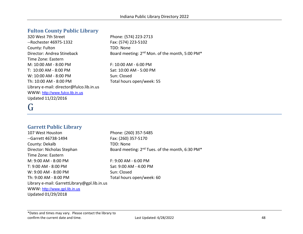# **Fulton County Public Library**

320 West 7th Street Phone: (574) 223-2713 --Rochester 46975-1332 Fax: (574) 223-5102 County: Fulton TDD: None Time Zone: Eastern M: 10:00 AM - 8:00 PM F: 10:00 AM - 6:00 PM T: 10:00 AM - 8:00 PM Sat: 10:00 AM - 5:00 PM W: 10:00 AM - 8:00 PM Sun: Closed Th: 10:00 AM - 8:00 PM Total hours open/week: 55 Library e-mail: director@fulco.lib.in.us WWW: [http://www.fulco.lib.in.us](http://www.fulco.lib.in.us/) Updated 11/22/2016

Director: Andrea Stineback Board meeting: 2<sup>nd</sup> Mon. of the month, 5:00 PM<sup>\*</sup>

# G

# **Garrett Public Library**

107 West Houston Phone: (260) 357-5485 --Garrett 46738-1494 Fax: (260) 357-5170 County: Dekalb TDD: None Director: Nicholas Stephan Board meeting: 2<sup>nd</sup> Tues. of the month, 6:30 PM<sup>\*</sup> Time Zone: Eastern M: 9:00 AM - 8:00 PM F: 9:00 AM - 6:00 PM T: 9:00 AM - 8:00 PM Sat: 9:00 AM - 4:00 PM W: 9:00 AM - 8:00 PM Sun: Closed Th: 9:00 AM - 8:00 PM Total hours open/week: 60 Library e-mail: GarrettLibrary@gpl.lib.in.us WWW: [http://www.gpl.lib.in.us](http://www.gpl.lib.in.us/) Updated 01/29/2018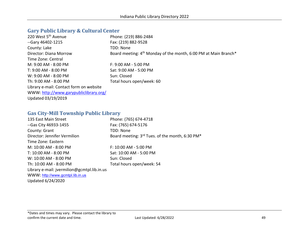# **Gary Public Library & Cultural Center**

| 220 West 5 <sup>th</sup> Avenue         | Phone: (219) 886-2484                                                       |
|-----------------------------------------|-----------------------------------------------------------------------------|
| --Gary 46402-1215                       | Fax: (219) 882-9528                                                         |
| County: Lake                            | TDD: None                                                                   |
| Director: Diana Morrow                  | Board meeting: 4 <sup>th</sup> Monday of the month, 6:00 PM at Main Branch* |
| Time Zone: Central                      |                                                                             |
| M: 9:00 AM - 8:00 PM                    | F: 9:00 AM - 5:00 PM                                                        |
| T: 9:00 AM - 8:00 PM                    | Sat: 9:00 AM - 5:00 PM                                                      |
| W: 9:00 AM - 8:00 PM                    | Sun: Closed                                                                 |
| Th: 9:00 AM - 8:00 PM                   | Total hours open/week: 60                                                   |
| Library e-mail: Contact form on website |                                                                             |
| WWW: http://www.garypubliclibrary.org/  |                                                                             |
| Updated 03/19/2019                      |                                                                             |

# **Gas City-Mill Township Public Library**

| 135 East Main Street                        | Phone: (765) 674-4718                                                   |
|---------------------------------------------|-------------------------------------------------------------------------|
| --Gas City 46933-1455                       | Fax: (765) 674-5176                                                     |
| County: Grant                               | TDD: None                                                               |
| Director: Jennifer Vermilion                | Board meeting: 3 <sup>rd</sup> Tues. of the month, 6:30 PM <sup>*</sup> |
| Time Zone: Eastern                          |                                                                         |
| M: 10:00 AM - 8:00 PM                       | F: 10:00 AM - 5:00 PM                                                   |
| T: 10:00 AM - 8:00 PM                       | Sat: 10:00 AM - 5:00 PM                                                 |
| W: 10:00 AM - 8:00 PM                       | Sun: Closed                                                             |
| Th: 10:00 AM - 8:00 PM                      | Total hours open/week: 54                                               |
| Library e-mail: jvermilion@gcmtpl.lib.in.us |                                                                         |
| WWW: http://www.gcmtpl.lib.in.us            |                                                                         |
| Updated 6/24/2020                           |                                                                         |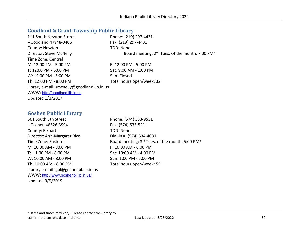#### **Goodland & Grant Township Public Library**

| 111 South Newton Street                     | Phone: (219) 297-4431                                                   |
|---------------------------------------------|-------------------------------------------------------------------------|
| --Goodland 47948-0405                       | Fax: (219) 297-4431                                                     |
| County: Newton                              | TDD: None                                                               |
| Director: Steve McNelly                     | Board meeting: 2 <sup>nd</sup> Tues. of the month, 7:00 PM <sup>*</sup> |
| Time Zone: Central                          |                                                                         |
| M: 12:00 PM - 5:00 PM                       | $F: 12:00$ PM - 5:00 PM                                                 |
| T: 12:00 PM - 5:00 PM                       | Sat: 9:00 AM - 1:00 PM                                                  |
| W: 12:00 PM - 5:00 PM                       | Sun: Closed                                                             |
| Th: 12:00 PM - 8:00 PM                      | Total hours open/week: 32                                               |
| Library e-mail: smcnelly@goodland.lib.in.us |                                                                         |
| WWW: http://goodland.lib.in.us              |                                                                         |
| <b>Updated 1/3/2017</b>                     |                                                                         |

#### **Goshen Public Library**

601 South 5th Street Phone: (574) 533-9531 --Goshen 46526-3994 Fax: (574) 533-5211 County: Elkhart TDD: None Director: Ann-Margaret Rice Dial-in #: (574) 534-4031 M: 10:00 AM - 8:00 PM F: 10:00 AM - 6:00 PM T: 1:00 PM - 8:00 PM Sat: 10:00 AM - 4:00 PM W: 10:00 AM - 8:00 PM Sun: 1:00 PM - 5:00 PM Th: 10:00 AM - 8:00 PM Total hours open/week: 55 Library e-mail: gpl@goshenpl.lib.in.us WWW: <http://www.goshenpl.lib.in.us/> Updated 9/9/2019

Time Zone: Eastern Board meeting: 3<sup>rd</sup> Tues. of the month, 5:00 PM<sup>\*</sup>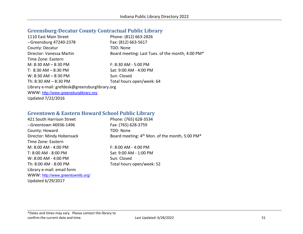# **Greensburg-Decatur County Contractual Public Library**

| 1110 East Main Street                          | Phone: (812) 663-2826                            |
|------------------------------------------------|--------------------------------------------------|
| --Greensburg 47240-2378                        | Fax: (812) 663-5617                              |
| County: Decatur                                | TDD: None                                        |
| Director: Vanessa Martin                       | Board meeting: Last Tues. of the month, 4:00 PM* |
| Time Zone: Eastern                             |                                                  |
| M: $8:30$ AM $- 8:30$ PM                       | F: 8:30 AM - 5:00 PM                             |
| T: $8:30$ AM $-8:30$ PM                        | Sat: 9:00 AM - 4:00 PM                           |
| $W: 8:30 AM - 8:30 PM$                         | Sun: Closed                                      |
| Th: $8:30$ AM $- 8:30$ PM                      | Total hours open/week: 64                        |
| Library e-mail: grefdesk@greensburglibrary.org |                                                  |
| WWW: http://www.greensburglibrary.org          |                                                  |
| Updated 7/22/2016                              |                                                  |

# **Greentown & Eastern Howard School Public Library**

| 421 South Harrison Street         | Phone: (765) 628-3534                                      |
|-----------------------------------|------------------------------------------------------------|
| --Greentown 46936-1496            | Fax: (765) 628-3759                                        |
| County: Howard                    | TDD: None                                                  |
| Director: Mindy Hobensack         | Board meeting: 4 <sup>th</sup> Mon. of the month, 5:00 PM* |
| Time Zone: Eastern                |                                                            |
| $M: 8:00 AM - 4:00 PM$            | $F: 8:00$ AM - 4:00 PM                                     |
| T: 8:00 AM - 8:00 PM              | Sat: 9:00 AM - 1:00 PM                                     |
| W: 8:00 AM - 4:00 PM              | Sun: Closed                                                |
| Th: 8:00 AM - 8:00 PM             | Total hours open/week: 52                                  |
| Library e-mail: email form        |                                                            |
| WWW: http://www.greentownlib.org/ |                                                            |
| Updated 6/29/2017                 |                                                            |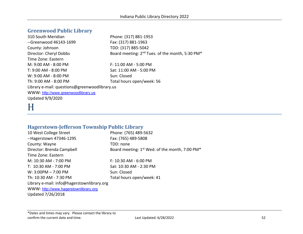# **Greenwood Public Library**

310 South Meridian Phone: (317) 881-1953 --Greenwood 46143-1699 Fax: (317) 881-1963 County: Johnson TDD: (317) 885-5042 Director: Cheryl Dobbs Board meeting: 2<sup>nd</sup> Tues. of the month, 5:30 PM<sup>\*</sup> Time Zone: Eastern M: 9:00 AM - 8:00 PM F: 11:00 AM - 5:00 PM T: 9:00 AM - 8:00 PM Sat: 11:00 AM - 5:00 PM W: 9:00 AM - 8:00 PM Sun: Closed Th: 9:00 AM - 8:00 PM Total hours open/week: 56 Library e-mail: questions@greenwoodlibrary.us WWW: [http://www.greenwoodlibrary.us](http://www.greenwoodlibrary.us/) Updated 9/9/2020

# H

# **Hagerstown-Jefferson Township Public Library**

10 West College Street Phone: (765) 489-5632 --Hagerstown 47346-1295 Fax: (765) 489-5808 County: Wayne TDD: none Director: Brenda Campbell Board meeting: 1<sup>st</sup> Wed. of the month, 7:00 PM<sup>\*</sup> Time Zone: Eastern M: 10:30 AM - 7:00 PM F: 10:30 AM - 6:00 PM T: 10:30 AM - 7:00 PM Sat: 10:30 AM - 2:30 PM W: 3:00PM – 7:00 PM Sun: Closed Th: 10:30 AM - 7:30 PM Total hours open/week: 41 Library e-mail: info@hagerstownlibrary.org WWW: [http://www.hagerstownlibrary.org](http://www.hagerstownlibrary.org/) Updated 7/26/2018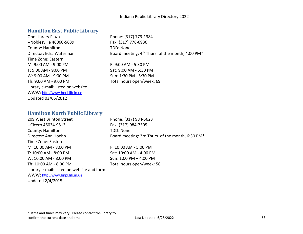# **Hamilton East Public Library**

One Library Plaza Phone: (317) 773-1384 --Noblesville 46060-5639 Fax: (317) 776-6936 County: Hamilton TDD: None Time Zone: Eastern M: 9:00 AM - 9:00 PM F: 9:00 AM - 5:30 PM T: 9:00 AM - 9:00 PM Sat: 9:00 AM - 5:30 PM W: 9:00 AM - 9:00 PM Sun: 1:30 PM - 5:30 PM Th: 9:00 AM - 9:00 PM Total hours open/week: 69 Library e-mail: listed on website WWW: [http://www.hepl.lib.in.us](http://www.hepl.lib.in.us/) Updated 03/05/2012

Director: Edra Waterman Board meeting: 4<sup>th</sup> Thurs. of the month, 4:00 PM<sup>\*</sup>

# **Hamilton North Public Library**

209 West Brinton Street Phone: (317) 984-5623 --Cicero 46034-9513 Fax: (317) 984-7505 County: Hamilton TDD: None Director: Ann Hoehn Board meeting: 3rd Thurs. of the month, 6:30 PM\* Time Zone: Eastern M: 10:00 AM - 8:00 PM F: 10:00 AM - 5:00 PM T: 10:00 AM - 8:00 PM Sat: 10:00 AM - 4:00 PM W: 10:00 AM - 8:00 PM Th: 10:00 AM - 8:00 PM Total hours open/week: 56 Library e-mail: listed on website and form WWW: [http://www.hnpl.lib.in.us](http://www.hnpl.lib.in.us/) Updated 2/4/2015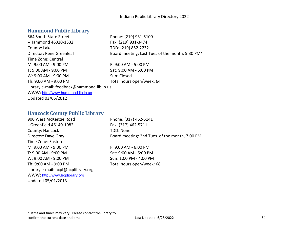# **Hammond Public Library**

564 South State Street Phone: (219) 931-5100 --Hammond 46320-1532 Fax: (219) 931-3474 County: Lake TDD: (219) 852-2232 Director: Rene Greenleaf Board meeting: Last Tues of the month, 5:30 PM\* Time Zone: Central M: 9:00 AM - 9:00 PM F: 9:00 AM - 5:00 PM T: 9:00 AM - 9:00 PM Sat: 9:00 AM - 5:00 PM W: 9:00 AM - 9:00 PM Sun: Closed Th: 9:00 AM - 9:00 PM Total hours open/week: 64 Library e-mail: feedback@hammond.lib.in.us WWW: [http://www.hammond.lib.in.us](http://www.hammond.lib.in.us/) Updated 03/05/2012

## **Hancock County Public Library**

900 West McKenzie Road Phone: (317) 462-5141 --Greenfield 46140-1082 Fax: (317) 462-5711 County: Hancock TDD: None Director: Dave Gray Board meeting: 2nd Tues. of the month, 7:00 PM Time Zone: Eastern M: 9:00 AM - 9:00 PM F: 9:00 AM - 6:00 PM T: 9:00 AM - 9:00 PM Sat: 9:00 AM - 5:00 PM W: 9:00 AM - 9:00 PM  $\leq$  Sun: 1:00 PM - 4:00 PM Th: 9:00 AM - 9:00 PM Total hours open/week: 68 Library e-mail: hcpl@hcplibrary.org WWW: [http://www.hcplibrary.org](http://www.hcplibrary.org/) Updated 05/01/2013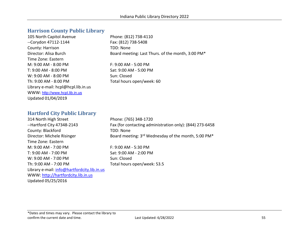# **Harrison County Public Library**

| 105 North Capitol Avenue            |
|-------------------------------------|
| --Corydon 47112-1144                |
| County: Harrison                    |
| Director: Alisa Burch               |
| Time Zone: Eastern                  |
| $M: 9:00 AM - 8:00 PM$              |
| T: 9:00 AM - 8:00 PM                |
| $W: 9:00 AM - 8:00 PM$              |
| Th: 9:00 AM - 8:00 PM               |
| Library e-mail: hcpl@hcpl.lib.in.us |
| WWW: http://www.hcpl.lib.in.us      |
| Updated 01/04/2019                  |

Phone: (812) 738-4110 Fax: (812) 738-5408 TDD: None Board meeting: Last Thurs. of the month, 3:00 PM\*

F: 9:00 AM - 5:00 PM Sat: 9:00 AM - 5:00 PM Sun: Closed Total hours open/week: 60

# **Hartford City Public Library**

314 North High Street Phone: (765) 348-1720 County: Blackford TDD: None Time Zone: Eastern M: 9:00 AM - 7:00 PM F: 9:00 AM - 5:30 PM T: 9:00 AM - 7:00 PM Sat: 9:00 AM - 2:00 PM W: 9:00 AM - 7:00 PM Sun: Closed Th: 9:00 AM - 7:00 PM Total hours open/week: 53.5 Library e-mail: [info@hartfordcity.lib.in.us](mailto:info@hartfordcity.lib.in.us) WWW: [http://hartfordcity.lib.in.us](http://hartfordcity.lib.in.us/) Updated 05/25/2016

--Hartford City 47348-2143 Fax (for contacting administration only): (844) 273-6458 Director: Michele Risinger Board meeting: 3rd Wednesday of the month, 5:00 PM\*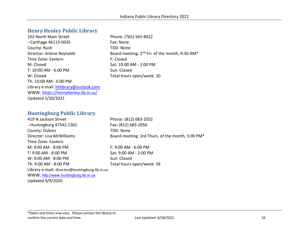# **Henry Henley Public Library**

102 North Main Street Phone: (765) 565-8022 --Carthage 46115-0035 Fax: None County: Rush TDD: None Director: Arlene Reynolds Board meeting: 2<sup>nd</sup> Fri. of the month, 9:30 AM<sup>\*</sup> Time Zone: Eastern F: Closed M: Closed Sat: 10:00 AM - 2:00 PM T: 10:00 AM - 6:00 PM Sun: Closed W: Closed **Total hours open/week: 20** Th: 10:00 AM - 6:00 PM Library e-mail: [hhlibrary@outlook.com](mailto:hhlibrary@outlook.com)  WWW:<https://henryhenley.lib.in.us/> Updated 5/20/2021

## **Huntingburg Public Library**

419 N Jackson Street Phone: (812) 683-2052 --Huntingburg 47542-1301 Fax: (812) 683-2056 County: Dubois TDD: None Director: Lisa McWilliams Board meeting: 3rd Thurs. of the month, 5:00 PM\* Time Zone: Eastern M: 9:00 AM - 8:00 PM F: 9:00 AM - 6:00 PM T: 9:00 AM - 8:00 PM Sat: 9:00 AM - 2:00 PM W: 9:00 AM - 8:00 PM Sun: Closed Th: 9:00 AM - 8:00 PM Total hours open/week: 58 Library e-mail: director@huntingburg.lib.in.us WWW: [http://www.huntingburg.lib.in.us](http://www.huntingburg.lib.in.us/)

Updated 9/9/2020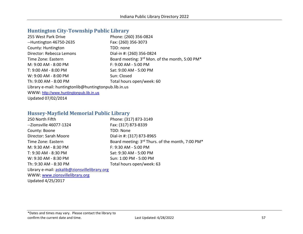# **Huntington City-Township Public Library**

| 255 West Park Drive                                   | Phone: (260) 356-0824                          |
|-------------------------------------------------------|------------------------------------------------|
| $-Huntington$ 46750-2635                              | Fax: (260) 356-3073                            |
| County: Huntington                                    | TDD: none                                      |
| Director: Rebecca Lemons                              | Dial-in #: (260) 356-0824                      |
| Time Zone: Eastern                                    | Board meeting: 3rd Mon. of the month, 5:00 PM* |
| M: 9:00 AM - 8:00 PM                                  | F: 9:00 AM - 5:00 PM                           |
| T: 9:00 AM - 8:00 PM                                  | Sat: 9:00 AM - 5:00 PM                         |
| W: 9:00 AM - 8:00 PM                                  | Sun: Closed                                    |
| Th: 9:00 AM - 8:00 PM                                 | Total hours open/week: 60                      |
| Library e-mail: huntingtonlib@huntingtonpub.lib.in.us |                                                |
| WWW: http://www.huntingtonpub.lib.in.us               |                                                |
| Updated 07/02/2014                                    |                                                |

# **Hussey-Mayfield Memorial Public Library**

| 250 North Fifth                               | Phone: (317) 873-3149                            |
|-----------------------------------------------|--------------------------------------------------|
| --Zionsville 46077-1324                       | Fax: (317) 873-8339                              |
| County: Boone                                 | TDD: None                                        |
| Director: Sarah Moore                         | Dial-in #: (317) 873-8965                        |
| Time Zone: Eastern                            | Board meeting: 3rd Thurs. of the month, 7:00 PM* |
| M: 9:30 AM - 8:30 PM                          | F: 9:30 AM - 5:00 PM                             |
| T: 9:30 AM - 8:30 PM                          | Sat: 9:30 AM - 5:00 PM                           |
| W: 9:30 AM - 8:30 PM                          | Sun: 1:00 PM - 5:00 PM                           |
| Th: 9:30 AM - 8:30 PM                         | Total hours open/week: 63                        |
| Library e-mail: askalib@zionsvillelibrary.org |                                                  |
| WWW: www.zionsvillelibrary.org                |                                                  |

Updated 4/25/2017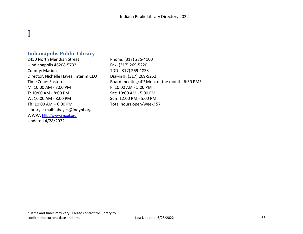# **Indianapolis Public Library**

I

2450 North Meridian Street Phone: (317) 275-4100 --Indianapolis 46208-5732 Fax: (317) 269-5220 County: Marion TDD: (317) 269-1833 Director: Nichelle Hayes, Interim CEO Dial-in #: (317) 269-5252 M: 10:00 AM - 8:00 PM F: 10:00 AM - 5:00 PM T: 10:00 AM - 8:00 PM Sat: 10:00 AM - 5:00 PM W: 10:00 AM - 8:00 PM Sun: 12:00 PM - 5:00 PM Th: 10:00 AM – 6:00 PM Total hours open/week: 57 Library e-mail: nhayes@indypl.org WWW: [http://www.imcpl.org](http://www.imcpl.org/) Updated 4/28/2022

Time Zone: Eastern **Board meeting: 4<sup>th</sup> Mon. of the month, 6:30 PM**\*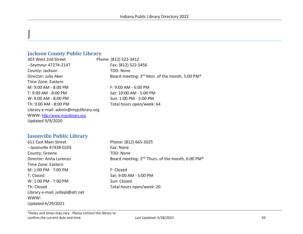# **Jackson County Public Library**

 $\overline{\mathsf{I}}$ 

303 West 2nd Street Phone: (812) 522-3412 --Seymour 47274-2147 Fax: (812) 522-5456 County: Jackson TDD: None Director: Julia Aker Board meeting: 3<sup>rd</sup> Mon. of the month, 5:00 PM<sup>\*</sup> Time Zone: Eastern M: 9:00 AM - 8:00 PM F: 9:00 AM - 6:00 PM T: 9:00 AM - 8:00 PM Sat: 10:00 AM - 5:00 PM W: 9:00 AM - 8:00 PM Sun: 1:00 PM - 5:00 PM Th: 9:00 AM - 8:00 PM Total hours open/week: 64 Library e-mail: admin@myjclibrary.org WWW: [http://www.myjclibrary.org](http://www.myjclibrary.org/) Updated 9/9/2020

# **Jasonville Public Library**

| 611 East Main Street             | Phone: (812) 665-2025                                        |
|----------------------------------|--------------------------------------------------------------|
| --Jasonville 47438-0105          | Fax: None                                                    |
| County: Greene                   | TDD: None                                                    |
| Director: Anita Lorenzo          | Board meeting: 2 <sup>nd</sup> Thurs. of the month, 6:00 PM* |
| Time Zone: Eastern               |                                                              |
| M: 1:00 PM - 7:00 PM             | F: Closed                                                    |
| T: Closed                        | Sat: 9:00 AM - 5:00 PM                                       |
| W: 1:00 PM - 7:00 PM             | Sun: Closed                                                  |
| Th: Closed                       | Total hours open/week: 20                                    |
| Library e-mail: jvillepl@att.net |                                                              |
| WWW:                             |                                                              |
| Updated 6/29/2021                |                                                              |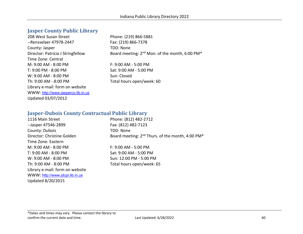# **Jasper County Public Library**

208 West Susan Street Phone: (219) 866-5881 --Rensselaer 47978-2447 Fax: (219) 866-7378 County: Jasper TDD: None Time Zone: Central M: 9:00 AM - 8:00 PM F: 9:00 AM - 5:00 PM T: 9:00 PM - 8:00 PM Sat: 9:00 AM - 5:00 PM  $W: 9:00$  AM -  $8:00$  PM  $Sun: Closed$ Th: 9:00 AM - 8:00 PM Total hours open/week: 60 Library e-mail: form on website WWW: [http://www.jasperco.lib.in.us](http://www.jasperco.lib.in.us/) Updated 03/07/2012

Director: Patricia J Stringfellow Board meeting: 2<sup>nd</sup> Mon. of the month, 6:00 PM<sup>\*</sup>

# **Jasper-Dubois County Contractual Public Library**

1116 Main Street Phone: (812) 482-2712 --Jasper 47546-2899 Fax: (812) 482-7123 County: Dubois TDD: None Director: Christine Golden Board meeting: 2<sup>nd</sup> Thurs. of the month, 4:00 PM<sup>\*</sup> Time Zone: Eastern M: 9:00 AM - 8:00 PM F: 9:00 AM - 5:00 PM T: 9:00 AM - 8:00 PM Sat: 9:00 AM - 5:00 PM W: 9:00 AM - 8:00 PM Sun: 12:00 PM - 5:00 PM Th: 9:00 AM - 8:00 PM Total hours open/week: 65 Library e-mail: form on website WWW: [http://www.jdcpl.lib.in.us](http://www.jdcpl.lib.in.us/) Updated 8/20/2015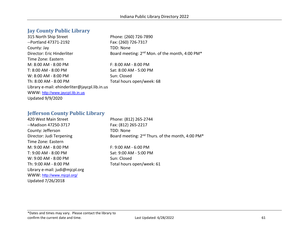# **Jay County Public Library**

315 North Ship Street Phone: (260) 726-7890 --Portland 47371-2192 Fax: (260) 726-7317 County: Jay TDD: None Director: Eric Hinderliter Board meeting: 2<sup>nd</sup> Mon. of the month, 4:00 PM<sup>\*</sup> Time Zone: Eastern M: 8:00 AM - 8:00 PM F: 8:00 AM - 8:00 PM T: 8:00 AM - 8:00 PM Sat: 8:00 AM - 5:00 PM W: 8:00 AM - 8:00 PM Sun: Closed Th: 8:00 AM - 8:00 PM Total hours open/week: 68 Library e-mail: ehinderliter@jaycpl.lib.in.us WWW: [http://www.jaycpl.lib.in.us](http://www.jaycpl.lib.in.us/) Updated 9/9/2020

## **Jefferson County Public Library**

| 420 West Main Street           | Phone: (812) 265-2744                                                    |
|--------------------------------|--------------------------------------------------------------------------|
| --Madison 47250-3717           | Fax: (812) 265-2217                                                      |
| County: Jefferson              | <b>TDD: None</b>                                                         |
| Director: Judi Terpening       | Board meeting: 2 <sup>nd</sup> Thurs. of the month, 4:00 PM <sup>*</sup> |
| Time Zone: Eastern             |                                                                          |
| M: 9:00 AM - 8:00 PM           | F: 9:00 AM - 6:00 PM                                                     |
| T: 9:00 AM - 8:00 PM           | Sat: 9:00 AM - 5:00 PM                                                   |
| W: 9:00 AM - 8:00 PM           | Sun: Closed                                                              |
| Th: 9:00 AM - 8:00 PM          | Total hours open/week: 61                                                |
| Library e-mail: judi@mjcpl.org |                                                                          |
| WWW: http://www.mjcpl.org/     |                                                                          |
| Updated 7/26/2018              |                                                                          |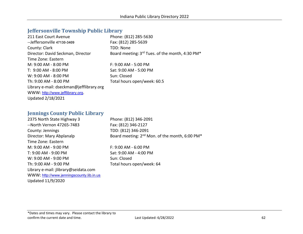# **Jeffersonville Township Public Library**

| 211 East Court Avenue                    | Phone: (812) 285-5630                           |
|------------------------------------------|-------------------------------------------------|
| --Jeffersonville 47130-3409              | Fax: (812) 285-5639                             |
| County: Clark                            | TDD: None                                       |
| Director: David Seckman, Director        | Board meeting: 3rd Tues. of the month, 4:30 PM* |
| Time Zone: Eastern                       |                                                 |
| M: 9:00 AM - 8:00 PM                     | $F: 9:00$ AM - 5:00 PM                          |
| T: 9:00 AM - 8:00 PM                     | Sat: 9:00 AM - 5:00 PM                          |
| W: 9:00 AM - 8:00 PM                     | Sun: Closed                                     |
| Th: 9:00 AM - 8:00 PM                    | Total hours open/week: 60.5                     |
| Library e-mail: dseckman@jefflibrary.org |                                                 |
| WWW: http://www.jefflibrary.org.         |                                                 |
| <b>Updated 2/18/2021</b>                 |                                                 |

# **Jennings County Public Library**

| 2375 North State Highway 3               | Phone: (812) 346-2091                                                  |
|------------------------------------------|------------------------------------------------------------------------|
| --North Vernon 47265-7483                | Fax: (812) 346-2127                                                    |
| County: Jennings                         | TDD: (812) 346-2091                                                    |
| Director: Mary Abplanalp                 | Board meeting: 2 <sup>nd</sup> Mon. of the month, 6:00 PM <sup>*</sup> |
| Time Zone: Eastern                       |                                                                        |
| M: 9:00 AM - 9:00 PM                     | $F: 9:00$ AM - 6:00 PM                                                 |
| T: 9:00 AM - 9:00 PM                     | Sat: 9:00 AM - 4:00 PM                                                 |
| W: 9:00 AM - 9:00 PM                     | Sun: Closed                                                            |
| Th: 9:00 AM - 9:00 PM                    | Total hours open/week: 64                                              |
| Library e-mail: jlibrary@seidata.com     |                                                                        |
| WWW: http://www.jenningscounty.lib.in.us |                                                                        |
| Updated 11/9/2020                        |                                                                        |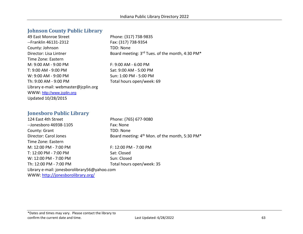# **Johnson County Public Library**

| 49 East Monroe Street                | Phone: (31)        |
|--------------------------------------|--------------------|
| --Franklin 46131-2312                | Fax: (317) 7       |
| County: Johnson                      | TDD: None          |
| Director: Lisa Lintner               | Board meet         |
| Time Zone: Eastern                   |                    |
| M: 9:00 AM - 9:00 PM                 | F: 9:00 AM         |
| T: 9:00 AM - 9:00 PM                 | Sat: 9:00 AI       |
| W: 9:00 AM - 9:00 PM                 | Sun: 1:00 P        |
| Th: 9:00 AM - 9:00 PM                | <b>Total hours</b> |
| Library e-mail: webmaster@jcplin.org |                    |
| WWW: http://www.jcplin.org           |                    |
| Updated 10/28/2015                   |                    |

e: (317) 738-9835 317) 738-9354 meeting: 3rd Tues. of the month, 4:30 PM\*

0 AM - 6:00 PM : 00 AM - 5:00 PM 1:00 PM - 5:00 PM hours open/week: 69

#### **Jonesboro Public Library**

124 East 4th Street Phone: (765) 677-9080 --Jonesboro 46938-1105 Fax: None County: Grant TDD: None Director: Carol Jones Board meeting: 4<sup>th</sup> Mon. of the month, 5:30 PM<sup>\*</sup> Time Zone: Eastern M: 12:00 PM - 7:00 PM  $-$  7:00 PM T: 12:00 PM - 7:00 PM Sat: Closed W: 12:00 PM - 7:00 PM Sun: Closed Th: 12:00 PM - 7:00 PM TOTAL Total hours open/week: 35 Library e-mail: jonesborolibrary56@yahoo.com

WWW:<http://jonesborolibrary.org/>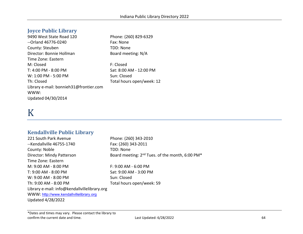# **Joyce Public Library**

9490 West State Road 120 Phone: (260) 829-6329 --Orland 46776-0240 Fax: None County: Steuben TDD: None Director: Bonnie Hollman Board meeting: N/A Time Zone: Eastern M: Closed **F: Closed** T: 4:00 PM - 8:00 PM Sat: 8:00 AM - 12:00 PM W: 1:00 PM - 5:00 PM Sun: Closed Th: Closed The Total hours open/week: 12 Library e-mail: bonnieh31@frontier.com WWW: Updated 04/30/2014

# K

# **Kendallville Public Library**

221 South Park Avenue Phone: (260) 343-2010 --Kendallville 46755-1740 Fax: (260) 343-2011 County: Noble TDD: None Director: Mindy Patterson Board meeting: 2<sup>nd</sup> Tues. of the month, 6:00 PM<sup>\*</sup> Time Zone: Eastern M: 9:00 AM - 8:00 PM F: 9:00 AM - 6:00 PM T: 9:00 AM - 8:00 PM Sat: 9:00 AM - 3:00 PM W: 9:00 AM - 8:00 PM Sun: Closed Th: 9:00 AM - 8:00 PM Total hours open/week: 59 Library e-mail: info@kendallvillelibrary.org WWW: [http://www.kendallvillelibrary.org](http://www.kendallvillelibrary.org/) Updated 4/28/2022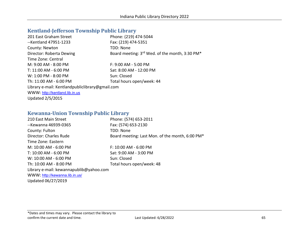# **Kentland-Jefferson Township Public Library**

| 201 East Graham Street                          | Phone: (219) 474-5044                          |
|-------------------------------------------------|------------------------------------------------|
| --Kentland 47951-1233                           | Fax: (219) 474-5351                            |
| County: Newton                                  | TDD: None                                      |
| Director: Roberta Dewing                        | Board meeting: 3rd Wed. of the month, 3:30 PM* |
| Time Zone: Central                              |                                                |
| M: 9:00 AM - 8:00 PM                            | $F: 9:00$ AM - 5:00 PM                         |
| T: 11:00 AM - 6:00 PM                           | Sat: 8:00 AM - 12:00 PM                        |
| W: 1:00 PM - 8:00 PM                            | Sun: Closed                                    |
| Th: 11:00 AM - 6:00 PM                          | Total hours open/week: 44                      |
| Library e-mail: Kentlandpubliclibrary@gmail.com |                                                |
| WWW: http://kentland.lib.in.us                  |                                                |
| <b>Updated 2/5/2015</b>                         |                                                |

# **Kewanna-Union Township Public Library**

| 210 East Main Street                    | Phone: (574) 653-2011                           |
|-----------------------------------------|-------------------------------------------------|
| --Kewanna 46939-0365                    | Fax: (574) 653-2130                             |
| County: Fulton                          | <b>TDD: None</b>                                |
| Director: Charles Rude                  | Board meeting: Last Mon. of the month, 6:00 PM* |
| Time Zone: Eastern                      |                                                 |
| M: 10:00 AM - 6:00 PM                   | $F: 10:00$ AM - 6:00 PM                         |
| T: 10:00 AM - 6:00 PM                   | Sat: 9:00 AM - 3:00 PM                          |
| W: 10:00 AM - 6:00 PM                   | Sun: Closed                                     |
| Th: 10:00 AM - 8:00 PM                  | Total hours open/week: 48                       |
| Library e-mail: kewannapublib@yahoo.com |                                                 |
| WWW: http://kewanna.lib.in.us/          |                                                 |
| Updated 06/27/2019                      |                                                 |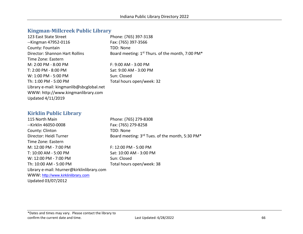## **Kingman-Millcreek Public Library**

| Phone: (765) 397-3138                                                    |
|--------------------------------------------------------------------------|
| Fax: (765) 397-3566                                                      |
| TDD: None                                                                |
| Board meeting: 1 <sup>st</sup> Thurs. of the month, 7:00 PM <sup>*</sup> |
|                                                                          |
| $F: 9:00$ AM - 3:00 PM                                                   |
| Sat: 9:00 AM - 3:00 PM                                                   |
| Sun: Closed                                                              |
| Total hours open/week: 32                                                |
|                                                                          |
|                                                                          |
|                                                                          |
|                                                                          |

# **Kirklin Public Library**

115 North Main Phone: (765) 279-8308 --Kirklin 46050-0008 Fax: (765) 279-8258 County: Clinton TDD: None Director: Heidi Turner Board meeting: 3<sup>rd</sup> Tues. of the month, 5:30 PM<sup>\*</sup> Time Zone: Eastern M: 12:00 PM - 7:00 PM  $-$  7:00 PM T: 10:00 AM - 5:00 PM Sat: 10:00 AM - 3:00 PM W: 12:00 PM - 7:00 PM Sun: Closed Th: 10:00 AM - 5:00 PM Total hours open/week: 38 Library e-mail: hturner@kirklinlibrary.com WWW: [http://www.kirklinlibrary.com](http://www.kirklinlibrary.com/) Updated 03/07/2012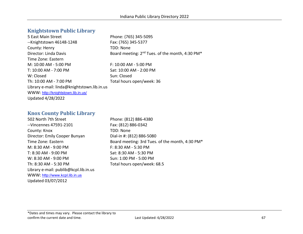# **Knightstown Public Library**

| 5 East Main Street                          | Phone: (765) 345-5095                                                   |
|---------------------------------------------|-------------------------------------------------------------------------|
| --Knightstown 46148-1248                    | Fax: (765) 345-5377                                                     |
| County: Henry                               | TDD: None                                                               |
| Director: Linda Davis                       | Board meeting: 2 <sup>nd</sup> Tues. of the month, 4:30 PM <sup>*</sup> |
| Time Zone: Eastern                          |                                                                         |
| $M: 10:00$ AM - 5:00 PM                     | $F: 10:00$ AM - 5:00 PM                                                 |
| T: 10:00 AM - 7:00 PM                       | Sat: 10:00 AM - 2:00 PM                                                 |
| W: Closed                                   | Sun: Closed                                                             |
| Th: 10:00 AM - 7:00 PM                      | Total hours open/week: 36                                               |
| Library e-mail: linda@knightstown.lib.in.us |                                                                         |
| WWW: http://knightstown.lib.in.us/          |                                                                         |
| <b>Updated 4/28/2022</b>                    |                                                                         |
|                                             |                                                                         |

# **Knox County Public Library**

502 North 7th Street Phone: (812) 886-4380 --Vincennes 47591-2101 Fax: (812) 886-0342 County: Knox TDD: None Director: Emily Cooper Bunyan Dial-in #: (812) 886-5080 M: 8:30 AM - 9:00 PM F: 8:30 AM - 5:30 PM T: 8:30 AM - 9:00 PM Sat: 8:30 AM - 5:30 PM W: 8:30 AM - 9:00 PM Sun: 1:00 PM - 5:00 PM Th: 8:30 AM - 5:30 PM Total hours open/week: 68.5 Library e-mail: publib@kcpl.lib.in.us WWW: [http://www.kcpl.lib.in.us](http://www.kcpl.lib.in.us/) Updated 03/07/2012

Time Zone: Eastern Board meeting: 3rd Tues. of the month, 4:30 PM\*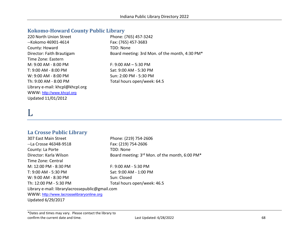# **Kokomo-Howard County Public Library**

| 220 North Union Street          | Phone: (765) 457-3242                          |
|---------------------------------|------------------------------------------------|
| --Kokomo 46901-4614             | Fax: (765) 457-3683                            |
| County: Howard                  | TDD: None                                      |
| Director: Faith Brautigam       | Board meeting: 3rd Mon. of the month, 4:30 PM* |
| Time Zone: Eastern              |                                                |
| M: 9:00 AM - 8:00 PM            | $F: 9:00 AM - 5:30 PM$                         |
| T: 9:00 AM - 8:00 PM            | Sat: 9:00 AM - 5:30 PM                         |
| W: 9:00 AM - 8:00 PM            | Sun: 2:00 PM - 5:30 PM                         |
| Th: 9:00 AM - 8:00 PM           | Total hours open/week: 64.5                    |
| Library e-mail: khcpl@khcpl.org |                                                |
| WWW: http://www.khcpl.org       |                                                |
| Updated 11/01/2012              |                                                |

# L

# **La Crosse Public Library**

| 307 East Main Street                            | Phone: (219) 754-2606                          |
|-------------------------------------------------|------------------------------------------------|
| --La Crosse 46348-9518                          | Fax: (219) 754-2606                            |
| County: La Porte                                | TDD: None                                      |
| Director: Karla Wilson                          | Board meeting: 3rd Mon. of the month, 6:00 PM* |
| Time Zone: Central                              |                                                |
| $M: 12:00$ PM - 8:30 PM                         | $F: 9:00$ AM - 5:30 PM                         |
| T: 9:00 AM - 5:30 PM                            | Sat: 9:00 AM - 1:00 PM                         |
| $W: 9:00$ AM - 8:30 PM                          | Sun: Closed                                    |
| Th: 12:00 PM - 5:30 PM                          | Total hours open/week: 46.5                    |
| Library e-mail: librarylacrossepublic@gmail.com |                                                |
| WWW: http://www.lacrosselibraryonline.org       |                                                |
| <b>Updated 6/29/2017</b>                        |                                                |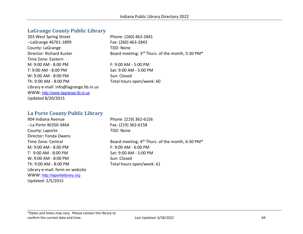# **LaGrange County Public Library**

| 203 West Spring Street                  | Phone: (260) 463-2841                                                    |
|-----------------------------------------|--------------------------------------------------------------------------|
| --LaGrange 46761-1899                   | Fax: (260) 463-2843                                                      |
| County: LaGrange                        | TDD: None                                                                |
| Director: Richard Kuster                | Board meeting: 3 <sup>rd</sup> Thurs. of the month, 5:30 PM <sup>*</sup> |
| Time Zone: Eastern                      |                                                                          |
| $M: 9:00 AM - 8:00 PM$                  | $F: 9:00 AM - 5:00 PM$                                                   |
| T: 9:00 AM - 8:00 PM                    | Sat: 9:00 AM - 5:00 PM                                                   |
| $W: 9:00$ AM - 8:00 PM                  | Sun: Closed                                                              |
| Th: $9:00$ AM - $8:00$ PM               | Total hours open/week: 60                                                |
| Library e-mail: info@lagrange.lib.in.us |                                                                          |
| WWW: http://www.lagrange.lib.in.us      |                                                                          |
| <b>Updated 8/20/2015</b>                |                                                                          |
|                                         |                                                                          |

# **La Porte County Public Library**

| 904 Indiana Avenue              |
|---------------------------------|
| --La Porte 46350-3464           |
| County: Laporte                 |
| Director: Fonda Owens           |
| Time Zone: Central              |
| M: 9:00 AM - 8:00 PM            |
| $T: 9:00$ AM - $8:00$ PM        |
| $W: 9:00 AM - 8:00 PM$          |
| Th: 9:00 AM - 8:00 PM           |
| Library e-mail: form on website |
| WWW: http://laportelibrary.org  |
| Updated: 2/5/2015               |

Phone: (219) 362-6156 Fax: (219) 362-6158 TDD: None

Board meeting: 4<sup>th</sup> Thurs. of the month, 6:30 PM\* F: 9:00 AM - 6:00 PM Sat: 9:00 AM - 5:00 PM Sun: Closed Total hours open/week: 61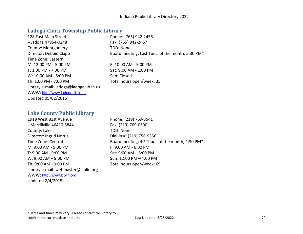## **Ladoga-Clark Township Public Library**

| 128 East Main Street                    | Phone: (765) 942-2456                            |
|-----------------------------------------|--------------------------------------------------|
| --Ladoga 47954-0248                     | Fax: (765) 942-2457                              |
| County: Montgomery                      | TDD: None                                        |
| Director: Debbie Clapp                  | Board meeting: Last Tues. of the month, 5:30 PM* |
| Time Zone: Eastern                      |                                                  |
| M: 12:00 PM - 5:00 PM                   | F: 10:00 AM - 5:00 PM                            |
| T: 1:00 PM - 7:00 PM                    | Sat: 9:00 AM - 1:00 PM                           |
| W: 10:00 AM - 5:00 PM                   | Sun: Closed                                      |
| Th: 1:00 PM - 7:00 PM                   | Total hours open/week: 35                        |
| Library e-mail: ladoga@ladoga.lib.in.us |                                                  |
| WWW: http://www.ladoga.lib.in.us        |                                                  |
| Updated 05/02/2016                      |                                                  |
|                                         |                                                  |

## **Lake County Public Library**

1919 West 81st Avenue Phone: (219) 769-3541 --Merrillville 46410-5844 Fax: (219) 769-0690 County: Lake TDD: None Director: Ingrid Norris Dial-in #: (219) 756-9356 M: 9:00 AM - 9:00 PM F: 9:00 AM - 6:00 PM T: 9:00 AM - 9:00 PM Sat: 9:00 AM – 5:00 PM W: 9:00 AM – 9:00 PM Sun: 12:00 PM – 4:00 PM Th: 9:00 AM - 9:00 PM Total hours open/week: 69 Library e-mail: webmaster@lcplin.org WWW: [http://www.lcplin.org](http://www.lcplin.org/) Updated 2/4/2015

Time Zone: Central **Board meeting: 4<sup>th</sup> Thurs. of the month, 4:30 PM\***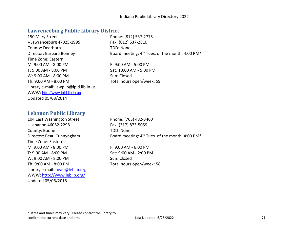## **Lawrenceburg Public Library District**

| 150 Mary Street                        | Phone: (812) 537-2775                                                   |
|----------------------------------------|-------------------------------------------------------------------------|
| --Lawrenceburg 47025-1995              | Fax: (812) 537-2810                                                     |
| County: Dearborn                       | TDD: None                                                               |
| Director: Barbara Bonney               | Board meeting: 4 <sup>th</sup> Tues. of the month, 4:00 PM <sup>*</sup> |
| Time Zone: Eastern                     |                                                                         |
| $M: 9:00 AM - 8:00 PM$                 | $F: 9:00 AM - 5:00 PM$                                                  |
| T: 9:00 AM - 8:00 PM                   | Sat: 10:00 AM - 5:00 PM                                                 |
| W: 9:00 AM - 8:00 PM                   | Sun: Closed                                                             |
| Th: 9:00 AM - 8:00 PM                  | Total hours open/week: 59                                               |
| Library e-mail: lawplib@lpld.lib.in.us |                                                                         |
| WWW: http://www.lpld.lib.in.us         |                                                                         |
| Updated 05/08/2014                     |                                                                         |
|                                        |                                                                         |

# **Lebanon Public Library**

104 East Washington Street Phone: (765) 482-3460 --Lebanon 46052-2298 Fax: (317) 873-5059 County: Boone TDD: None Time Zone: Eastern M: 9:00 AM - 8:00 PM F: 9:00 AM - 6:00 PM T: 9:00 AM - 8:00 PM Sat: 9:00 AM - 2:00 PM W: 9:00 AM - 8:00 PM Sun: Closed Th: 9:00 AM - 8:00 PM Total hours open/week: 58 Library e-mail: **beau@leblib.org** WWW:<http://www.leblib.org/> Updated 05/06/2015

Director: Beau Cunnyngham Board meeting: 4<sup>th</sup> Tues. of the month, 4:00 PM<sup>\*</sup>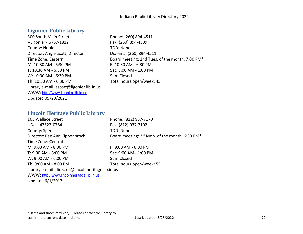# **Ligonier Public Library**

300 South Main Street Phone: (260) 894-4511 --Ligonier 46767-1812 Fax: (260) 894-4509 County: Noble TDD: None Director: Angie Scott, Director Dial-in #: (260) 894-4511 Time Zone: Eastern Board meeting: 2nd Tues. of the month, 7:00 PM\* M: 10:30 AM - 6:30 PM F: 10:30 AM - 6:30 PM T: 10:30 AM - 6:30 PM Sat: 8:00 AM - 1:00 PM W: 10:30 AM - 6:30 PM Sun: Closed Th: 10:30 AM - 6:30 PM Total hours open/week: 45 Library e-mail: ascott@ligonier.lib.in.us WWW: [http://www.ligonier.lib.in.us](http://www.ligonier.lib.in.us/) Updated 05/20/2021

#### **Lincoln Heritage Public Library**

| 105 Wallace Street                                 | Phone: (812) 937-7170                          |
|----------------------------------------------------|------------------------------------------------|
| --Dale 47523-0784                                  | Fax: (812) 937-7102                            |
| County: Spencer                                    | TDD: None                                      |
| Director: Rae Ann Kippenbrock                      | Board meeting: 3rd Mon. of the month, 6:30 PM* |
| Time Zone: Central                                 |                                                |
| M: 9:00 AM - 8:00 PM                               | $F: 9:00$ AM - 6:00 PM                         |
| T: 9:00 AM - 8:00 PM                               | Sat: 9:00 AM - 1:00 PM                         |
| W: 9:00 AM - 6:00 PM                               | Sun: Closed                                    |
| Th: 9:00 AM - 8:00 PM                              | Total hours open/week: 55                      |
| Library e-mail: director@lincolnheritage.lib.in.us |                                                |
| WWW: http://www.lincolnheritage.lib.in.us          |                                                |
| Updated 6/1/2017                                   |                                                |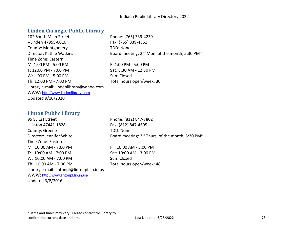#### **Linden Carnegie Public Library**

| 102 South Main Street                   | Phone: (765) 339-4239                                                  |
|-----------------------------------------|------------------------------------------------------------------------|
| --Linden 47955-0010                     | Fax: (765) 339-4351                                                    |
| County: Montgomery                      | TDD: None                                                              |
| Director: Kathie Watkins                | Board meeting: 2 <sup>nd</sup> Mon. of the month, 5:30 PM <sup>*</sup> |
| Time Zone: Eastern                      |                                                                        |
| M: 1:00 PM - 5:00 PM                    | $F: 1:00$ PM - 5:00 PM                                                 |
| T: 12:00 PM - 7:00 PM                   | Sat: 8:30 AM - 12:30 PM                                                |
| W: 1:00 PM - 5:00 PM                    | Sun: Closed                                                            |
| Th: 12:00 PM - 7:00 PM                  | Total hours open/week: 30                                              |
| Library e-mail: lindenlibrary@yahoo.com |                                                                        |
| WWW: http://www.lindenlibrary.com       |                                                                        |
| Updated 9/10/2020                       |                                                                        |

#### **Linton Public Library**

95 SE 1st Street Phone: (812) 847-7802 --Linton 47441-1828 Fax: (812) 847-4695 County: Greene TDD: None Director: Jennifer White Board meeting: 3<sup>rd</sup> Thurs. of the month, 5:30 PM<sup>\*</sup> Time Zone: Eastern M: 10:00 AM - 7:00 PM F: 10:00 AM - 5:00 PM T: 10:00 AM - 7:00 PM Sat: 10:00 AM - 3:00 PM W: 10:00 AM - 7:00 PM Sun: Closed Th: 10:00 AM - 7:00 PM Total hours open/week: 48 Library e-mail: lintonpl@lintonpl.lib.in.us WWW: <http://www.lintonpl.lib.in.us/> Updated 3/8/2016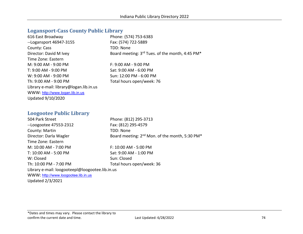#### **Logansport-Cass County Public Library**

| 616 East Broadway                       | Phone: (574) 753-6383                           |
|-----------------------------------------|-------------------------------------------------|
| --Logansport 46947-3155                 | Fax: (574) 722-5889                             |
| County: Cass                            | TDD: None                                       |
| Director: David M Ivey                  | Board meeting: 3rd Tues. of the month, 4:45 PM* |
| Time Zone: Eastern                      |                                                 |
| M: 9:00 AM - 9:00 PM                    | $F: 9:00$ AM - $9:00$ PM                        |
| T: 9:00 AM - 9:00 PM                    | Sat: 9:00 AM - 6:00 PM                          |
| W: 9:00 AM - 9:00 PM                    | Sun: 12:00 PM - 6:00 PM                         |
| Th: 9:00 AM - 9:00 PM                   | Total hours open/week: 76                       |
| Library e-mail: library@logan.lib.in.us |                                                 |
| WWW: http://www.logan.lib.in.us         |                                                 |
| Updated 9/10/2020                       |                                                 |
|                                         |                                                 |

#### **Loogootee Public Library**

504 Park Street Phone: (812) 295-3713 --Loogootee 47553-2312 Fax: (812) 295-4579 County: Martin TDD: None Director: Darla Wagler Board meeting: 2<sup>nd</sup> Mon. of the month, 5:30 PM<sup>\*</sup> Time Zone: Eastern M: 10:00 AM - 7:00 PM F: 10:00 AM - 5:00 PM T: 10:00 AM - 5:00 PM Sat: 9:00 AM - 1:00 PM W: Closed Sun: Closed Th: 10:00 PM - 7:00 PM TOTAL Total hours open/week: 36 Library e-mail: loogooteepl@loogootee.lib.in.us WWW: [http://www.loogootee.lib.in.us](http://www.loogootee.lib.in.us/) Updated 2/3/2021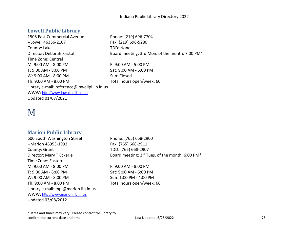#### **Lowell Public Library**

1505 East Commercial Avenue Phone: (219) 696-7704 --Lowell 46356-2107 Fax: (219) 696-5280 County: Lake TDD: None Director: Deborah Kristoff Board meeting: 3rd Mon. of the month, 7:00 PM\* Time Zone: Central M: 9:00 AM - 8:00 PM F: 9:00 AM - 5:00 PM T: 9:00 AM - 8:00 PM Sat: 9:00 AM - 5:00 PM W: 9:00 AM - 8:00 PM Sun: Closed Th: 9:00 AM - 8:00 PM Total hours open/week: 60 Library e-mail: reference@lowellpl.lib.in.us WWW: [http://www.lowellpl.lib.in.us](http://www.lowellpl.lib.in.us/) Updated 01/07/2021

# M

#### **Marion Public Library**

600 South Washington Street Phone: (765) 668-2900 --Marion 46953-1992 Fax: (765) 668-2911 County: Grant TDD: (765) 668-2907 Time Zone: Eastern M: 9:00 AM - 8:00 PM F: 9:00 AM - 8:00 PM T: 9:00 AM - 8:00 PM Sat: 9:00 AM - 5:00 PM W: 9:00 AM - 8:00 PM Sun: 1:00 PM - 4:00 PM Th: 9:00 AM - 8:00 PM Total hours open/week: 66 Library e-mail: mpl@marion.lib.in.us WWW: [http://www.marion.lib.in.us](http://www.marion.lib.in.us/) Updated 03/08/2012

Director: Mary T Eckerle Board meeting: 3rd Tues. of the month, 6:00 PM\*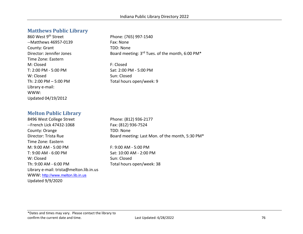#### **Matthews Public Library**

860 West 9<sup>th</sup> Street Phone: (765) 997-1540 --Matthews 46957-0139 Fax: None County: Grant TDD: None Time Zone: Eastern M: Closed **F: Closed** T: 2:00 PM - 5:00 PM CHANGE Sat: 2:00 PM - 5:00 PM W: Closed Sun: Closed Library e-mail: WWW: Updated 04/19/2012

Director: Jennifer Jones Board meeting: 3<sup>rd</sup> Tues. of the month, 6:00 PM<sup>\*</sup>

Th:  $2:00 \text{ PM} - 5:00 \text{ PM}$  Total hours open/week: 9

#### **Melton Public Library**

8496 West College Street Phone: (812) 936-2177 --French Lick 47432-1068 Fax: (812) 936-7524 County: Orange TDD: None Time Zone: Eastern M: 9:00 AM - 5:00 PM F: 9:00 AM - 5:00 PM T: 9:00 AM - 6:00 PM Sat: 10:00 AM - 2:00 PM W: Closed Sun: Closed Th: 9:00 AM - 6:00 PM Total hours open/week: 38 Library e-mail: trista@melton.lib.in.us WWW: [http://www.melton.lib.in.us](http://www.melton.lib.in.us/) Updated 9/9/2020

Director: Trista Rue **Board meeting: Last Mon. of the month, 5:30 PM**\*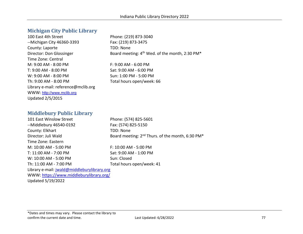#### **Michigan City Public Library**

100 East 4th Street Phone: (219) 873-3040 --Michigan City 46360-3393 Fax: (219) 873-3475 County: Laporte TDD: None Time Zone: Central M: 9:00 AM - 8:00 PM F: 9:00 AM - 6:00 PM T: 9:00 AM - 8:00 PM Sat: 9:00 AM - 6:00 PM W: 9:00 AM - 8:00 PM Sun: 1:00 PM - 5:00 PM Th: 9:00 AM - 8:00 PM Total hours open/week: 66 Library e-mail: reference@mclib.org WWW: [http://www.mclib.org](http://www.mclib.org/) Updated 2/5/2015

Director: Don Glossinger Board meeting: 4<sup>th</sup> Wed. of the month, 2:30 PM<sup>\*</sup>

#### **Middlebury Public Library**

101 East Winslow Street Phone: (574) 825-5601 --Middlebury 46540-0192 Fax: (574) 825-5150 County: Elkhart TDD: None Director: Juli Wald Board meeting: 2<sup>nd</sup> Thurs. of the month, 6:30 PM<sup>\*</sup> Time Zone: Eastern M: 10:00 AM - 5:00 PM F: 10:00 AM - 5:00 PM T: 11:00 AM - 7:00 PM Sat: 9:00 AM - 1:00 PM W: 10:00 AM - 5:00 PM Sun: Closed Th: 11:00 AM - 7:00 PM Total hours open/week: 41 Library e-mail: [jwald@middleburylibrary.org](mailto:jwald@middleburylibrary.org)  WWW:<https://www.middleburylibrary.org/>

Updated 5/19/2022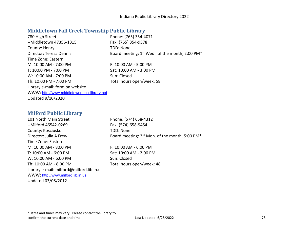#### **Middletown Fall Creek Township Public Library**

| 780 High Street                             | Phone: (765) 354-4071-                              |
|---------------------------------------------|-----------------------------------------------------|
| --Middletown 47356-1315                     | Fax: (765) 354-9578                                 |
| County: Henry                               | TDD: None                                           |
| Director: Teresa Dennis                     | Board meeting: $1^{st}$ Wed. of the month, 2:00 PM* |
| Time Zone: Eastern                          |                                                     |
| M: 10:00 AM - 7:00 PM                       | F: 10:00 AM - 5:00 PM                               |
| T: 10:00 PM - 7:00 PM                       | Sat: 10:00 AM - 3:00 PM                             |
| W: 10:00 AM - 7:00 PM                       | Sun: Closed                                         |
| Th: 10:00 PM - 7:00 PM                      | Total hours open/week: 58                           |
| Library e-mail: form on website             |                                                     |
| WWW: http://www.middletownpubliclibrary.net |                                                     |
| Updated 9/10/2020                           |                                                     |

#### **Milford Public Library**

101 North Main Street Phone: (574) 658-4312 --Milford 46542-0269 Fax: (574) 658-9454 County: Kosciusko TDD: None Director: Julia A Frew Board meeting: 3<sup>rd</sup> Mon. of the month, 5:00 PM<sup>\*</sup> Time Zone: Eastern M: 10:00 AM - 8:00 PM F: 10:00 AM - 6:00 PM T: 10:00 AM - 6:00 PM Sat: 10:00 AM - 2:00 PM W: 10:00 AM - 6:00 PM Sun: Closed Th: 10:00 AM - 8:00 PM Total hours open/week: 48 Library e-mail: milford@milford.lib.in.us WWW: [http://www.milford.lib.in.us](http://www.milford.lib.in.us/) Updated 03/08/2012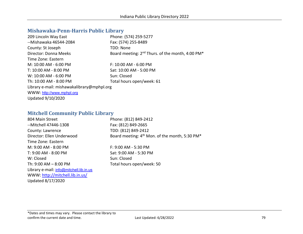### **Mishawaka-Penn-Harris Public Library**

| Phone: (574) 259-5277                                                    |
|--------------------------------------------------------------------------|
| Fax: (574) 255-8489                                                      |
| TDD: None                                                                |
| Board meeting: 2 <sup>nd</sup> Thurs. of the month, 4:00 PM <sup>*</sup> |
|                                                                          |
| $F: 10:00$ AM - 6:00 PM                                                  |
| Sat: 10:00 AM - 5:00 PM                                                  |
| Sun: Closed                                                              |
| Total hours open/week: 61                                                |
| Library e-mail: mishawakalibrary@mphpl.org                               |
|                                                                          |
|                                                                          |
|                                                                          |

#### **Mitchell Community Public Library**

| 804 Main Street                         | Phone: (812) 849-2412                                      |
|-----------------------------------------|------------------------------------------------------------|
| --Mitchell 47446-1308                   | Fax: (812) 849-2665                                        |
| County: Lawrence                        | TDD: (812) 849-2412                                        |
| Director: Ellen Underwood               | Board meeting: 4 <sup>th</sup> Mon. of the month, 5:30 PM* |
| Time Zone: Eastern                      |                                                            |
| M: 9:00 AM - 8:00 PM                    | $F: 9:00$ AM - 5:30 PM                                     |
| T: 9:00 AM - 8:00 PM                    | Sat: 9:00 AM - 5:30 PM                                     |
| W: Closed                               | Sun: Closed                                                |
| Th: $9:00$ AM $-$ 8:00 PM               | Total hours open/week: 50                                  |
| Library e-mail: info@mitchell.lib.in.us |                                                            |
| WWW: http://mitchell.lib.in.us/         |                                                            |
| Updated 8/17/2020                       |                                                            |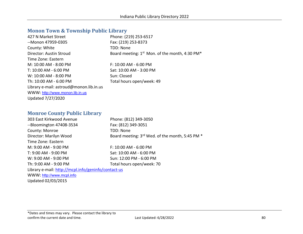# **Monon Town & Township Public Library**

| 427 N Market Street                     | Phone: (219) 253-6517                               |
|-----------------------------------------|-----------------------------------------------------|
| --Monon 47959-0305                      | Fax: (219) 253-8373                                 |
| County: White                           | TDD: None                                           |
| Director: Austin Stroud                 | Board meeting: $1^{st}$ Mon. of the month, 4:30 PM* |
| Time Zone: Eastern                      |                                                     |
| M: 10:00 AM - 8:00 PM                   | $F: 10:00$ AM - 6:00 PM                             |
| T: 10:00 AM - 6:00 PM                   | Sat: 10:00 AM - 3:00 PM                             |
| W: 10:00 AM - 8:00 PM                   | Sun: Closed                                         |
| Th: 10:00 AM - 6:00 PM                  | Total hours open/week: 49                           |
| Library e-mail: astroud@monon.lib.in.us |                                                     |
| WWW: http://www.monon.lib.in.us         |                                                     |
| Updated 7/27/2020                       |                                                     |

### **Monroe County Public Library**

| 303 East Kirkwood Avenue                            | Phone: (812) 349-3050                           |
|-----------------------------------------------------|-------------------------------------------------|
| --Bloomington 47408-3534                            | Fax: (812) 349-3051                             |
| County: Monroe                                      | TDD: None                                       |
| Director: Marilyn Wood                              | Board meeting: 3rd Wed. of the month, 5:45 PM * |
| Time Zone: Eastern                                  |                                                 |
| M: 9:00 AM - 9:00 PM                                | $F: 10:00$ AM - 6:00 PM                         |
| T: 9:00 AM - 9:00 PM                                | Sat: 10:00 AM - 6:00 PM                         |
| W: 9:00 AM - 9:00 PM                                | Sun: 12:00 PM - 6:00 PM                         |
| Th: 9:00 AM - 9:00 PM                               | Total hours open/week: 70                       |
| Library e-mail: http://mcpl.info/geninfo/contact-us |                                                 |
| WWW: http://www.mcpl.info                           |                                                 |
| Updated 02/03/2015                                  |                                                 |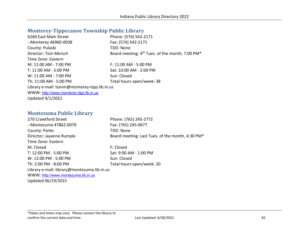# **Monterey-Tippecanoe Township Public Library**

| Phone: (574) 542-2171                                                   |
|-------------------------------------------------------------------------|
| Fax: (574) 542-2171                                                     |
| TDD: None                                                               |
| Board meeting: 4 <sup>th</sup> Tues. of the month, 7:00 PM <sup>*</sup> |
|                                                                         |
| F: 11:00 AM - 5:00 PM                                                   |
| Sat: 10:00 AM - 2:00 PM                                                 |
| Sun: Closed                                                             |
| Total hours open/week: 38                                               |
| Library e-mail: tonim@monterey-tipp.lib.in.us                           |
|                                                                         |
|                                                                         |
|                                                                         |

### **Montezuma Public Library**

| 270 Crawtford Street                        | Phone: (765) 245-2772                            |
|---------------------------------------------|--------------------------------------------------|
| --Montezuma 47862-0070                      | Fax: (765) 245-0677                              |
| County: Parke                               | TDD: None                                        |
| Director: Jayanne Rumple                    | Board meeting: Last Tues. of the month, 4:30 PM* |
| Time Zone: Eastern                          |                                                  |
| M: Closed                                   | F: Closed                                        |
| T: 12:00 PM - 5:00 PM                       | Sat: 9:00 AM - 1:00 PM                           |
| W: 12:00 PM - 5:00 PM                       | Sun: Closed                                      |
| Th: 2:00 PM - 8:00 PM                       | Total hours open/week: 20                        |
| Library e-mail: library@montezuma.lib.in.us |                                                  |
| WWW: http://www.montezuma.lib.in.us         |                                                  |

Updated 06/19/2015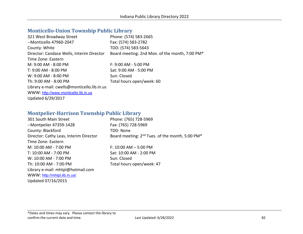# **Monticello-Union Township Public Library**

| Phone: (574) 583-2665                          |
|------------------------------------------------|
| Fax: (574) 583-2782                            |
| TDD: (574) 583-5643                            |
| Board meeting: 2nd Mon. of the month, 7:00 PM* |
|                                                |
| F: 9:00 AM - 5:00 PM                           |
| Sat: 9:00 AM - 5:00 PM                         |
| Sun: Closed                                    |
| Total hours open/week: 60                      |
|                                                |
|                                                |
|                                                |
|                                                |

### **Montpelier-Harrison Township Public Library**

| 301 South Main Street                  | Phone: (765) 728-5969                                                   |
|----------------------------------------|-------------------------------------------------------------------------|
| --Montpelier 47359-1428                | Fax: (765) 728-5969                                                     |
| County: Blackford                      | TDD: None                                                               |
| Director: Cathy Leas, Interim Director | Board meeting: 2 <sup>nd</sup> Tues. of the month, 5:00 PM <sup>*</sup> |
| Time Zone: Eastern                     |                                                                         |
| M: 10:00 AM - 7:00 PM                  | $F: 10:00$ AM $- 5:00$ PM                                               |
| T: 10:00 AM - 7:00 PM                  | Sat: 10:00 AM - 2:00 PM                                                 |
| W: 10:00 AM - 7:00 PM                  | Sun: Closed                                                             |
| Th: 10:00 AM - 7:00 PM                 | Total hours open/week: 47                                               |
| Library e-mail: mhtpl@hotmail.com      |                                                                         |
| WWW: http://mhtpl.lib.in.us/           |                                                                         |
| Updated 07/16/2015                     |                                                                         |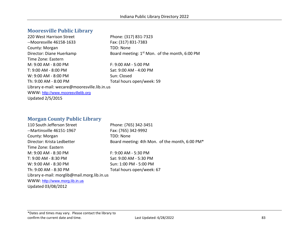#### **Mooresville Public Library**

220 West Harrison Street Phone: (317) 831-7323 --Mooresville 46158-1633 Fax: (317) 831-7383 County: Morgan TDD: None Director: Diane Huerkamp Board meeting: 1<sup>st</sup> Mon. of the month, 6:00 PM Time Zone: Eastern M: 9:00 AM - 8:00 PM F: 9:00 AM - 5:00 PM T: 9:00 AM - 8:00 PM Sat: 9:00 AM - 4:00 PM  $W: 9:00$  AM -  $8:00$  PM  $Sun: Closed$ Th: 9:00 AM - 8:00 PM Total hours open/week: 59 Library e-mail: wecare@mooresville.lib.in.us WWW: [http://www.mooresvillelib.org](http://www.mooresvillelib.org/) Updated 2/5/2015

#### **Morgan County Public Library**

110 South Jefferson Street Phone: (765) 342-3451 --Martinsville 46151-1967 Fax: (765) 342-9992 County: Morgan TDD: None Director: Krista Ledbetter **Board meeting: 4th Mon.** of the month, 6:00 PM\* Time Zone: Eastern M: 9:00 AM - 8:30 PM F: 9:00 AM - 5:30 PM T: 9:00 AM - 8:30 PM Sat: 9:00 AM - 5:30 PM W: 9:00 AM - 8:30 PM Sun: 1:00 PM - 5:00 PM Th: 9:00 AM - 8:30 PM Total hours open/week: 67 Library e-mail: morglib@mail.morg.lib.in.us WWW: [http://www.morg.lib.in.us](http://www.morg.lib.in.us/) Updated 03/08/2012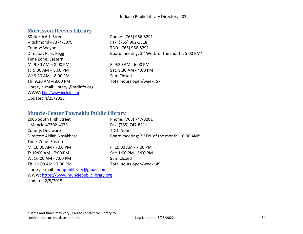#### **Morrisson-Reeves Library**

80 North 6th Street Phone: (765) 966-8291 --Richmond 47374-3079 Fax: (765) 962-1318 County: Wayne TDD: (765) 966-8291 Time Zone: Eastern M: 9:30 AM – 8:00 PM F: 9:30 AM - 6:00 PM T: 9:30 AM – 8:00 PM Sat: 9:30 AM - 4:00 PM W: 9:30 AM – 8:00 PM Sun: Closed Th:  $9:30$  AM –  $8:00$  PM Total hours open/week: 57 Library e-mail: library @mrlinfo.org WWW: [http://www.mrlinfo.org](http://www.mrlinfo.org/) Updated 4/25/2016

Director: Paris Pegg Board meeting: 3rd Wed. of the month, 5:00 PM\*

#### **Muncie-Center Township Public Library**

| 2005 South High Street                   | Phone: (765) 747-8201                                                   |
|------------------------------------------|-------------------------------------------------------------------------|
| --Muncie 47302-4073                      | Fax: (765) 747-8211                                                     |
| County: Delaware                         | TDD: None                                                               |
| Director: Akilah Nosakhere               | Board meeting: 3 <sup>rd</sup> Fri. of the month, 10:00 AM <sup>*</sup> |
| Time Zone: Eastern                       |                                                                         |
| M: 10:00 AM - 7:00 PM                    | F: 10:00 AM - 7:00 PM                                                   |
| T: 10:00 AM - 7:00 PM                    | Sat: 1:00 PM - 5:00 PM                                                  |
| W: 10:00 AM - 7:00 PM                    | Sun: Closed                                                             |
| Th: 10:00 AM - 7:00 PM                   | Total hours open/week: 49                                               |
| Library e-mail: munpublibrary@gmail.com  |                                                                         |
| WWW: https://www.munciepubliclibrary.org |                                                                         |
|                                          |                                                                         |

Updated 2/5/2015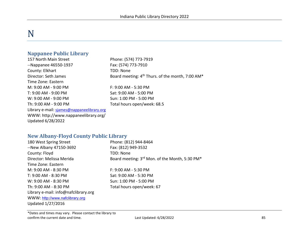# N

#### **Nappanee Public Library**

157 North Main Street Phone: (574) 773-7919 --Nappanee 46550-1937 Fax: (574) 773-7910 County: Elkhart TDD: None Time Zone: Eastern M: 9:00 AM - 9:00 PM F: 9:00 AM - 5:30 PM T: 9:00 AM - 9:00 PM Sat: 9:00 AM - 5:00 PM W: 9:00 AM - 9:00 PM Sun: 1:00 PM - 5:00 PM Th: 9:00 AM - 9:00 PM Total hours open/week: 68.5 Library e-mail: [sjames@nappaneelibrary.org](mailto:sjames@nappaneelibrary.org) WWW: http://www.nappaneelibrary.org/ Updated 6/28/2022

Director: Seth James Board meeting: 4<sup>th</sup> Thurs. of the month, 7:00 AM\*

#### **New Albany-Floyd County Public Library**

| 180 West Spring Street               | Phone: (812) 944-8464                          |
|--------------------------------------|------------------------------------------------|
| --New Albany 47150-3692              | Fax: (812) 949-3532                            |
| County: Floyd                        | TDD: None                                      |
| Director: Melissa Merida             | Board meeting: 3rd Mon. of the Month, 5:30 PM* |
| Time Zone: Eastern                   |                                                |
| M: 9:00 AM - 8:30 PM                 | F: 9:00 AM - 5:30 PM                           |
| T: 9:00 AM - 8:30 PM                 | Sat: 9:00 AM - 5:30 PM                         |
| W: 9:00 AM - 8:30 PM                 | Sun: 1:00 PM - 5:00 PM                         |
| Th: 9:00 AM - 8:30 PM                | Total hours open/week: 67                      |
| Library e-mail: info@nafclibrary.org |                                                |
| WWW: http://www.nafclibrary.org      |                                                |
| Updated 1/27/2016                    |                                                |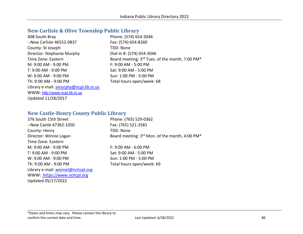# **New Carlisle & Olive Township Public Library**

| 408 South Bray                         | Phone: (574) 654-3046                           |
|----------------------------------------|-------------------------------------------------|
| --New Carlisle 46552-0837              | Fax: (574) 654-8260                             |
| County: St Joseph                      | TDD: None                                       |
| Director: Stephanie Murphy             | Dial-in #: (574) 654-3046                       |
| Time Zone: Eastern                     | Board meeting: 3rd Tues. of the month, 7:00 PM* |
| M: 9:00 AM - 9:00 PM                   | F: 9:00 AM - 5:00 PM                            |
| T: 9:00 AM - 9:00 PM                   | Sat: 9:00 AM - 5:00 PM                          |
| W: 9:00 AM - 9:00 PM                   | Sun: 1:00 PM - 5:00 PM                          |
| Th: 9:00 AM - 9:00 PM                  | Total hours open/week: 68                       |
| Library e-mail: smurphy@ncpl.lib.in.us |                                                 |
| WWW: http://www.ncpl.lib.in.us         |                                                 |
| Updated 11/28/2017                     |                                                 |

#### **New Castle-Henry County Public Library**

| 376 South 15th Street              | Phone: (765) 529-0362                                                  |
|------------------------------------|------------------------------------------------------------------------|
| --New Castle 47362-1050            | Fax: (765) 521-3581                                                    |
| County: Henry                      | TDD: None                                                              |
| Director: Winnie Logan             | Board meeting: 3 <sup>rd</sup> Mon. of the month, 4:00 PM <sup>*</sup> |
| Time Zone: Eastern                 |                                                                        |
| M: 9:00 AM - 9:00 PM               | F: 9:00 AM - 6:00 PM                                                   |
| T: 9:00 AM - 9:00 PM               | Sat: 9:00 AM - 5:00 PM                                                 |
| W: 9:00 AM - 9:00 PM               | Sun: 1:00 PM - 5:00 PM                                                 |
| Th: 9:00 AM - 9:00 PM              | Total hours open/week: 69                                              |
| Library e-mail: winniel@nchcpl.org |                                                                        |
| WWW: https://www.nchcpl.org        |                                                                        |
| Updated 05/17/2022                 |                                                                        |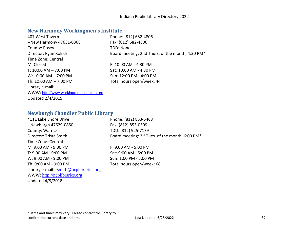# **New Harmony Workingmen's Institute**

| 407 West Tavern                          | Phone: (812) 682-4806                            |
|------------------------------------------|--------------------------------------------------|
| --New Harmony 47631-0368                 | Fax: (812) 682-4806                              |
| County: Posey                            | TDD: None                                        |
| Director: Ryan Rokicki                   | Board meeting: 2nd Thurs. of the month, 4:30 PM* |
| Time Zone: Central                       |                                                  |
| M: Closed                                | F: 10:00 AM - 4:30 PM                            |
| T: $10:00$ AM $- 7:00$ PM                | Sat: 10:00 AM - 4:30 PM                          |
| $W: 10:00$ AM $- 7:00$ PM                | Sun: 12:00 PM - 4:00 PM                          |
| Th: $10:00$ AM $- 7:00$ PM               | Total hours open/week: 44                        |
| Library e-mail:                          |                                                  |
| WWW: http://www.workingmensinstitute.org |                                                  |
| <b>Updated 2/4/2015</b>                  |                                                  |

### **Newburgh Chandler Public Library**

| 4111 Lake Shore Drive                   | Phone: (812) 853-5468                           |
|-----------------------------------------|-------------------------------------------------|
| --Newburgh 47629-0850                   | Fax: (812) 853-0509                             |
| County: Warrick                         | TDD: (812) 925-7179                             |
| Director: Trista Smith                  | Board meeting: 3rd Tues. of the month, 6:00 PM* |
| Time Zone: Central                      |                                                 |
| M: 9:00 AM - 9:00 PM                    | F: 9:00 AM - 5:00 PM                            |
| T: 9:00 AM - 9:00 PM                    | Sat: 9:00 AM - 5:00 PM                          |
| W: 9:00 AM - 9:00 PM                    | Sun: 1:00 PM - 5:00 PM                          |
| Th: 9:00 AM - 9:00 PM                   | Total hours open/week: 68                       |
| Library e-mail: tsmith@ncplibraries.org |                                                 |
| WWW: http://ncplibraries.org            |                                                 |
| <b>Updated 4/9/2018</b>                 |                                                 |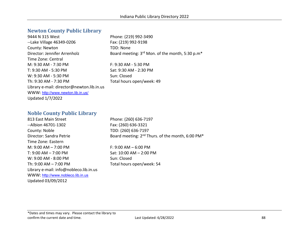#### **Newton County Public Library**

| 9444 N 315 West                           | Phone: (219) 992-3490                           |
|-------------------------------------------|-------------------------------------------------|
| --Lake Village 46349-0206                 | Fax: (219) 992-9198                             |
| County: Newton                            | TDD: None                                       |
| Director: Jennifer Arrenholz              | Board meeting: 3rd Mon. of the month, 5:30 p.m* |
| Time Zone: Central                        |                                                 |
| M: 9:30 AM - 7:30 PM                      | $F: 9:30$ AM - 5:30 PM                          |
| T: 9:30 AM - 5:30 PM                      | Sat: 9:30 AM - 2:30 PM                          |
| W: 9:30 AM - 5:30 PM                      | Sun: Closed                                     |
| Th: 9:30 AM - 7:30 PM                     | Total hours open/week: 49                       |
| Library e-mail: director@newton.lib.in.us |                                                 |
| WWW: http://www.newton.lib.in.us/         |                                                 |
| <b>Updated 1/7/2022</b>                   |                                                 |

#### **Noble County Public Library**

813 East Main Street Phone: (260) 636-7197 --Albion 46701-1302 Fax: (260) 636-3321 County: Noble TDD: (260) 636-7197 Time Zone: Eastern M: 9:00 AM – 7:00 PM F: 9:00 AM – 6:00 PM T: 9:00 AM – 7:00 PM Sat: 10:00 AM – 2:00 PM W: 9:00 AM - 8:00 PM Sun: Closed Th:  $9:00$  AM  $- 7:00$  PM Total hours open/week: 54 Library e-mail: info@nobleco.lib.in.us WWW: [http://www.nobleco.lib.in.us](http://www.nobleco.lib.in.us/) Updated 03/09/2012

Director: Sandra Petrie Board meeting: 2<sup>nd</sup> Thurs. of the month, 6:00 PM<sup>\*</sup>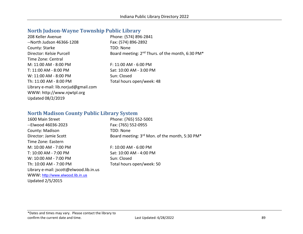# **North Judson-Wayne Township Public Library**

| 208 Keller Avenue                    | Phone: (574) 896-2841                                                    |
|--------------------------------------|--------------------------------------------------------------------------|
| --North Judson 46366-1208            | Fax: (574) 896-2892                                                      |
| County: Starke                       | TDD: None                                                                |
| Director: Kelsie Purcell             | Board meeting: 2 <sup>nd</sup> Thurs. of the month, 6:30 PM <sup>*</sup> |
| Time Zone: Central                   |                                                                          |
| M: 11:00 AM - 8:00 PM                | $F: 11:00$ AM - 6:00 PM                                                  |
| T: 11:00 AM - 8:00 PM                | Sat: 10:00 AM - 3:00 PM                                                  |
| W: 11:00 AM - 8:00 PM                | Sun: Closed                                                              |
| Th: 11:00 AM - 8:00 PM               | Total hours open/week: 48                                                |
| Library e-mail: lib.norjud@gmail.com |                                                                          |
| WWW: http://www.njwtpl.org           |                                                                          |
| Updated 08/2/2019                    |                                                                          |

# **North Madison County Public Library System**

| 1600 Main Street                        | Phone: (765) 552-5001                                                  |
|-----------------------------------------|------------------------------------------------------------------------|
|                                         |                                                                        |
| --Elwood 46036-2023                     | Fax: (765) 552-0955                                                    |
| County: Madison                         | TDD: None                                                              |
| Director: Jamie Scott                   | Board meeting: 3 <sup>rd</sup> Mon. of the month, 5:30 PM <sup>*</sup> |
| Time Zone: Eastern                      |                                                                        |
| M: 10:00 AM - 7:00 PM                   | $F: 10:00$ AM - 6:00 PM                                                |
| T: 10:00 AM - 7:00 PM                   | Sat: 10:00 AM - 4:00 PM                                                |
| W: 10:00 AM - 7:00 PM                   | Sun: Closed                                                            |
| Th: 10:00 AM - 7:00 PM                  | Total hours open/week: 50                                              |
| Library e-mail: jscott@elwood.lib.in.us |                                                                        |
| WWW: http://www.elwood.lib.in.us        |                                                                        |
| <b>Updated 2/5/2015</b>                 |                                                                        |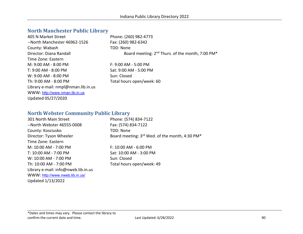### **North Manchester Public Library**

| 405 N Market Street                 | Phone: (260) 982-4773                                                    |
|-------------------------------------|--------------------------------------------------------------------------|
| --North Manchester 46962-1526       | Fax: (260) 982-6342                                                      |
| County: Wabash                      | TDD: None                                                                |
| Director: Diana Randall             | Board meeting: 2 <sup>nd</sup> Thurs. of the month, 7:00 PM <sup>*</sup> |
| Time Zone: Eastern                  |                                                                          |
| $M: 9:00 AM - 8:00 PM$              | $F: 9:00 AM - 5:00 PM$                                                   |
| T: 9:00 AM - 8:00 PM                | Sat: 9:00 AM - 5:00 PM                                                   |
| W: 9:00 AM - 8:00 PM                | Sun: Closed                                                              |
| Th: 9:00 AM - 8:00 PM               | Total hours open/week: 60                                                |
| Library e-mail: nmpl@nman.lib.in.us |                                                                          |
| WWW: http://www.nman.lib.in.us      |                                                                          |
| Updated 05/27/2020                  |                                                                          |

#### **North Webster Community Public Library**

| Phone: (574) 834-7122                          |
|------------------------------------------------|
| Fax: (574) 834-7122                            |
| TDD: None                                      |
| Board meeting: 3rd Wed. of the month, 4:30 PM* |
|                                                |
| $F: 10:00$ AM - 6:00 PM                        |
| Sat: 10:00 AM - 3:00 PM                        |
| Sun: Closed                                    |
| Total hours open/week: 49                      |
|                                                |
|                                                |
|                                                |
|                                                |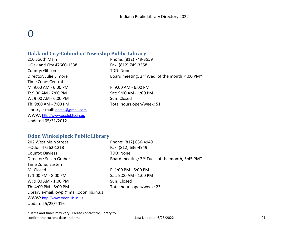# $\Omega$

#### **Oakland City-Columbia Township Public Library**

210 South Main Phone: (812) 749-3559 --Oakland City 47660-1538 Fax: (812) 749-3558 County: Gibson TDD: None Time Zone: Central M: 9:00 AM - 6:00 PM F: 9:00 AM - 6:00 PM T: 9:00 AM - 7:00 PM Sat: 9:00 AM - 1:00 PM W: 9:00 AM - 6:00 PM Sun: Closed Th: 9:00 AM - 7:00 PM Total hours open/week: 51 Library e-mail: [occtpl@gmail.com](mailto:occtpl@gmail.com) WWW: [http://www.occtpl.lib.in.us](http://www.occtpl.lib.in.us/) Updated 05/31/2012

Director: Julie Elmore Board meeting: 2<sup>nd</sup> Wed. of the month, 4:00 PM<sup>\*</sup>

#### **Odon Winkelpleck Public Library**

| 202 West Main Street                     | Phone: (812) 636-4949                                                   |
|------------------------------------------|-------------------------------------------------------------------------|
| --Odon 47562-1218                        | Fax: (812) 636-4949                                                     |
| County: Daviess                          | TDD: None                                                               |
| Director: Susan Graber                   | Board meeting: 2 <sup>nd</sup> Tues. of the month, 5:45 PM <sup>*</sup> |
| Time Zone: Eastern                       |                                                                         |
| M: Closed                                | $F: 1:00$ PM - 5:00 PM                                                  |
| T: 1:00 PM - 8:00 PM                     | Sat: 9:00 AM - 1:00 PM                                                  |
| W: 9:00 AM - 1:00 PM                     | Sun: Closed                                                             |
| Th: 4:00 PM - 8:00 PM                    | Total hours open/week: 23                                               |
| Library e-mail: owpl@mail.odon.lib.in.us |                                                                         |
| WWW: http://www.odon.lib.in.us           |                                                                         |
| Updated 5/25/2016                        |                                                                         |
|                                          |                                                                         |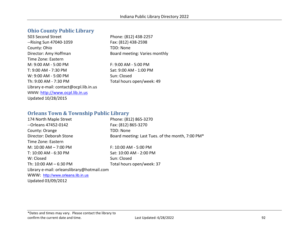#### **Ohio County Public Library**

503 Second Street Phone: (812) 438-2257 --Rising Sun 47040-1059 Fax: (812) 438-2598 County: Ohio TDD: None Director: Amy Hoffman Board meeting: Varies monthly Time Zone: Eastern M: 9:00 AM - 5:00 PM F: 9:00 AM - 5:00 PM T: 9:00 AM - 7:30 PM Sat: 9:00 AM - 1:00 PM W: 9:00 AM - 5:00 PM Sun: Closed Th: 9:00 AM - 7:30 PM Total hours open/week: 49 Library e-mail: contact@ocpl.lib.in.us WWW: [http://www.ocpl.lib.in.us](http://www.ocpl.lib.in.us/) Updated 10/28/2015

#### **Orleans Town & Township Public Library**

| 174 North Maple Street                     | Phone: (812) 865-3270                            |
|--------------------------------------------|--------------------------------------------------|
| --Orleans 47452-0142                       | Fax: (812) 865-3270                              |
| County: Orange                             | <b>TDD: None</b>                                 |
| Director: Deborah Stone                    | Board meeting: Last Tues. of the month, 7:00 PM* |
| Time Zone: Eastern                         |                                                  |
| M: $10:00$ AM $- 7:00$ PM                  | F: 10:00 AM - 5:00 PM                            |
| T: 10:00 AM - 6:30 PM                      | Sat: 10:00 AM - 2:00 PM                          |
| W: Closed                                  | Sun: Closed                                      |
| Th: $10:00$ AM $-6:30$ PM                  | Total hours open/week: 37                        |
| Library e-mail: orleanslibrary@hotmail.com |                                                  |
| WWW: http://www.orleans.lib.in.us          |                                                  |
| Updated 03/09/2012                         |                                                  |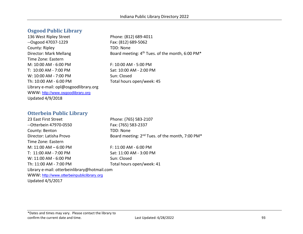#### **Osgood Public Library**

136 West Ripley Street Phone: (812) 689-4011 --Osgood 47037-1229 Fax: (812) 689-5062 County: Ripley TDD: None Time Zone: Eastern M: 10:00 AM - 6:00 PM F: 10:00 AM - 5:00 PM T: 10:00 AM - 7:00 PM Sat: 10:00 AM - 2:00 PM W: 10:00 AM - 7:00 PM Sun: Closed Th: 10:00 AM - 6:00 PM Total hours open/week: 45 Library e-mail: opl@osgoodlibrary.org WWW: [http://www.osgoodlibrary.org](http://www.osgoodlibrary.org/) Updated 4/9/2018

Director: Mark Mellang Board meeting: 4<sup>th</sup> Tues. of the month, 6:00 PM<sup>\*</sup>

#### **Otterbein Public Library**

23 East First Street Phone: (765) 583-2107 --Otterbein 47970-0550 Fax: (765) 583-2337 County: Benton TDD: None Director: Latisha Provo Board meeting: 2<sup>nd</sup> Tues. of the month, 7:00 PM<sup>\*</sup> Time Zone: Eastern M: 11:00 AM – 6:00 PM F: 11:00 AM - 6:00 PM T: 11:00 AM - 7:00 PM Sat: 11:00 AM - 3:00 PM W: 11:00 AM - 6:00 PM Sun: Closed Th: 11:00 AM - 7:00 PM Total hours open/week: 41 Library e-mail: otterbeinlibrary@hotmail.com WWW: [http://www.otterbeinpubliclibrary.org](http://www.otterbeinpubliclibrary.org/)

Updated 4/5/2017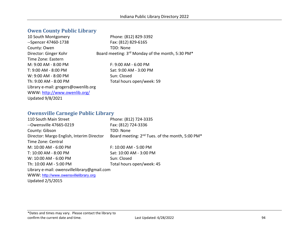# **Owen County Public Library**

| 10 South Montgomery                 | Phone: (812) 829-3392                            |
|-------------------------------------|--------------------------------------------------|
| --Spencer 47460-1738                | Fax: (812) 829-6165                              |
| County: Owen                        | TDD: None                                        |
| Director: Ginger Kohr               | Board meeting: 3rd Monday of the month, 5:30 PM* |
| Time Zone: Eastern                  |                                                  |
| $M: 9:00 AM - 8:00 PM$              | $F: 9:00 AM - 6:00 PM$                           |
| T: 9:00 AM - 8:00 PM                | Sat: 9:00 AM - 3:00 PM                           |
| W: 9:00 AM - 8:00 PM                | Sun: Closed                                      |
| Th: 9:00 AM - 8:00 PM               | Total hours open/week: 59                        |
| Library e-mail: grogers@owenlib.org |                                                  |
| WWW: http://www.owenlib.org/        |                                                  |
| <b>Updated 9/8/2021</b>             |                                                  |

#### **Owensville Carnegie Public Library**

| 110 South Main Street                       | Phone: (812) 724-3335                                                   |
|---------------------------------------------|-------------------------------------------------------------------------|
| --Owensville 47665-0219                     | Fax: (812) 724-3336                                                     |
| County: Gibson                              | TDD: None                                                               |
| Director: Margo English, Interim Director   | Board meeting: 2 <sup>nd</sup> Tues. of the month, 5:00 PM <sup>*</sup> |
| Time Zone: Central                          |                                                                         |
| M: 10:00 AM - 6:00 PM                       | F: 10:00 AM - 5:00 PM                                                   |
| T: 10:00 AM - 8:00 PM                       | Sat: 10:00 AM - 3:00 PM                                                 |
| W: 10:00 AM - 6:00 PM                       | Sun: Closed                                                             |
| Th: 10:00 AM - 5:00 PM                      | Total hours open/week: 45                                               |
| Library e-mail: owensvillelibrary@gmail.com |                                                                         |
| WWW: http://www.owensvillelibrary.org       |                                                                         |
| <b>Updated 2/5/2015</b>                     |                                                                         |
|                                             |                                                                         |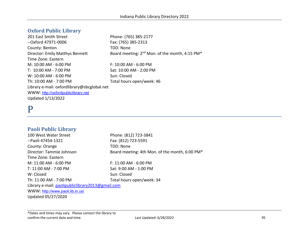#### **Oxford Public Library**

201 East Smith Street Phone: (765) 385-2177 --Oxford 47971-0006 Fax: (765) 385-2313 County: Benton TDD: None Director: Emily Matthys Bennett Board meeting: 2<sup>nd</sup> Mon. of the month, 4:15 PM<sup>\*</sup> Time Zone: Eastern M: 10:00 AM - 6:00 PM F: 10:00 AM - 6:00 PM T: 10:00 AM - 7:00 PM Sat: 10:00 AM - 2:00 PM W: 10:00 AM - 6:00 PM Sun: Closed Th: 10:00 AM - 7:00 PM Total hours open/week: 46 Library e-mail: oxfordlibrary@sbcglobal.net WWW: [http://oxfordpubliclibrary.net](http://oxfordpubliclibrary.net/) Updated 1/13/2022

# P

#### **Paoli Public Library**

100 West Water Street Phone: (812) 723-3841 --Paoli 47454-1321 Fax: (812) 723-5591 County: Orange TDD: None Director: Tammie Johnson Board meeting: 4th Mon. of the month, 6:00 PM\* Time Zone: Eastern M: 11:00 AM - 6:00 PM F: 11:00 AM - 6:00 PM T: 11:00 AM - 7:00 PM Sat: 9:00 AM - 1:00 PM W: Closed Sun: Closed Th: 11:00 AM - 7:00 PM Total hours open/week: 34 Library e-mail: [paolipubliclibrary2013@gmail.com](mailto:paolipubliclibrary2013@gmail.com) WWW: <http://www.paoli.lib.in.us/> Updated 05/27/2020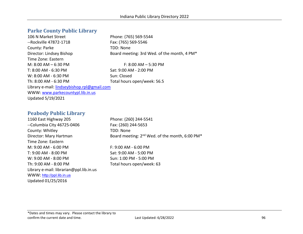#### **Parke County Public Library**

106 N Market Street **Phone: (765) 569-5544** --Rockville 47872-1718 Fax: (765) 569-5546 County: Parke TDD: None Time Zone: Eastern M: 8:00 AM – 6:30 PM T: 8:00 AM - 6:30 PM Sat: 9:00 AM - 2:00 PM W: 8:00 AM - 6:30 PM Sun: Closed Th: 8:00 AM - 6:30 PM Total hours open/week: 56.5 Library e-mail: [lindseybishop.rpl@gmail.com](mailto:lindseybishop.rpl@gmail.com)  WWW: [www.parkecountypl.lib.in.us](http://www.parkecountypl.lib.in.us/)  Updated 5/19/2021

#### **Peabody Public Library**

1160 East Highway 205 Phone: (260) 244-5541 --Columbia City 46725-0406 Fax: (260) 244-5653 County: Whitley TDD: None Time Zone: Eastern M: 9:00 AM - 6:00 PM F: 9:00 AM - 6:00 PM T: 9:00 AM - 8:00 PM Sat: 9:00 AM - 5:00 PM W: 9:00 AM - 8:00 PM  $S$ un: 1:00 PM - 5:00 PM Th: 9:00 AM - 8:00 PM Total hours open/week: 63 Library e-mail: librarian@ppl.lib.in.us WWW: [http://ppl.lib.in.us](http://ppl.lib.in.us/) Updated 01/25/2016

Director: Lindsey Bishop Board meeting: 3rd Wed. of the month, 4 PM\*

Director: Mary Hartman Board meeting: 2<sup>nd</sup> Wed. of the month, 6:00 PM<sup>\*</sup>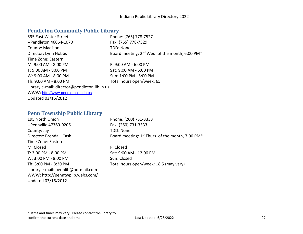# **Pendleton Community Public Library**

| 595 East Water Street                        | Phone: (765) 778-7527                                                  |
|----------------------------------------------|------------------------------------------------------------------------|
| --Pendleton 46064-1070                       | Fax: (765) 778-7529                                                    |
| County: Madison                              | TDD: None                                                              |
| Director: Lynn Hobbs                         | Board meeting: 2 <sup>nd</sup> Wed. of the month, 6:00 PM <sup>*</sup> |
| Time Zone: Eastern                           |                                                                        |
| M: 9:00 AM - 8:00 PM                         | $F: 9:00$ AM - 6:00 PM                                                 |
| T: 9:00 AM - 8:00 PM                         | Sat: 9:00 AM - 5:00 PM                                                 |
| W: 9:00 AM - 8:00 PM                         | Sun: 1:00 PM - 5:00 PM                                                 |
| Th: 9:00 AM - 8:00 PM                        | Total hours open/week: 65                                              |
| Library e-mail: director@pendleton.lib.in.us |                                                                        |
| WWW: http://www.pendleton.lib.in.us          |                                                                        |
| Updated 03/16/2012                           |                                                                        |

### **Penn Township Public Library**

| 195 North Union                     | Phone: (260) 731-3333                              |
|-------------------------------------|----------------------------------------------------|
| --Pennville 47369-0206              | Fax: (260) 731-3333                                |
| County: Jay                         | TDD: None                                          |
| Director: Brenda L Cash             | Board meeting: $1st$ Thurs. of the month, 7:00 PM* |
| Time Zone: Eastern                  |                                                    |
| M: Closed                           | F: Closed                                          |
| T: 3:00 PM - 8:00 PM                | Sat: 9:00 AM - 12:00 PM                            |
| W: 3:00 PM - 8:00 PM                | Sun: Closed                                        |
| Th: 3:00 PM - 8:30 PM               | Total hours open/week: 18.5 (may vary)             |
| Library e-mail: pennlib@hotmail.com |                                                    |
| WWW: http://penntwplib.webs.com/    |                                                    |
| Updated 03/16/2012                  |                                                    |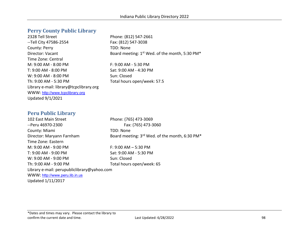#### **Perry County Public Library**

2328 Tell Street Phone: (812) 547-2661 --Tell City 47586-2554 Fax: (812) 547-3038 County: Perry TDD: None Director: Vacant Board meeting: 1st Wed. of the month, 5:30 PM\* Time Zone: Central M: 9:00 AM - 8:00 PM F: 9:00 AM - 5:30 PM T: 9:00 AM - 8:00 PM Sat: 9:00 AM - 4:30 PM  $W: 9:00$  AM -  $8:00$  PM Sun: Closed Th: 9:00 AM - 5:30 PM Total hours open/week: 57.5 Library e-mail: library@tcpclibrary.org WWW: [http://www.tcpclibrary.org](http://www.tcpclibrary.org/) Updated 9/1/2021

#### **Peru Public Library**

102 East Main Street Phone: (765) 473-3069 --Peru 46970-2300 Fax: (765) 473-3060 County: Miami TDD: None Director: Maryann Farnham Board meeting: 3<sup>rd</sup> Wed. of the month, 6:30 PM<sup>\*</sup> Time Zone: Eastern M: 9:00 AM - 9:00 PM F: 9:00 AM – 5:30 PM T: 9:00 AM - 9:00 PM Sat: 9:00 AM - 5:30 PM W: 9:00 AM - 9:00 PM Sun: Closed Th: 9:00 AM - 9:00 PM Total hours open/week: 65 Library e-mail: perupubliclibrary@yahoo.com WWW: [http://www.peru.lib.in.us](http://www.peru.lib.in.us/) Updated 1/11/2017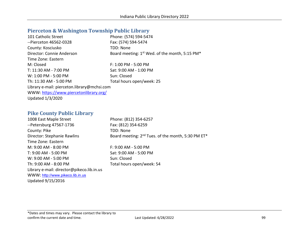#### **Pierceton & Washington Township Public Library**

| 101 Catholic Street                         | Phone: (574) 594-5474                                      |
|---------------------------------------------|------------------------------------------------------------|
| --Pierceton 46562-0328                      | Fax: (574) 594-5474                                        |
| County: Kosciusko                           | TDD: None                                                  |
| Director: Connie Anderson                   | Board meeting: 1 <sup>st</sup> Wed. of the month, 5:15 PM* |
| Time Zone: Eastern                          |                                                            |
| M: Closed                                   | F: 1:00 PM - 5:00 PM                                       |
| T: 11:30 AM - 7:00 PM                       | Sat: 9:00 AM - 1:00 PM                                     |
| W: 1:00 PM - 5:00 PM                        | Sun: Closed                                                |
| Th: 11:30 AM - 5:00 PM                      | Total hours open/week: 25                                  |
| Library e-mail: pierceton.library@mchsi.com |                                                            |
| WWW: https://www.piercetonlibrary.org/      |                                                            |
| <b>Updated 1/3/2020</b>                     |                                                            |

#### **Pike County Public Library**

1008 East Maple Street Phone: (812) 354-6257 --Petersburg 47567-1736 Fax: (812) 354-6259 County: Pike TDD: None Director: Stephanie Rawlins Board meeting: 2<sup>nd</sup> Tues. of the month, 5:30 PM ET<sup>\*</sup> Time Zone: Eastern M: 9:00 AM - 8:00 PM F: 9:00 AM - 5:00 PM T: 9:00 AM - 5:00 PM Sat: 9:00 AM - 5:00 PM W: 9:00 AM - 5:00 PM Sun: Closed Th: 9:00 AM - 8:00 PM Total hours open/week: 54 Library e-mail: director@pikeco.lib.in.us WWW: [http://www.pikeco.lib.in.us](http://www.pikeco.lib.in.us/) Updated 9/15/2016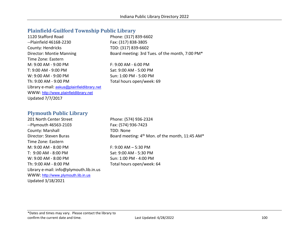#### **Plainfield-Guilford Township Public Library**

1120 Stafford Road Phone: (317) 839-6602 --Plainfield 46168-2230 Fax: (317) 838-3805 County: Hendricks TDD: (317) 839-6602 Director: Montie Manning Board meeting: 3rd Tues. of the month, 7:00 PM\* Time Zone: Eastern M: 9:00 AM - 9:00 PM F: 9:00 AM - 6:00 PM T: 9:00 AM - 9:00 PM Sat: 9:00 AM - 5:00 PM W: 9:00 AM - 9:00 PM Sun: 1:00 PM - 5:00 PM Th: 9:00 AM - 9:00 PM Total hours open/week: 69 Library e-mail: [askus@plainfieldlibrary.net](mailto:askus@plainfieldlibrary.net) WWW: [http://www.plainfieldlibrary.net](http://www.plainfieldlibrary.net/) Updated 7/7/2017

#### **Plymouth Public Library**

201 North Center Street Phone: (574) 936-2324 --Plymouth 46563-2103 Fax: (574) 936-7423 County: Marshall TDD: None Time Zone: Eastern M: 9:00 AM - 8:00 PM F: 9:00 AM – 5:30 PM T: 9:00 AM - 8:00 PM Sat: 9:00 AM - 5:30 PM W: 9:00 AM - 8:00 PM  $\leq$  Sun: 1:00 PM - 4:00 PM Th: 9:00 AM - 8:00 PM Total hours open/week: 64 Library e-mail: info@plymouth.lib.in.us WWW: [http://www.plymouth.lib.in.us](http://www.plymouth.lib.in.us/) Updated 3/18/2021

Director: Steven Buras Board meeting:  $4<sup>th</sup>$  Mon. of the month, 11:45 AM\*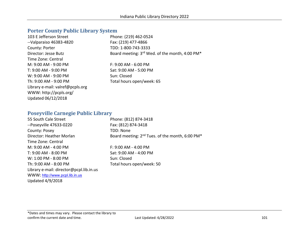# **Porter County Public Library System**

| 103 E Jefferson Street           | Phone: (219) 462-0524                          |
|----------------------------------|------------------------------------------------|
| $-V$ alparaiso 46383-4820        | Fax: (219) 477-4866                            |
| County: Porter                   | TDD: 1-800-743-3333                            |
| Director: Jesse Butz             | Board meeting: 3rd Wed. of the month, 4:00 PM* |
| Time Zone: Central               |                                                |
| M: 9:00 AM - 9:00 PM             | $F: 9:00$ AM - 6:00 PM                         |
| T: 9:00 AM - 9:00 PM             | Sat: 9:00 AM - 5:00 PM                         |
| $W: 9:00 AM - 9:00 PM$           | Sun: Closed                                    |
| Th: 9:00 AM - 9:00 PM            | Total hours open/week: 65                      |
| Library e-mail: valref@pcpls.org |                                                |
| WWW: http://pcpls.org/           |                                                |
| Updated 06/12/2018               |                                                |

### **Poseyville Carnegie Public Library**

| 55 South Cale Street                    | Phone: (812) 874-3418                                                   |
|-----------------------------------------|-------------------------------------------------------------------------|
| --Poseyville 47633-0220                 | Fax: (812) 874-3418                                                     |
| County: Posey                           | TDD: None                                                               |
| Director: Heather Morlan                | Board meeting: 2 <sup>nd</sup> Tues. of the month, 6:00 PM <sup>*</sup> |
| Time Zone: Central                      |                                                                         |
| M: 9:00 AM - 4:00 PM                    | $F: 9:00$ AM - 4:00 PM                                                  |
| T: 9:00 AM - 8:00 PM                    | Sat: 9:00 AM - 4:00 PM                                                  |
| W: 1:00 PM - 8:00 PM                    | Sun: Closed                                                             |
| Th: 9:00 AM - 8:00 PM                   | Total hours open/week: 50                                               |
| Library e-mail: director@pcpl.lib.in.us |                                                                         |
| WWW: http://www.pcpl.lib.in.us          |                                                                         |
| <b>Updated 4/9/2018</b>                 |                                                                         |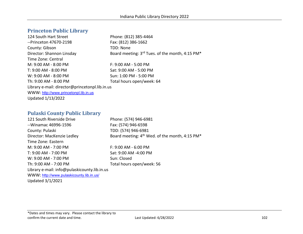#### **Princeton Public Library**

124 South Hart Street Phone: (812) 385-4464 --Princeton 47670-2198 Fax: (812) 386-1662 County: Gibson TDD: None Director: Shannon Linsday Board meeting: 3<sup>rd</sup> Tues. of the month, 4:15 PM<sup>\*</sup> Time Zone: Central M: 9:00 AM - 8:00 PM F: 9:00 AM - 5:00 PM T: 9:00 AM - 8:00 PM Sat: 9:00 AM - 5:00 PM W: 9:00 AM - 8:00 PM Sun: 1:00 PM - 5:00 PM Th: 9:00 AM - 8:00 PM Total hours open/week: 64 Library e-mail: director@princetonpl.lib.in.us WWW: [http://www.princetonpl.lib.in.us](http://www.princetonpl.lib.in.us/) Updated 1/13/2022

#### **Pulaski County Public Library**

| 121 South Riverside Drive                    | Phone: (574) 946-6981                                      |
|----------------------------------------------|------------------------------------------------------------|
| --Winamac 46996-1596                         | Fax: (574) 946-6598                                        |
| County: Pulaski                              | TDD: (574) 946-6981                                        |
| Director: MacKenzie Ledley                   | Board meeting: 4 <sup>th</sup> Wed. of the month, 4:15 PM* |
| Time Zone: Eastern                           |                                                            |
| M: 9:00 AM - 7:00 PM                         | $F: 9:00$ AM - 6:00 PM                                     |
| T: 9:00 AM - 7:00 PM                         | Sat: 9:00 AM -4:00 PM                                      |
| W: 9:00 AM - 7:00 PM                         | Sun: Closed                                                |
| Th: 9:00 AM - 7:00 PM                        | Total hours open/week: 56                                  |
| Library e-mail: info@pulaskicounty.lib.in.us |                                                            |
| WWW: http://www.pulaskicounty.lib.in.us/     |                                                            |
| <b>Updated 3/1/2021</b>                      |                                                            |

\*Dates and times may vary. Please contact the library to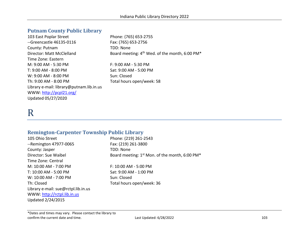# **Putnam County Public Library**

| 103 East Poplar Street                   | Phone: (765) 653-2755                                                  |
|------------------------------------------|------------------------------------------------------------------------|
| --Greencastle 46135-0116                 | Fax: (765) 653-2756                                                    |
| County: Putnam                           | TDD: None                                                              |
| Director: Matt McClelland                | Board meeting: 4 <sup>th</sup> Wed. of the month, 6:00 PM <sup>*</sup> |
| Time Zone: Eastern                       |                                                                        |
| M: 9:00 AM - 5:30 PM                     | F: 9:00 AM - 5:30 PM                                                   |
| T: 9:00 AM - 8:00 PM                     | Sat: 9:00 AM - 5:00 PM                                                 |
| W: 9:00 AM - 8:00 PM                     | Sun: Closed                                                            |
| Th: 9:00 AM - 8:00 PM                    | Total hours open/week: 58                                              |
| Library e-mail: library@putnam.lib.in.us |                                                                        |
| WWW: http://pcpl21.org/                  |                                                                        |
| Updated 05/27/2020                       |                                                                        |

# R

### **Remington-Carpenter Township Public Library**

| Phone: (219) 261-2543                            |
|--------------------------------------------------|
| Fax: (219) 261-3800                              |
| TDD: None                                        |
| Board meeting: $1st$ Mon. of the month, 6:00 PM* |
|                                                  |
| F: 10:00 AM - 5:00 PM                            |
| Sat: 9:00 AM - 1:00 PM                           |
| Sun: Closed                                      |
| Total hours open/week: 36                        |
|                                                  |
|                                                  |
|                                                  |
|                                                  |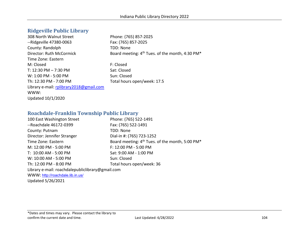#### **Ridgeville Public Library**

308 North Walnut Street Phone: (765) 857-2025 --Ridgeville 47380-0063 Fax: (765) 857-2025 County: Randolph TDD: None Director: Ruth McCormick Board meeting: 4<sup>th</sup> Tues. of the month, 4:30 PM<sup>\*</sup> Time Zone: Eastern M: Closed F: Closed T: 12:30 PM – 7:30 PM Sat: Closed W: 1:00 PM - 5:00 PM Sun: Closed Th: 12:30 PM - 7:00 PM Total hours open/week: 17.5 Library e-mail: rplibrary2018@gmail.com WWW: Updated 10/1/2020

#### **Roachdale-Franklin Township Public Library**

| 100 East Washington Street                       | Phone: (765) 522-1491                                                   |
|--------------------------------------------------|-------------------------------------------------------------------------|
| --Roachdale 46172-0399                           | Fax: (765) 522-1491                                                     |
| County: Putnam                                   | TDD: None                                                               |
| Director: Jennifer Stranger                      | Dial-in #: (765) 723-1252                                               |
| Time Zone: Eastern                               | Board meeting: 4 <sup>th</sup> Tues. of the month, 5:00 PM <sup>*</sup> |
| M: 12:00 PM - 5:00 PM                            | F: 12:00 PM - 5:00 PM                                                   |
| T: 10:00 AM - 5:00 PM                            | Sat: 9:00 AM - 1:00 PM                                                  |
| W: 10:00 AM - 5:00 PM                            | Sun: Closed                                                             |
| Th: 12:00 PM - 8:00 PM                           | Total hours open/week: 36                                               |
| Library e-mail: roachdalepubliclibrary@gmail.com |                                                                         |
| WWW: http://roachdale.lib.in.us/                 |                                                                         |
| Updated 5/26/2021                                |                                                                         |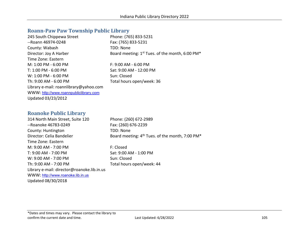#### **Roann-Paw Paw Township Public Library**

| 245 South Chippewa Street              | Phone: (765) 833-5231                                       |
|----------------------------------------|-------------------------------------------------------------|
| --Roann 46974-0248                     | Fax: (765) 833-5231                                         |
| County: Wabash                         | TDD: None                                                   |
| Director: Joy A Harber                 | Board meeting: 1 <sup>st</sup> Tues. of the month, 6:00 PM* |
| Time Zone: Eastern                     |                                                             |
| $M: 1:00$ PM - 6:00 PM                 | $F: 9:00 AM - 6:00 PM$                                      |
| T: 1:00 PM - 6:00 PM                   | Sat: 9:00 AM - 12:00 PM                                     |
| $W: 1:00$ PM - 6:00 PM                 | Sun: Closed                                                 |
| Th: 9:00 AM - 6:00 PM                  | Total hours open/week: 36                                   |
| Library e-mail: roannlibrary@yahoo.com |                                                             |
| WWW: http://www.roannpubliclibrary.com |                                                             |
| Updated 03/23/2012                     |                                                             |

#### **Roanoke Public Library**

314 North Main Street, Suite 120 Phone: (260) 672-2989 --Roanoke 46783-0249 Fax: (260) 676-2239 County: Huntington TDD: None Director: Celia Bandelier Board meeting: 4<sup>th</sup> Tues. of the month, 7:00 PM<sup>\*</sup> Time Zone: Eastern M: 9:00 AM - 7:00 PM F: Closed T: 9:00 AM - 7:00 PM Sat: 9:00 AM - 1:00 PM W: 9:00 AM - 7:00 PM Sun: Closed Th: 9:00 AM - 7:00 PM Total hours open/week: 44 Library e-mail: director@roanoke.lib.in.us WWW: [http://www.roanoke.lib.in.us](http://www.roanoke.lib.in.us/) Updated 08/30/2018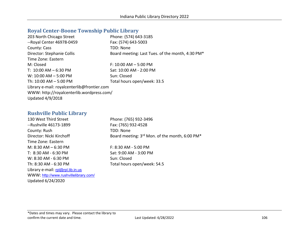# **Royal Center-Boone Township Public Library**

| 203 North Chicago Street                    | Phone: (574) 643-3185                            |
|---------------------------------------------|--------------------------------------------------|
| --Royal Center 46978-0459                   | Fax: (574) 643-5003                              |
| County: Cass                                | TDD: None                                        |
| Director: Stephanie Collis                  | Board meeting: Last Tues. of the month, 4:30 PM* |
| Time Zone: Eastern                          |                                                  |
| M: Closed                                   | $F: 10:00 AM - 5:00 PM$                          |
| T: $10:00$ AM $-6:30$ PM                    | Sat: 10:00 AM - 2:00 PM                          |
| $W: 10:00$ AM $- 5:00$ PM                   | Sun: Closed                                      |
| Th: $10:00$ AM $-5:00$ PM                   | Total hours open/week: 33.5                      |
| Library e-mail: royalcenterlib@frontier.com |                                                  |
| WWW: http://royalcenterlib.wordpress.com/   |                                                  |
| <b>Updated 4/9/2018</b>                     |                                                  |

### **Rushville Public Library**

| 130 West Third Street                 | Phone: (765) 932-3496                          |
|---------------------------------------|------------------------------------------------|
| --Rushville 46173-1899                | Fax: (765) 932-4528                            |
| County: Rush                          | <b>TDD: None</b>                               |
| Director: Nicki Kirchoff              | Board meeting: 3rd Mon. of the month, 6:00 PM* |
| Time Zone: Eastern                    |                                                |
| M: $8:30$ AM $-6:30$ PM               | $F: 8:30$ AM - 5:00 PM                         |
| T: 8:30 AM - 6:30 PM                  | Sat: 9:00 AM - 3:00 PM                         |
| W: 8:30 AM - 6:30 PM                  | Sun: Closed                                    |
| Th: 8:30 AM - 6:30 PM                 | Total hours open/week: 54.5                    |
| Library e-mail: rpl@rpl.lib.in.us     |                                                |
| WWW: http://www.rushvillelibrary.com/ |                                                |
| Updated 6/24/2020                     |                                                |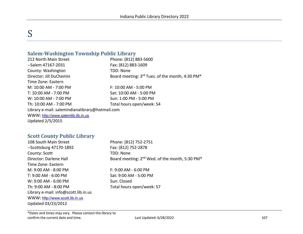# S

#### **Salem-Washington Township Public Library**

212 North Main Street Phone: (812) 883-5600 --Salem 47167-2031 Fax: (812) 883-1609 County: Washington TDD: None Director: Jill DuChemin Board meeting: 3<sup>rd</sup> Tues. of the month, 4:30 PM<sup>\*</sup> Time Zone: Eastern M: 10:00 AM - 7:00 PM F: 10:00 AM - 5:00 PM T: 10:00 AM - 7:00 PM Sat: 10:00 AM - 5:00 PM W: 10:00 AM - 7:00 PM Sun: 1:00 PM - 5:00 PM Th: 10:00 AM - 7:00 PM Total hours open/week: 54 Library e-mail: salemindianalibrary@hotmail.com WWW: [http://www.salemlib.lib.in.us](http://www.salemlib.lib.in.us/) Updated 2/5/2015

#### **Scott County Public Library**

| 108 South Main Street                | Phone: (812) 752-2751                                                  |
|--------------------------------------|------------------------------------------------------------------------|
| $-$ Scottsburg 47170-1892            | Fax: (812) 752-2878                                                    |
| County: Scott                        | TDD: None                                                              |
| Director: Darlene Hall               | Board meeting: 2 <sup>nd</sup> Wed. of the month, 5:30 PM <sup>*</sup> |
| Time Zone: Eastern                   |                                                                        |
| M: 9:00 AM - 8:00 PM                 | $F: 9:00 AM - 6:00 PM$                                                 |
| T: 9:00 AM - 6:00 PM                 | Sat: 9:00 AM - 5:00 PM                                                 |
| W: 9:00 AM - 6:00 PM                 | Sun: Closed                                                            |
| Th: 9:00 AM - 8:00 PM                | Total hours open/week: 57                                              |
| Library e-mail: info@scott.lib.in.us |                                                                        |
| WWW: http://www.scott.lib.in.us      |                                                                        |
| Updated 03/23/2012                   |                                                                        |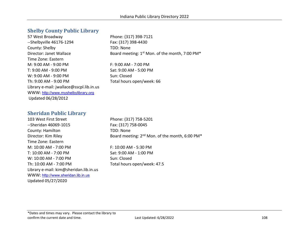#### **Shelby County Public Library**

57 West Broadway Phone: (317) 398-7121 --Shelbyville 46176-1294 Fax: (317) 398-4430 County: Shelby TDD: None Time Zone: Eastern M: 9:00 AM - 9:00 PM F: 9:00 AM - 7:00 PM T: 9:00 AM - 9:00 PM Sat: 9:00 AM - 5:00 PM W: 9:00 AM - 9:00 PM Sun: Closed Th: 9:00 AM - 9:00 PM Total hours open/week: 66 Library e-mail: jwallace@sscpl.lib.in.us WWW: [http://www.myshelbylibrary.org](http://www.myshelbylibrary.org/) Updated 06/28/2012

Director: Janet Wallace Board meeting: 1<sup>st</sup> Mon. of the month, 7:00 PM<sup>\*</sup>

#### **Sheridan Public Library**

103 West First Street Phone: (317) 758-5201 --Sheridan 46069-1015 Fax: (317) 758-0045 County: Hamilton TDD: None Time Zone: Eastern M: 10:00 AM - 7:00 PM F: 10:00 AM - 5:30 PM T: 10:00 AM - 7:00 PM Sat: 9:00 AM - 1:00 PM W: 10:00 AM - 7:00 PM Sun: Closed Th: 10:00 AM - 7:00 PM Total hours open/week: 47.5 Library e-mail: kim@sheridan.lib.in.us WWW: [http://www.sheridan.lib.in.us](http://www.sheridan.lib.in.us/) Updated 05/27/2020

Director: Kim Riley Board meeting: 2<sup>nd</sup> Mon. of the month, 6:00 PM<sup>\*</sup>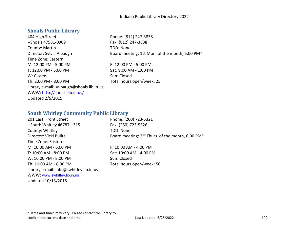### **Shoals Public Library**

404 High Street Phone: (812) 247-3838 --Shoals 47581-0909 Fax: (812) 247-3838 County: Martin TDD: None Director: Sylvia Albaugh Board meeting: 1st Mon. of the month, 6:00 PM\* Time Zone: Eastern M: 12:00 PM - 5:00 PM  $F: 12:00$  PM - 5:00 PM T: 12:00 PM - 5:00 PM Sat: 9:00 AM - 1:00 PM W: Closed Sun: Closed Th: 2:00 PM - 8:00 PM TOTAL Total hours open/week: 25 Library e-mail: salbaugh@shoals.lib.in.us WWW:<http://shoals.lib.in.us/> Updated 2/5/2015

#### **South Whitley Community Public Library**

| 201 East Front Street                   | Phone: (260) 723-5321                                                    |
|-----------------------------------------|--------------------------------------------------------------------------|
| --South Whitley 46787-1315              | Fax: (260) 723-5326                                                      |
| County: Whitley                         | TDD: None                                                                |
| Director: Vicki Builta                  | Board meeting: 2 <sup>nd</sup> Thurs. of the month, 6:00 PM <sup>*</sup> |
| Time Zone: Eastern                      |                                                                          |
| M: 10:00 AM - 6:00 PM                   | F: 10:00 AM - 4:00 PM                                                    |
| T: 10:00 AM - 8:00 PM                   | Sat: 10:00 AM - 4:00 PM                                                  |
| W: 10:00 PM - 8:00 PM                   | Sun: Closed                                                              |
| Th: 10:00 AM - 8:00 PM                  | Total hours open/week: 50                                                |
| Library e-mail: info@swhitley.lib.in.us |                                                                          |
| WWW: www.swhitley.lib.in.us             |                                                                          |
| Updated 10/13/2015                      |                                                                          |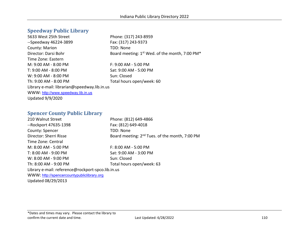#### **Speedway Public Library**

5633 West 25th Street Phone: (317) 243-8959 --Speedway 46224-3899 Fax: (317) 243-9373 County: Marion TDD: None Director: Darsi Bohr Board meeting: 1st Wed. of the month, 7:00 PM\* Time Zone: Eastern M: 9:00 AM - 8:00 PM F: 9:00 AM - 5:00 PM T: 9:00 AM - 8:00 PM Sat: 9:00 AM - 5:00 PM W: 9:00 AM - 8:00 PM Sun: Closed Th: 9:00 AM - 8:00 PM Total hours open/week: 60 Library e-mail: librarian@speedway.lib.in.us WWW: [http://www.speedway.lib.in.us](http://www.speedway.lib.in.us/) Updated 9/9/2020

#### **Spencer County Public Library**

| 210 Walnut Street                                 | Phone: (812) 649-4866                                      |
|---------------------------------------------------|------------------------------------------------------------|
| --Rockport 47635-1398                             | Fax: (812) 649-4018                                        |
| County: Spencer                                   | TDD: None                                                  |
| Director: Sherri Risse                            | Board meeting: 2 <sup>nd</sup> Tues. of the month, 7:00 PM |
| Time Zone: Central                                |                                                            |
| M: 8:00 AM - 5:00 PM                              | F: 8:00 AM - 5:00 PM                                       |
| T: 8:00 AM - 9:00 PM                              | Sat: 9:00 AM - 3:00 PM                                     |
| W: 8:00 AM - 9:00 PM                              | Sun: Closed                                                |
| Th: 8:00 AM - 9:00 PM                             | Total hours open/week: 63                                  |
| Library e-mail: reference@rockport-spco.lib.in.us |                                                            |
| WWW: http://spencercountypubliclibrary.org        |                                                            |
| Updated 08/29/2013                                |                                                            |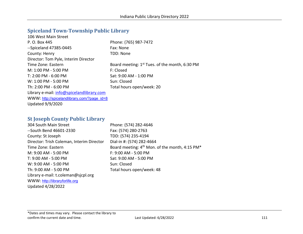# **Spiceland Town-Township Public Library**

| 106 West Main Street                        |                                                  |
|---------------------------------------------|--------------------------------------------------|
| P. O. Box 445                               | Phone: (765) 987-7472                            |
| --Spiceland 47385-0445                      | Fax: None                                        |
| County: Henry                               | TDD: None                                        |
| Director: Tom Pyle, Interim Director        |                                                  |
| Time Zone: Eastern                          | Board meeting: $1st$ Tues. of the month, 6:30 PM |
| M: 1:00 PM - 5:00 PM                        | F: Closed                                        |
| T: 2:00 PM - 6:00 PM                        | Sat: 9:00 AM - 1:00 PM                           |
| W: 1:00 PM - 5:00 PM                        | Sun: Closed                                      |
| Th: 2:00 PM - 6:00 PM                       | Total hours open/week: 20                        |
| Library e-mail: info@spicelandlibrary.com   |                                                  |
| WWW: http://spicelandlibrary.com/?page id=8 |                                                  |
| <b>Updated 9/9/2020</b>                     |                                                  |

## **St Joseph County Public Library**

| Fax: (574) 280-2763<br>--South Bend 46601-2330<br>TDD: (574) 235-4194<br>County: St Joseph<br>Dial-in #: (574) 282-4664<br>Director: Trish Coleman, Interim Director<br>Board meeting: 4 <sup>th</sup> Mon. of the month, 4:15 PM*<br>Time Zone: Eastern<br>M: 9:00 AM - 5:00 PM<br>$F: 9:00$ AM - 5:00 PM<br>Sat: 9:00 AM - 5:00 PM<br>T: 9:00 AM - 5:00 PM<br>W: 9:00 AM - 5:00 PM<br>Sun: Closed<br>Total hours open/week: 48<br>Th: 9:00 AM - 5:00 PM<br>Library e-mail: t.coleman@sjcpl.org<br>WWW: http://libraryforlife.org<br><b>Updated 4/28/2022</b> | 304 South Main Street | Phone: (574) 282-4646 |
|----------------------------------------------------------------------------------------------------------------------------------------------------------------------------------------------------------------------------------------------------------------------------------------------------------------------------------------------------------------------------------------------------------------------------------------------------------------------------------------------------------------------------------------------------------------|-----------------------|-----------------------|
|                                                                                                                                                                                                                                                                                                                                                                                                                                                                                                                                                                |                       |                       |
|                                                                                                                                                                                                                                                                                                                                                                                                                                                                                                                                                                |                       |                       |
|                                                                                                                                                                                                                                                                                                                                                                                                                                                                                                                                                                |                       |                       |
|                                                                                                                                                                                                                                                                                                                                                                                                                                                                                                                                                                |                       |                       |
|                                                                                                                                                                                                                                                                                                                                                                                                                                                                                                                                                                |                       |                       |
|                                                                                                                                                                                                                                                                                                                                                                                                                                                                                                                                                                |                       |                       |
|                                                                                                                                                                                                                                                                                                                                                                                                                                                                                                                                                                |                       |                       |
|                                                                                                                                                                                                                                                                                                                                                                                                                                                                                                                                                                |                       |                       |
|                                                                                                                                                                                                                                                                                                                                                                                                                                                                                                                                                                |                       |                       |
|                                                                                                                                                                                                                                                                                                                                                                                                                                                                                                                                                                |                       |                       |
|                                                                                                                                                                                                                                                                                                                                                                                                                                                                                                                                                                |                       |                       |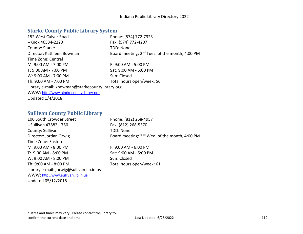# **Starke County Public Library System**

| 152 West Culver Road                            | Phone: (574) 772-7323                                      |
|-------------------------------------------------|------------------------------------------------------------|
| --Knox 46534-2220                               | Fax: (574) 772-4207                                        |
|                                                 |                                                            |
| County: Starke                                  | TDD: None                                                  |
| Director: Kathleen Bowman                       | Board meeting: 2 <sup>nd</sup> Tues. of the month, 4:00 PM |
| Time Zone: Central                              |                                                            |
| M: 9:00 AM - 7:00 PM                            | F: 9:00 AM - 5:00 PM                                       |
| T: 9:00 AM - 7:00 PM                            | Sat: 9:00 AM - 5:00 PM                                     |
| W: 9:00 AM - 7:00 PM                            | Sun: Closed                                                |
| Th: 9:00 AM - 7:00 PM                           | Total hours open/week: 56                                  |
| Library e-mail: kbowman@starkecountylibrary.org |                                                            |
| WWW: http://www.starkecountylibrary.org         |                                                            |
| <b>Updated 1/4/2018</b>                         |                                                            |

## **Sullivan County Public Library**

| 100 South Crowder Street                  | Phone: (812) 268-4957                                     |
|-------------------------------------------|-----------------------------------------------------------|
| --Sullivan 47882-1750                     | Fax: (812) 268-5370                                       |
| County: Sullivan                          | TDD: None                                                 |
| Director: Jordan Orwig                    | Board meeting: 2 <sup>nd</sup> Wed. of the month, 4:00 PM |
| Time Zone: Eastern                        |                                                           |
| M: 9:00 AM - 8:00 PM                      | $F: 9:00$ AM - 6:00 PM                                    |
| T: 9:00 AM - 8:00 PM                      | Sat: 9:00 AM - 5:00 PM                                    |
| W: 9:00 AM - 8:00 PM                      | Sun: Closed                                               |
| Th: 9:00 AM - 8:00 PM                     | Total hours open/week: 61                                 |
| Library e-mail: jorwig@sullivan.lib.in.us |                                                           |
| WWW: http://www.sullivan.lib.in.us        |                                                           |
| Updated 05/12/2015                        |                                                           |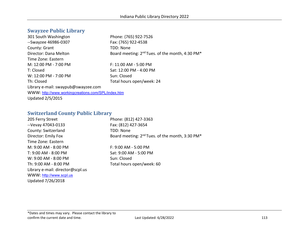# **Swayzee Public Library**

| 301 South Washington                               | Phone: (765) 922-7526                                                   |
|----------------------------------------------------|-------------------------------------------------------------------------|
| --Swayzee 46986-0307                               | Fax: (765) 922-4538                                                     |
| County: Grant                                      | TDD: None                                                               |
| Director: Dana Melton                              | Board meeting: 2 <sup>nd</sup> Tues. of the month, 4:30 PM <sup>*</sup> |
| Time Zone: Eastern                                 |                                                                         |
| M: 12:00 PM - 7:00 PM                              | F: 11:00 AM - 5:00 PM                                                   |
| T: Closed                                          | Sat: 12:00 PM - 4:00 PM                                                 |
| W: 12:00 PM - 7:00 PM                              | Sun: Closed                                                             |
| Th: Closed                                         | Total hours open/week: 24                                               |
| Library e-mail: swaypub@swayzee.com                |                                                                         |
| WWW: http://www.workingcreations.com/SPL/index.htm |                                                                         |
| <b>Updated 2/5/2015</b>                            |                                                                         |

## **Switzerland County Public Library**

| Phone: (812) 427-3363                                                   |
|-------------------------------------------------------------------------|
| Fax: (812) 427-3654                                                     |
| TDD: None                                                               |
| Board meeting: 2 <sup>nd</sup> Tues. of the month, 3:30 PM <sup>*</sup> |
|                                                                         |
| F: 9:00 AM - 5:00 PM                                                    |
| Sat: 9:00 AM - 5:00 PM                                                  |
| Sun: Closed                                                             |
| Total hours open/week: 60                                               |
|                                                                         |
|                                                                         |
|                                                                         |
|                                                                         |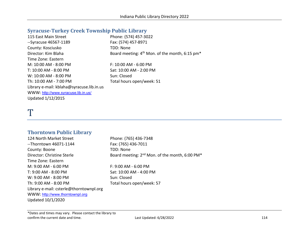#### **Syracuse-Turkey Creek Township Public Library**

| 115 East Main Street                      | Phone: (574) 457-3022                                                  |
|-------------------------------------------|------------------------------------------------------------------------|
| --Syracuse 46567-1189                     | Fax: (574) 457-8971                                                    |
| County: Kosciusko                         | <b>TDD: None</b>                                                       |
| Director: Kim Blaha                       | Board meeting: 4 <sup>th</sup> Mon. of the month, 6:15 pm <sup>*</sup> |
| Time Zone: Eastern                        |                                                                        |
| M: 10:00 AM - 8:00 PM                     | F: 10:00 AM - 6:00 PM                                                  |
| T: 10:00 AM - 8:00 PM                     | Sat: 10:00 AM - 2:00 PM                                                |
| W: 10:00 AM - 8:00 PM                     | Sun: Closed                                                            |
| Th: 10:00 AM - 7:00 PM                    | Total hours open/week: 51                                              |
| Library e-mail: kblaha@syracuse.lib.in.us |                                                                        |
| WWW: http://www.syracuse.lib.in.us/       |                                                                        |
| Updated 1/12/2015                         |                                                                        |

# T

#### **Thorntown Public Library**

124 North Market Street Phone: (765) 436-7348 --Thorntown 46071-1144 Fax: (765) 436-7011 County: Boone TDD: None Director: Christine Sterle **Board meeting: 2<sup>nd</sup> Mon. of the month, 6:00 PM**\* Time Zone: Eastern M: 9:00 AM - 6:00 PM F: 9:00 AM - 6:00 PM T: 9:00 AM - 8:00 PM Sat: 10:00 AM - 4:00 PM W: 9:00 AM - 8:00 PM Sun: Closed Th: 9:00 AM - 8:00 PM Total hours open/week: 57 Library e-mail: csterle@thorntownpl.org WWW: [http://www.thorntownpl.org](http://www.thorntownpl.org/) Updated 10/1/2020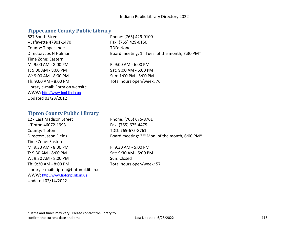#### **Tippecanoe County Public Library**

| Phone: (765) 429-0100                                       |
|-------------------------------------------------------------|
| Fax: (765) 429-0150                                         |
| TDD: None                                                   |
| Board meeting: 1 <sup>st</sup> Tues. of the month, 7:30 PM* |
|                                                             |
| $F: 9:00 AM - 6:00 PM$                                      |
| Sat: 9:00 AM - 6:00 PM                                      |
| Sun: 1:00 PM - 5:00 PM                                      |
| Total hours open/week: 76                                   |
|                                                             |
|                                                             |
|                                                             |
|                                                             |

#### **Tipton County Public Library**

127 East Madison Street Phone: (765) 675-8761 --Tipton 46072-1993 Fax: (765) 675-4475 County: Tipton TDD: 765-675-8761 Time Zone: Eastern M: 9:30 AM - 8:00 PM F: 9:30 AM - 5:00 PM T: 9:30 AM - 8:00 PM Sat: 9:30 AM - 5:00 PM W: 9:30 AM - 8:00 PM Sun: Closed Th: 9:30 AM - 8:00 PM Total hours open/week: 57 Library e-mail: tipton@tiptonpl.lib.in.us WWW: [http://www.tiptonpl.lib.in.us](http://www.tiptonpl.lib.in.us/) Updated 02/14/2022

Director: Jason Fields Board meeting: 2<sup>nd</sup> Mon. of the month, 6:00 PM<sup>\*</sup>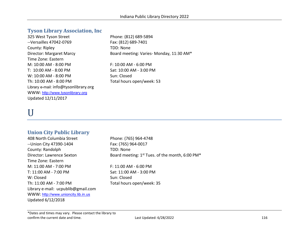### **Tyson Library Association, Inc**

325 West Tyson Street Phone: (812) 689-5894 --Versailles 47042-0769 Fax: (812) 689-7401 County: Ripley TDD: None Time Zone: Eastern M: 10:00 AM - 8:00 PM F: 10:00 AM - 6:00 PM T: 10:00 AM - 8:00 PM Sat: 10:00 AM - 3:00 PM W: 10:00 AM - 8:00 PM Sun: Closed Th: 10:00 AM - 8:00 PM Total hours open/week: 53 Library e-mail: info@tysonlibrary.org WWW: [http://www.tysonlibrary.org](http://www.tysonlibrary.org/) Updated 12/11/2017

Director: Margaret Marcy Board meeting: Varies- Monday, 11:30 AM\*

# U

## **Union City Public Library**

408 North Columbia Street Phone: (765) 964-4748 -- Union City 47390-1404 Fax: (765) 964-0017 County: Randolph TDD: None Time Zone: Eastern M: 11:00 AM - 7:00 PM F: 11:00 AM - 6:00 PM T: 11:00 AM - 7:00 PM Sat: 11:00 AM - 3:00 PM W: Closed Sun: Closed Th: 11:00 AM - 7:00 PM Total hours open/week: 35 Library e-mail: ucpublib@gmail.com WWW: [http://www.unioncity.lib.in.us](http://www.unioncity.lib.in.us/) Updated 6/12/2018

Director: Lawrence Sexton Board meeting: 1<sup>st</sup> Tues. of the month, 6:00 PM<sup>\*</sup>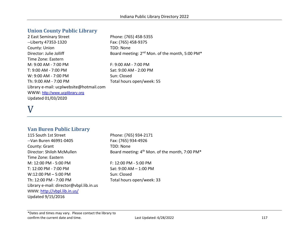## **Union County Public Library**

2 East Seminary Street Phone: (765) 458-5355 --Liberty 47353-1320 Fax: (765) 458-9375 County: Union TDD: None Director: Julie Jolliff Board meeting: 2<sup>nd</sup> Mon. of the month, 5:00 PM<sup>\*</sup> Time Zone: Eastern M: 9:00 AM - 7:00 PM F: 9:00 AM - 7:00 PM T: 9:00 AM - 7:00 PM Sat: 9:00 AM - 2:00 PM W: 9:00 AM - 7:00 PM Sun: Closed Th: 9:00 AM - 7:00 PM Total hours open/week: 55 Library e-mail: ucplwebsite@hotmail.com WWW: [http://www.ucplibrary.org](http://www.ucplibrary.org/) Updated 01/03/2020

# V

#### **Van Buren Public Library**

115 South 1st Street Phone: (765) 934-2171 --Van Buren 46991-0405 Fax: (765) 934-4926 County: Grant TDD: None Director: Shiloh McMullen Board meeting: 4<sup>th</sup> Mon. of the month, 7:00 PM<sup>\*</sup> Time Zone: Eastern M: 12:00 PM - 5:00 PM  $\blacksquare$  F: 12:00 PM - 5:00 PM T: 12:00 PM - 7:00 PM Sat: 9:00 AM - 1:00 PM  $W:12:00 \text{ PM} - 5:00 \text{ PM}$  Sun: Closed Th: 12:00 PM - 7:00 PM Total hours open/week: 33 Library e-mail: director@vbpl.lib.in.us WWW: <http://vbpl.lib.in.us/> Updated 9/15/2016

\*Dates and times may vary. Please contact the library to

confirm the current date and time. The confirm the current date and time. The confirm the current date and time.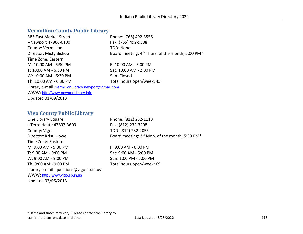#### **Vermillion County Public Library**

| 385 East Market Street                               | Phone: (765) 492-3555                                                    |
|------------------------------------------------------|--------------------------------------------------------------------------|
| --Newport 47966-0100                                 | Fax: (765) 492-9588                                                      |
| County: Vermillion                                   | TDD: None                                                                |
| Director: Misty Bishop                               | Board meeting: 4 <sup>th</sup> Thurs. of the month, 5:00 PM <sup>*</sup> |
| Time Zone: Eastern                                   |                                                                          |
| M: 10:00 AM - 6:30 PM                                | $F: 10:00$ AM - 5:00 PM                                                  |
| T: 10:00 AM - 6:30 PM                                | Sat: 10:00 AM - 2:00 PM                                                  |
| W: 10:00 AM - 6:30 PM                                | Sun: Closed                                                              |
| Th: 10:00 AM - 6:30 PM                               | Total hours open/week: 45                                                |
| Library e-mail: vermillion.library.newport@gmail.com |                                                                          |
| WWW: http://www.newportlibrary.info                  |                                                                          |
| Updated 01/09/2013                                   |                                                                          |

#### **Vigo County Public Library**

One Library Square Phone: (812) 232-1113 --Terre Haute 47807-3609 Fax: (812) 232-3208 County: Vigo TDD: (812) 232-2055 Time Zone: Eastern M: 9:00 AM - 9:00 PM F: 9:00 AM - 6:00 PM T: 9:00 AM - 9:00 PM Sat: 9:00 AM - 5:00 PM W: 9:00 AM - 9:00 PM Sun: 1:00 PM - 5:00 PM Th: 9:00 AM - 9:00 PM Total hours open/week: 69 Library e-mail: questions@vigo.lib.in.us WWW: [http://www.vigo.lib.in.us](http://www.vigo.lib.in.us/) Updated 02/06/2013

Director: Kristi Howe Board meeting: 3<sup>rd</sup> Mon. of the month, 5:30 PM<sup>\*</sup>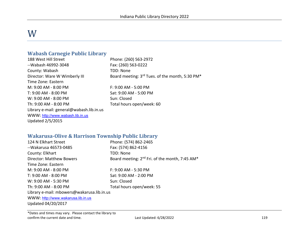# W

### **Wabash Carnegie Public Library**

188 West Hill Street Phone: (260) 563-2972 --Wabash 46992-3048 Fax: (260) 563-0222 County: Wabash TDD: None Time Zone: Eastern M: 9:00 AM - 8:00 PM F: 9:00 AM - 5:00 PM T: 9:00 AM - 8:00 PM Sat: 9:00 AM - 5:00 PM W: 9:00 AM - 8:00 PM Sun: Closed Th: 9:00 AM - 8:00 PM Total hours open/week: 60 Library e-mail: general@wabash.lib.in.us WWW: [http://www.wabash.lib.in.us](http://www.wabash.lib.in.us/) Updated 2/5/2015

Director: Ware W Wimberly III Board meeting: 3rd Tues. of the month, 5:30 PM\*

**Wakarusa-Olive & Harrison Township Public Library**

| <u>wanai asa "Olive &amp; Hall isuli" i ownship i abiit biblai y</u> |                                                            |
|----------------------------------------------------------------------|------------------------------------------------------------|
| 124 N Elkhart Street                                                 | Phone: (574) 862-2465                                      |
| --Wakarusa 46573-0485                                                | Fax: (574) 862-4156                                        |
| County: Elkhart                                                      | TDD: None                                                  |
| <b>Director: Matthew Bowers</b>                                      | Board meeting: 2 <sup>nd</sup> Fri. of the month, 7:45 AM* |
| Time Zone: Eastern                                                   |                                                            |
| M: 9:00 AM - 8:00 PM                                                 | F: 9:00 AM - 5:30 PM                                       |
| T: 9:00 AM - 8:00 PM                                                 | Sat: 9:00 AM - 2:00 PM                                     |
| W: 9:00 AM - 5:30 PM                                                 | Sun: Closed                                                |
| Th: 9:00 AM - 8:00 PM                                                | Total hours open/week: 55                                  |
| Library e-mail: mbowers@wakarusa.lib.in.us                           |                                                            |
| WWW: http://www.wakarusa.lib.in.us                                   |                                                            |
| Updated 04/20/2017                                                   |                                                            |
|                                                                      |                                                            |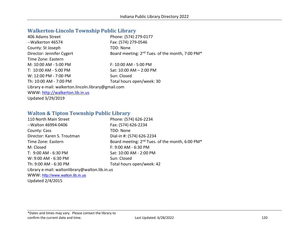# **Walkerton-Lincoln Township Public Library**

| 406 Adams Street                                    | Phone: (574) 279-0177                                                   |
|-----------------------------------------------------|-------------------------------------------------------------------------|
| --Walkerton 46574                                   | Fax: (574) 279-0546                                                     |
| County: St Joseph                                   | TDD: None                                                               |
| Director: Jennifer Cygert                           | Board meeting: 2 <sup>nd</sup> Tues. of the month, 7:00 PM <sup>*</sup> |
| Time Zone: Eastern                                  |                                                                         |
| M: 10:00 AM - 5:00 PM                               | F: 10:00 AM - 5:00 PM                                                   |
| T: 10:00 AM - 5:00 PM                               | Sat: 10:00 AM - 2:00 PM                                                 |
| W: 12:00 PM - 7:00 PM                               | Sun: Closed                                                             |
| Th: 10:00 AM - 7:00 PM                              | Total hours open/week: 30                                               |
| Library e-mail: walkerton.lincoln.library@gmail.com |                                                                         |
| WWW: http://walkerton.lib.in.us                     |                                                                         |
| Updated 3/29/2019                                   |                                                                         |

## **Walton & Tipton Township Public Library**

| 110 North Main Street                          | Phone: (574) 626-2234                                                   |
|------------------------------------------------|-------------------------------------------------------------------------|
| --Walton 46994-0406                            | Fax: (574) 626-2234                                                     |
| County: Cass                                   | TDD: None                                                               |
| Director: Karen S. Troutman                    | Dial-in #: (574) 626-2234                                               |
| Time Zone: Eastern                             | Board meeting: 2 <sup>nd</sup> Tues. of the month, 6:00 PM <sup>*</sup> |
| M: Closed                                      | F: 9:00 AM - 6:30 PM                                                    |
| T: 9:00 AM - 6:30 PM                           | Sat: 10:00 AM - 2:00 PM                                                 |
| W: 9:00 AM - 6:30 PM                           | Sun: Closed                                                             |
| Th: 9:00 AM - 6:30 PM                          | Total hours open/week: 42                                               |
| Library e-mail: waltonlibrary@walton.lib.in.us |                                                                         |
| WWW: http://www.walton.lib.in.us               |                                                                         |

Updated 2/4/2015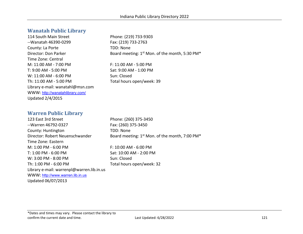### **Wanatah Public Library**

114 South Main Street Phone: (219) 733-9303 --Wanatah 46390-0299 Fax: (219) 733-2763 County: La Porte TDD: None Time Zone: Central M: 11:00 AM - 7:00 PM F: 11:00 AM - 5:00 PM T: 9:00 AM - 5:00 PM Sat: 9:00 AM - 1:00 PM W: 11:00 AM - 6:00 PM Sun: Closed Th: 11:00 AM - 5:00 PM Total hours open/week: 39 Library e-mail: wanatahl@msn.com WWW: <http://wanatahlibrary.com/> Updated 2/4/2015

Director: Don Parker Board meeting: 1st Mon. of the month, 5:30 PM\*

#### **Warren Public Library**

123 East 3rd Street Phone: (260) 375-3450 --Warren 46792-0327 Fax: (260) 375-3450 County: Huntington TDD: None Director: Robert Neuenschwander Board meeting: 1<sup>st</sup> Mon. of the month, 7:00 PM<sup>\*</sup> Time Zone: Eastern M: 1:00 PM - 6:00 PM  $\blacksquare$  F: 10:00 AM - 6:00 PM T: 1:00 PM - 6:00 PM  $Sat: 10:00$  AM - 2:00 PM W: 3:00 PM - 8:00 PM Sun: Closed Th: 1:00 PM - 6:00 PM TOTAL Total hours open/week: 32 Library e-mail: warrenpl@warren.lib.in.us WWW: [http://www.warren.lib.in.us](http://www.warren.lib.in.us/) Updated 06/07/2013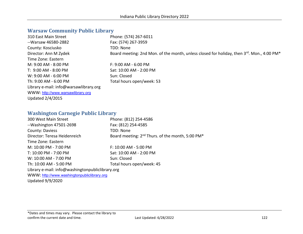# **Warsaw Community Public Library**

| 310 East Main Street                   | Phone: (574) 267-6011                                                                     |
|----------------------------------------|-------------------------------------------------------------------------------------------|
| --Warsaw 46580-2882                    | Fax: (574) 267-3959                                                                       |
| County: Kosciusko                      | TDD: None                                                                                 |
| Director: Ann M Zydek                  | Board meeting: 2nd Mon. of the month, unless closed for holiday, then 3rd. Mon., 4:00 PM* |
| Time Zone: Eastern                     |                                                                                           |
| M: 9:00 AM - 8:00 PM                   | $F: 9:00 AM - 6:00 PM$                                                                    |
| T: 9:00 AM - 8:00 PM                   | Sat: 10:00 AM - 2:00 PM                                                                   |
| W: 9:00 AM - 6:00 PM                   | Sun: Closed                                                                               |
| Th: 9:00 AM - 6:00 PM                  | Total hours open/week: 53                                                                 |
| Library e-mail: info@warsawlibrary.org |                                                                                           |
| WWW: http://www.warsawlibrary.org      |                                                                                           |
| Updated 2/4/2015                       |                                                                                           |
|                                        |                                                                                           |

## **Washington Carnegie Public Library**

| 300 West Main Street                             | Phone: (812) 254-4586                                                    |
|--------------------------------------------------|--------------------------------------------------------------------------|
| --Washington 47501-2698                          | Fax: (812) 254-4585                                                      |
| County: Daviess                                  | <b>TDD: None</b>                                                         |
| Director: Teresa Heidenreich                     | Board meeting: 2 <sup>nd</sup> Thurs. of the month, 5:00 PM <sup>*</sup> |
| Time Zone: Eastern                               |                                                                          |
| M: 10:00 PM - 7:00 PM                            | F: 10:00 AM - 5:00 PM                                                    |
| T: 10:00 PM - 7:00 PM                            | Sat: 10:00 AM - 2:00 PM                                                  |
| W: 10:00 AM - 7:00 PM                            | Sun: Closed                                                              |
| Th: 10:00 AM - 5:00 PM                           | Total hours open/week: 45                                                |
| Library e-mail: info@washingtonpubliclibrary.org |                                                                          |
| WWW: http://www.washingtonpubliclibrary.org      |                                                                          |
| <b>Updated 9/9/2020</b>                          |                                                                          |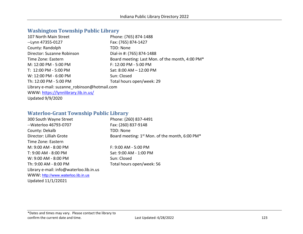# **Washington Township Public Library**

| 107 North Main Street                        | Phone: (765) 874-1488                           |
|----------------------------------------------|-------------------------------------------------|
| --Lynn 47355-0127                            | Fax: (765) 874-1427                             |
| County: Randolph                             | TDD: None                                       |
| Director: Suzanne Robinson                   | Dial-in #: (765) 874-1488                       |
| Time Zone: Eastern                           | Board meeting: Last Mon. of the month, 4:00 PM* |
| M: 12:00 PM - 5:00 PM                        | F: 12:00 PM - 5:00 PM                           |
| T: 12:00 PM - 5:00 PM                        | Sat: 8:00 AM - 12:00 PM                         |
| W: 12:00 PM - 6:00 PM                        | Sun: Closed                                     |
| Th: 12:00 PM - 5:00 PM                       | Total hours open/week: 29                       |
| Library e-mail: suzanne robinson@hotmail.com |                                                 |
| WWW: https://lynnlibrary.lib.in.us/          |                                                 |
| <b>Updated 9/9/2020</b>                      |                                                 |

## **Waterloo-Grant Township Public Library**

| 300 South Wayne Street                  | Phone: (260) 837-4491                                                  |
|-----------------------------------------|------------------------------------------------------------------------|
| --Waterloo 46793-0707                   | Fax: (260) 837-9148                                                    |
| County: Dekalb                          | TDD: None                                                              |
| Director: Lilliah Grote                 | Board meeting: 1 <sup>st</sup> Mon. of the month, 6:00 PM <sup>*</sup> |
| Time Zone: Eastern                      |                                                                        |
| M: 9:00 AM - 8:00 PM                    | $F: 9:00$ AM - 5:00 PM                                                 |
| T: 9:00 AM - 8:00 PM                    | Sat: 9:00 AM - 1:00 PM                                                 |
| W: 9:00 AM - 8:00 PM                    | Sun: Closed                                                            |
| Th: 9:00 AM - 8:00 PM                   | Total hours open/week: 56                                              |
| Library e-mail: info@waterloo.lib.in.us |                                                                        |
| WWW: http://www.waterloo.lib.in.us      |                                                                        |
| Updated 11/1/22021                      |                                                                        |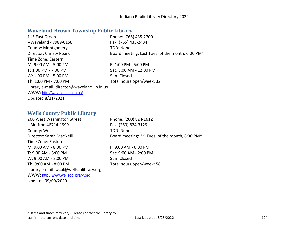#### **Waveland-Brown Township Public Library**

| 115 East Green                              | Phone: (765) 435-2700                            |
|---------------------------------------------|--------------------------------------------------|
| --Waveland 47989-0158                       | Fax: (765) 435-2434                              |
| County: Montgomery                          | TDD: None                                        |
| Director: Christy Roark                     | Board meeting: Last Tues. of the month, 6:00 PM* |
| Time Zone: Eastern                          |                                                  |
| M: 9:00 AM - 5:00 PM                        | F: 1:00 PM - 5:00 PM                             |
| T: 1:00 PM - 7:00 PM                        | Sat: 8:00 AM - 12:00 PM                          |
| W: 1:00 PM - 5:00 PM                        | Sun: Closed                                      |
| Th: 1:00 PM - 7:00 PM                       | Total hours open/week: 32                        |
| Library e-mail: director@waveland.lib.in.us |                                                  |
| WWW: http://waveland.lib.in.us/             |                                                  |
| <b>Updated 8/11/2021</b>                    |                                                  |

## **Wells County Public Library**

200 West Washington Street Phone: (260) 824-1612 --Bluffton 46714-1999 Fax: (260) 824-3129 County: Wells TDD: None Director: Sarah MacNeill **Board meeting: 2<sup>nd</sup> Tues. of the month, 6:30 PM<sup>\*</sup>** Time Zone: Eastern M: 9:00 AM - 8:00 PM F: 9:00 AM - 6:00 PM T: 9:00 AM - 8:00 PM Sat: 9:00 AM - 2:00 PM W: 9:00 AM - 8:00 PM Sun: Closed Th: 9:00 AM - 8:00 PM Total hours open/week: 58 Library e-mail: wcpl@wellscolibrary.org WWW: [http://www.wellscolibrary.org](http://www.wellscolibrary.org/) Updated 09/09/2020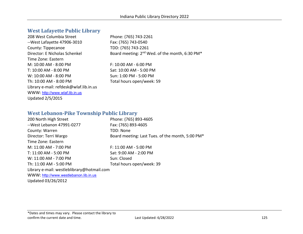## **West Lafayette Public Library**

208 West Columbia Street Phone: (765) 743-2261 --West Lafayette 47906-3010 Fax: (765) 743-0540 County: Tippecanoe TDD: (765) 743-2261 Time Zone: Eastern M: 10:00 AM - 8:00 PM F: 10:00 AM - 6:00 PM T: 10:00 AM - 8:00 PM Sat: 10:00 AM - 5:00 PM W: 10:00 AM - 8:00 PM Sun: 1:00 PM - 5:00 PM Th: 10:00 AM - 8:00 PM Total hours open/week: 59 Library e-mail: refdesk@wlaf.lib.in.us WWW: [http://www.wlaf.lib.in.us](http://www.wlaf.lib.in.us/) Updated 2/5/2015

Director: E Nicholas Schenkel Board meeting: 2<sup>nd</sup> Wed. of the month, 6:30 PM<sup>\*</sup>

## **West Lebanon-Pike Township Public Library**

| 200 North High Street                      | Phone: (765) 893-4605                            |
|--------------------------------------------|--------------------------------------------------|
| --West Lebanon 47991-0277                  | Fax: (765) 893-4605                              |
| County: Warren                             | <b>TDD: None</b>                                 |
| Director: Terri Wargo                      | Board meeting: Last Tues. of the month, 5:00 PM* |
| Time Zone: Eastern                         |                                                  |
| M: 11:00 AM - 7:00 PM                      | F: 11:00 AM - 5:00 PM                            |
| T: 11:00 AM - 5:00 PM                      | Sat: 9:00 AM - 2:00 PM                           |
| W: 11:00 AM - 7:00 PM                      | Sun: Closed                                      |
| Th: 11:00 AM - 5:00 PM                     | Total hours open/week: 39                        |
| Library e-mail: westleblibrary@hotmail.com |                                                  |
| WWW: http://www.westlebanon.lib.in.us      |                                                  |
| Updated 03/26/2012                         |                                                  |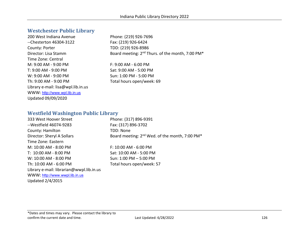#### **Westchester Public Library**

200 West Indiana Avenue Phone: (219) 926-7696 --Chesterton 46304-3122 Fax: (219) 926-6424 County: Porter TDD: (219) 926-8986 Time Zone: Central M: 9:00 AM - 9:00 PM F: 9:00 AM - 6:00 PM T: 9:00 AM - 9:00 PM Sat: 9:00 AM - 5:00 PM W: 9:00 AM - 9:00 PM Sun: 1:00 PM - 5:00 PM Th: 9:00 AM - 9:00 PM Total hours open/week: 69 Library e-mail: lisa@wpl.lib.in.us WWW: [http://www.wpl.lib.in.us](http://www.wpl.lib.in.us/) Updated 09/09/2020

Director: Lisa Stamm Board meeting: 2<sup>nd</sup> Thurs. of the month, 7:00 PM<sup>\*</sup>

#### **Westfield Washington Public Library**

| 333 West Hoover Street                   | Phone: (317) 896-9391                                                  |
|------------------------------------------|------------------------------------------------------------------------|
| --Westfield 46074-9283                   | Fax: (317) 896-3702                                                    |
| County: Hamilton                         | TDD: None                                                              |
| Director: Sheryl A Sollars               | Board meeting: 2 <sup>nd</sup> Wed. of the month, 7:00 PM <sup>*</sup> |
| Time Zone: Eastern                       |                                                                        |
| M: 10:00 AM - 8:00 PM                    | $F: 10:00$ AM - 6:00 PM                                                |
| T: 10:00 AM - 8:00 PM                    | Sat: 10:00 AM - 5:00 PM                                                |
| W: 10:00 AM - 8:00 PM                    | Sun: 1:00 PM - 5:00 PM                                                 |
| Th: 10:00 AM - 6:00 PM                   | Total hours open/week: 57                                              |
| Library e-mail: librarian@wwpl.lib.in.us |                                                                        |
| WWW: http://www.wwpl.lib.in.us           |                                                                        |
| <b>Updated 2/4/2015</b>                  |                                                                        |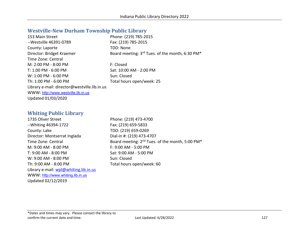#### **Westville-New Durham Township Public Library**

| 153 Main Street                              | Phone: (219) 785-2015                                                   |
|----------------------------------------------|-------------------------------------------------------------------------|
| -- Westville 46391-0789                      | Fax: (219) 785-2015                                                     |
| County: Laporte                              | TDD: None                                                               |
| Director: Bridget Kraemer                    | Board meeting: 3 <sup>rd</sup> Tues. of the month, 6:30 PM <sup>*</sup> |
| Time Zone: Central                           |                                                                         |
| M: 2:00 PM - 8:00 PM                         | F: Closed                                                               |
| T: 1:00 PM - 6:00 PM                         | Sat: 10:00 AM - 2:00 PM                                                 |
| $W: 1:00$ PM - 6:00 PM                       | Sun: Closed                                                             |
| Th: 1:00 PM - 6:00 PM                        | Total hours open/week: 25                                               |
| Library e-mail: director@westville.lib.in.us |                                                                         |
| WWW: http://www.westville.lib.in.us          |                                                                         |
| Updated 01/03/2020                           |                                                                         |
|                                              |                                                                         |

#### **Whiting Public Library**

1735 Oliver Street Phone: (219) 473-4700 --Whiting 46394-1722 Fax: (219) 659-5833 County: Lake TDD: (219) 659-0269 Director: Montserrat Inglada Dial-in #: (219) 473-4707 M: 9:00 AM - 8:00 PM F: 9:00 AM - 5:00 PM T: 9:00 AM - 8:00 PM Sat: 9:00 AM - 5:00 PM W: 9:00 AM - 8:00 PM Sun: Closed Th: 9:00 AM - 8:00 PM Total hours open/week: 60 Library e-mail: wpl@whiting.lib.in.us WWW: [http://www.whiting.lib.in.us](http://www.whiting.lib.in.us/) Updated 02/12/2019

Time Zone: Central Board meeting: 2<sup>nd</sup> Tues. of the month, 5:00 PM<sup>\*</sup>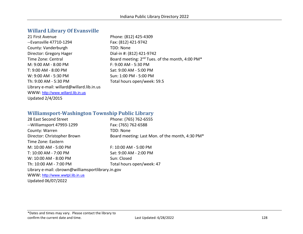## **Willard Library Of Evansville**

| 21 First Avenue                           | Phone: (812) 425-4309                                                   |
|-------------------------------------------|-------------------------------------------------------------------------|
| --Evansville 47710-1294                   | Fax: (812) 421-9742                                                     |
| County: Vanderburgh                       | TDD: None                                                               |
| Director: Gregory Hager                   | Dial-in #: (812) 421-9742                                               |
| Time Zone: Central                        | Board meeting: 2 <sup>nd</sup> Tues. of the month, 4:00 PM <sup>*</sup> |
| M: 9:00 AM - 8:00 PM                      | F: 9:00 AM - 5:30 PM                                                    |
| T: 9:00 AM - 8:00 PM                      | Sat: 9:00 AM - 5:00 PM                                                  |
| W: 9:00 AM - 5:30 PM                      | Sun: 1:00 PM - 5:00 PM                                                  |
| Th: 9:00 AM - 5:30 PM                     | Total hours open/week: 59.5                                             |
| Library e-mail: willard@willard.lib.in.us |                                                                         |
| WWW: http://www.willard.lib.in.us         |                                                                         |
| <b>Updated 2/4/2015</b>                   |                                                                         |

## **Williamsport-Washington Township Public Library**

| 28 East Second Street                             | Phone: (765) 762-6555                           |
|---------------------------------------------------|-------------------------------------------------|
| --Williamsport 47993-1299                         | Fax: (765) 762-6588                             |
| County: Warren                                    | TDD: None                                       |
| Director: Christopher Brown                       | Board meeting: Last Mon. of the month, 4:30 PM* |
| Time Zone: Eastern                                |                                                 |
| M: 10:00 AM - 5:00 PM                             | F: 10:00 AM - 5:00 PM                           |
| T: 10:00 AM - 7:00 PM                             | Sat: 9:00 AM - 2:00 PM                          |
| W: 10:00 AM - 8:00 PM                             | Sun: Closed                                     |
| Th: 10:00 AM - 7:00 PM                            | Total hours open/week: 47                       |
| Library e-mail: cbrown@williamsportlibrary.in.gov |                                                 |
| WWW: http://www.wwtpl.lib.in.us                   |                                                 |
| Updated 06/07/2022                                |                                                 |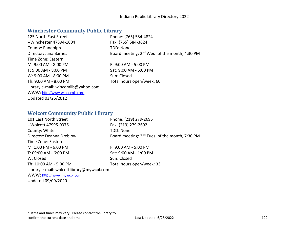# **Winchester Community Public Library**

| 125 North East Street               | Phone: (765) 584-4824                                     |
|-------------------------------------|-----------------------------------------------------------|
| --Winchester 47394-1604             | Fax: (765) 584-3624                                       |
| County: Randolph                    | TDD: None                                                 |
| Director: Jana Barnes               | Board meeting: 2 <sup>nd</sup> Wed. of the month, 4:30 PM |
| Time Zone: Eastern                  |                                                           |
| $M: 9:00 AM - 8:00 PM$              | $F: 9:00 AM - 5:00 PM$                                    |
| $T: 9:00$ AM - 8:00 PM              | Sat: 9:00 AM - 5:00 PM                                    |
| $W: 9:00$ AM - 8:00 PM              | Sun: Closed                                               |
| Th: 9:00 AM - 8:00 PM               | Total hours open/week: 60                                 |
| Library e-mail: wincomlib@yahoo.com |                                                           |
| WWW: http://www.wincomlib.org       |                                                           |
| Updated 03/26/2012                  |                                                           |

#### **Wolcott Community Public Library**

| 101 East North Street                     | Phone: (219) 279-2695                                      |
|-------------------------------------------|------------------------------------------------------------|
| -- Wolcott 47995-0376                     | Fax: (219) 279-2692                                        |
| County: White                             | TDD: None                                                  |
| Director: Deanna Dreblow                  | Board meeting: 2 <sup>nd</sup> Tues. of the month, 7:30 PM |
| Time Zone: Eastern                        |                                                            |
| M: 1:00 PM - 6:00 PM                      | F: 9:00 AM - 5:00 PM                                       |
| T: 09:00 AM - 6:00 PM                     | Sat: 9:00 AM - 1:00 PM                                     |
| W: Closed                                 | Sun: Closed                                                |
| Th: 10:00 AM - 5:00 PM                    | Total hours open/week: 33                                  |
| Library e-mail: wolcottlibrary@mywcpl.com |                                                            |
| WWW: http:// www.mywcpl.com               |                                                            |
|                                           |                                                            |

Updated 09/09/2020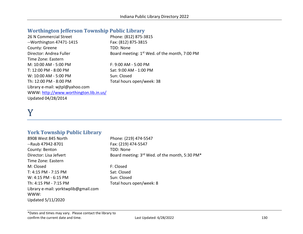# **Worthington Jefferson Township Public Library**

| 26 N Commercial Street                 | Phone: (812) 875-3815                                     |
|----------------------------------------|-----------------------------------------------------------|
| $-$ Worthington 47471-1415             | Fax: (812) 875-3815                                       |
| County: Greene                         | TDD: None                                                 |
| Director: Andrea Fuller                | Board meeting: 1 <sup>st</sup> Wed. of the month, 7:00 PM |
| Time Zone: Eastern                     |                                                           |
| M: 10:00 AM - 5:00 PM                  | F: 9:00 AM - 5:00 PM                                      |
| T: 12:00 PM - 8:00 PM                  | Sat: 9:00 AM - 1:00 PM                                    |
| W: 10:00 AM - 5:00 PM                  | Sun: Closed                                               |
| Th: 12:00 PM - 8:00 PM                 | Total hours open/week: 38                                 |
| Library e-mail: witpl@yahoo.com        |                                                           |
| WWW: http://www.worthington.lib.in.us/ |                                                           |
| Updated 04/28/2014                     |                                                           |

# Y

## **York Township Public Library**

| 8908 West 845 North                  | Phone: (219) 474-5547                          |
|--------------------------------------|------------------------------------------------|
| --Raub 47942-8701                    | Fax: (219) 474-5547                            |
| County: Benton                       | TDD: None                                      |
| Director: Lisa Jefvert               | Board meeting: 3rd Wed. of the month, 5:30 PM* |
| Time Zone: Eastern                   |                                                |
| M: Closed                            | F: Closed                                      |
| T: 4:15 PM - 7:15 PM                 | Sat: Closed                                    |
| W: 4:15 PM - 6:15 PM                 | Sun: Closed                                    |
| Th: 4:15 PM - 7:15 PM                | Total hours open/week: 8                       |
| Library e-mail: yorktwplib@gmail.com |                                                |
| WWW:                                 |                                                |
| Updated 5/11/2020                    |                                                |